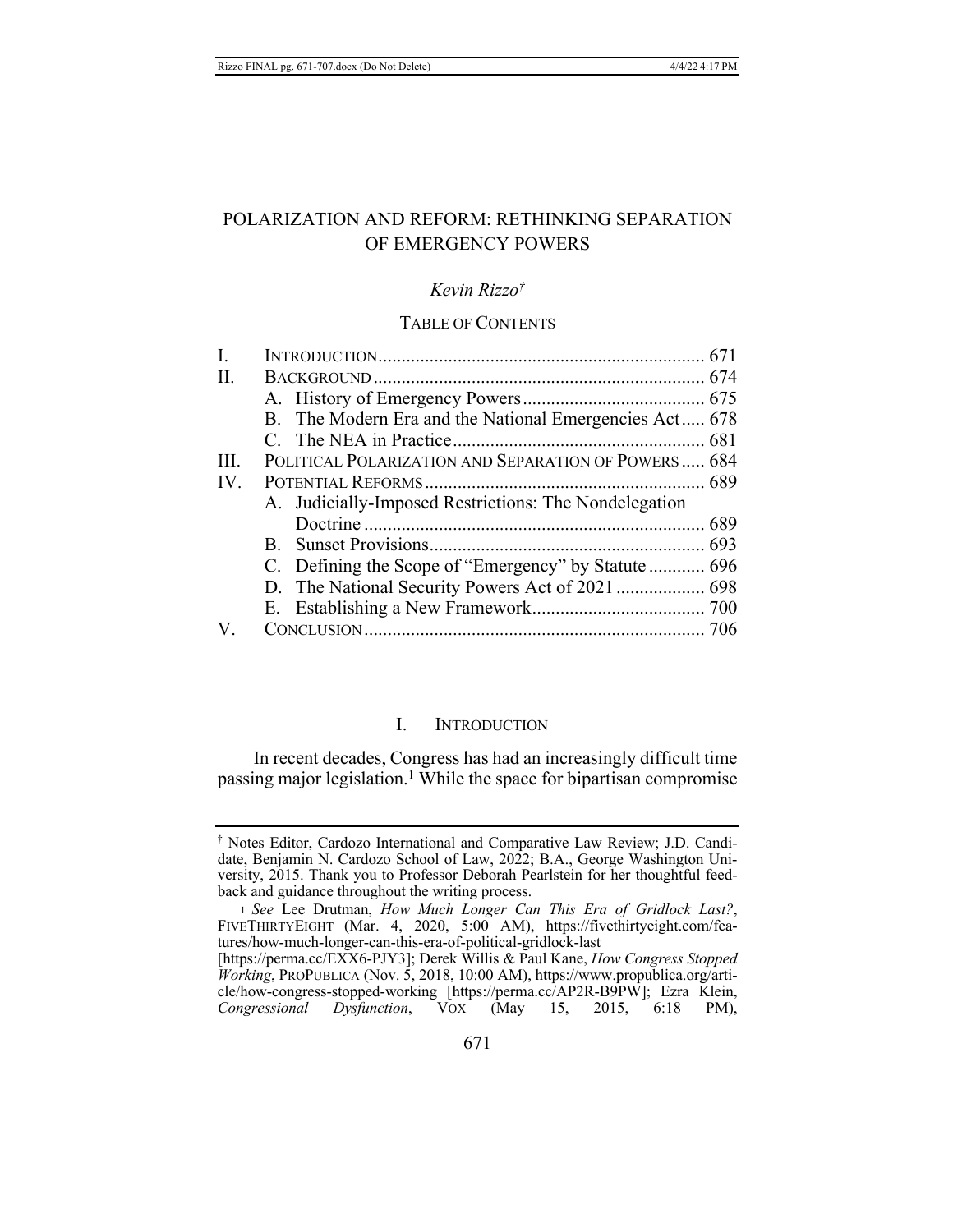# POLARIZATION AND REFORM: RETHINKING SEPARATION OF EMERGENCY POWERS

#### Kevin  $Rizz0^{\dagger}$

### **TABLE OF CONTENTS**

| L.   |                                                        |  |
|------|--------------------------------------------------------|--|
| II.  |                                                        |  |
|      |                                                        |  |
|      | B. The Modern Era and the National Emergencies Act 678 |  |
|      |                                                        |  |
| III. | POLITICAL POLARIZATION AND SEPARATION OF POWERS 684    |  |
| IV.  |                                                        |  |
|      | A. Judicially-Imposed Restrictions: The Nondelegation  |  |
|      |                                                        |  |
|      |                                                        |  |
|      |                                                        |  |
|      |                                                        |  |
|      |                                                        |  |
| V.   |                                                        |  |

#### L. **INTRODUCTION**

In recent decades, Congress has had an increasingly difficult time passing major legislation.<sup>1</sup> While the space for bipartisan compromise

<sup>&</sup>lt;sup>†</sup> Notes Editor, Cardozo International and Comparative Law Review; J.D. Candidate, Benjamin N. Cardozo School of Law, 2022; B.A., George Washington University, 2015. Thank you to Professor Deborah Pearlstein for her thoughtful feedback and guidance throughout the writing process.

<sup>1</sup> See Lee Drutman, How Much Longer Can This Era of Gridlock Last?, FIVETHIRTYEIGHT (Mar. 4, 2020, 5:00 AM), https://fivethirtyeight.com/features/how-much-longer-can-this-era-of-political-gridlock-last

<sup>[</sup>https://perma.cc/EXX6-PJY3]; Derek Willis & Paul Kane, How Congress Stopped Working, PROPUBLICA (Nov. 5, 2018, 10:00 AM), https://www.propublica.org/article/how-congress-stopped-working [https://perma.cc/AP2R-B9PW]; Ezra Klein,<br>Congressional Dysfunction, VOX (May 15, 2015, 6:18 PM),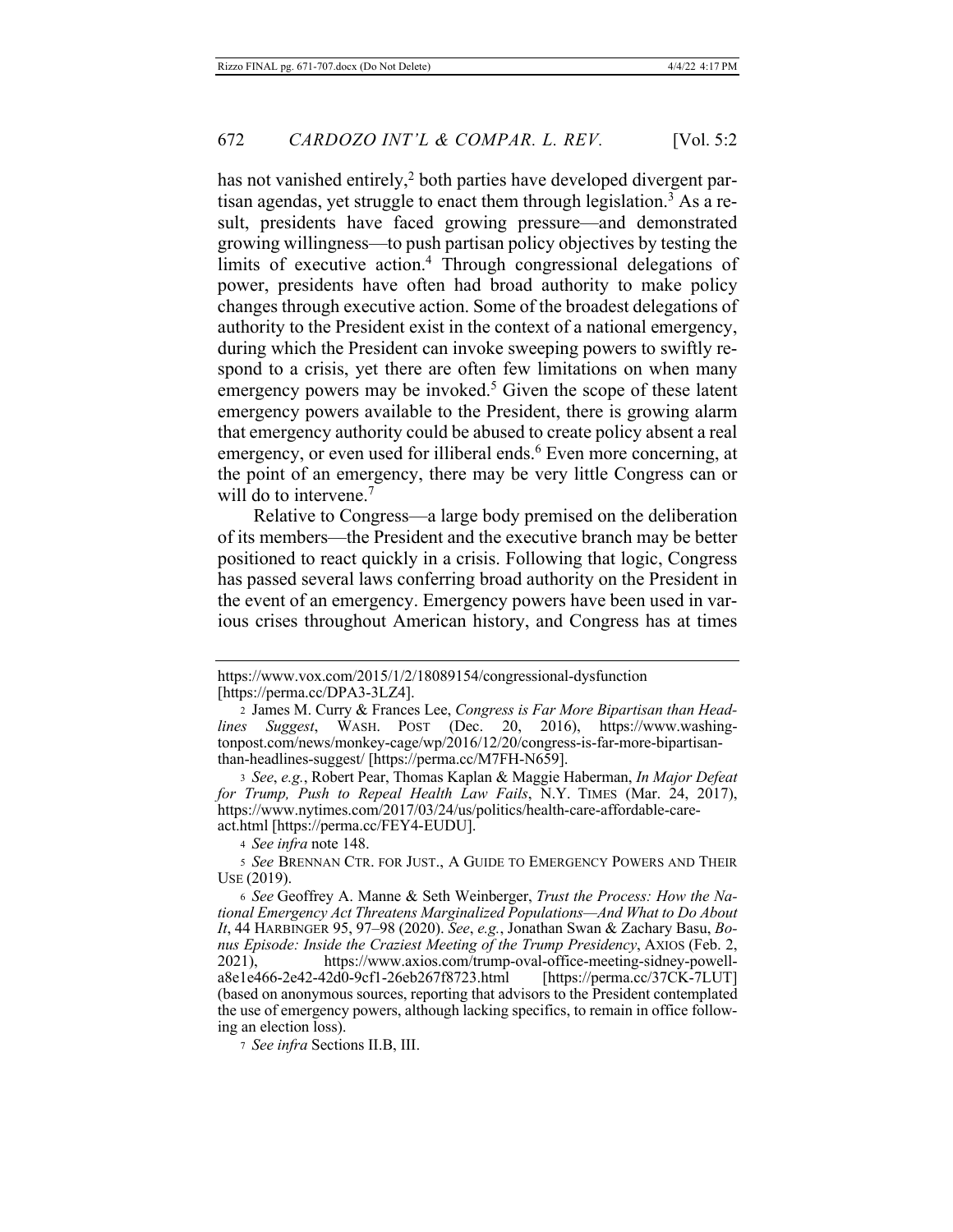has not vanished entirely,<sup>2</sup> both parties have developed divergent partisan agendas, yet struggle to enact them through legislation.<sup>3</sup> As a result, presidents have faced growing pressure—and demonstrated growing willingness—to push partisan policy objectives by testing the limits of executive action.<sup>4</sup> Through congressional delegations of power, presidents have often had broad authority to make policy changes through executive action. Some of the broadest delegations of authority to the President exist in the context of a national emergency, during which the President can invoke sweeping powers to swiftly respond to a crisis, yet there are often few limitations on when many emergency powers may be invoked.<sup>5</sup> Given the scope of these latent emergency powers available to the President, there is growing alarm that emergency authority could be abused to create policy absent a real emergency, or even used for illiberal ends.<sup>6</sup> Even more concerning, at the point of an emergency, there may be very little Congress can or will do to intervene.<sup>7</sup>

Relative to Congress—a large body premised on the deliberation of its members—the President and the executive branch may be better positioned to react quickly in a crisis. Following that logic, Congress has passed several laws conferring broad authority on the President in the event of an emergency. Emergency powers have been used in various crises throughout American history, and Congress has at times

3 See, e.g., Robert Pear, Thomas Kaplan & Maggie Haberman, In Major Defeat for Trump, Push to Repeal Health Law Fails, N.Y. TIMES (Mar. 24, 2017), https://www.nytimes.com/2017/03/24/us/politics/health-care-affordable-careact.html [https://perma.cc/FEY4-EUDU].

4 See infra note 148.

5 See BRENNAN CTR. FOR JUST., A GUIDE TO EMERGENCY POWERS AND THEIR  $Use (2019).$ 

6 See Geoffrey A. Manne & Seth Weinberger, Trust the Process: How the National Emergency Act Threatens Marginalized Populations-And What to Do About It, 44 HARBINGER 95, 97-98 (2020). See, e.g., Jonathan Swan & Zachary Basu, Bonus Episode: Inside the Craziest Meeting of the Trump Presidency, AXIOS (Feb. 2,  $2021$ ), https://www.axios.com/trump-oval-office-meeting-sidney-powella8e1e466-2e42-42d0-9cf1-26eb267f8723.html [https://perma.cc/37CK-7LUT] (based on anonymous sources, reporting that advisors to the President contemplated the use of emergency powers, although lacking specifics, to remain in office following an election loss).

7 See infra Sections II.B, III.

https://www.vox.com/2015/1/2/18089154/congressional-dysfunction [https://perma.cc/DPA3-3LZ4].

<sup>2</sup> James M. Curry & Frances Lee, Congress is Far More Bipartisan than Head-Suggest, WASH. POST (Dec. 20, 2016), https://www.washinglines tonpost.com/news/monkey-cage/wp/2016/12/20/congress-is-far-more-bipartisanthan-headlines-suggest/ [https://perma.cc/M7FH-N659].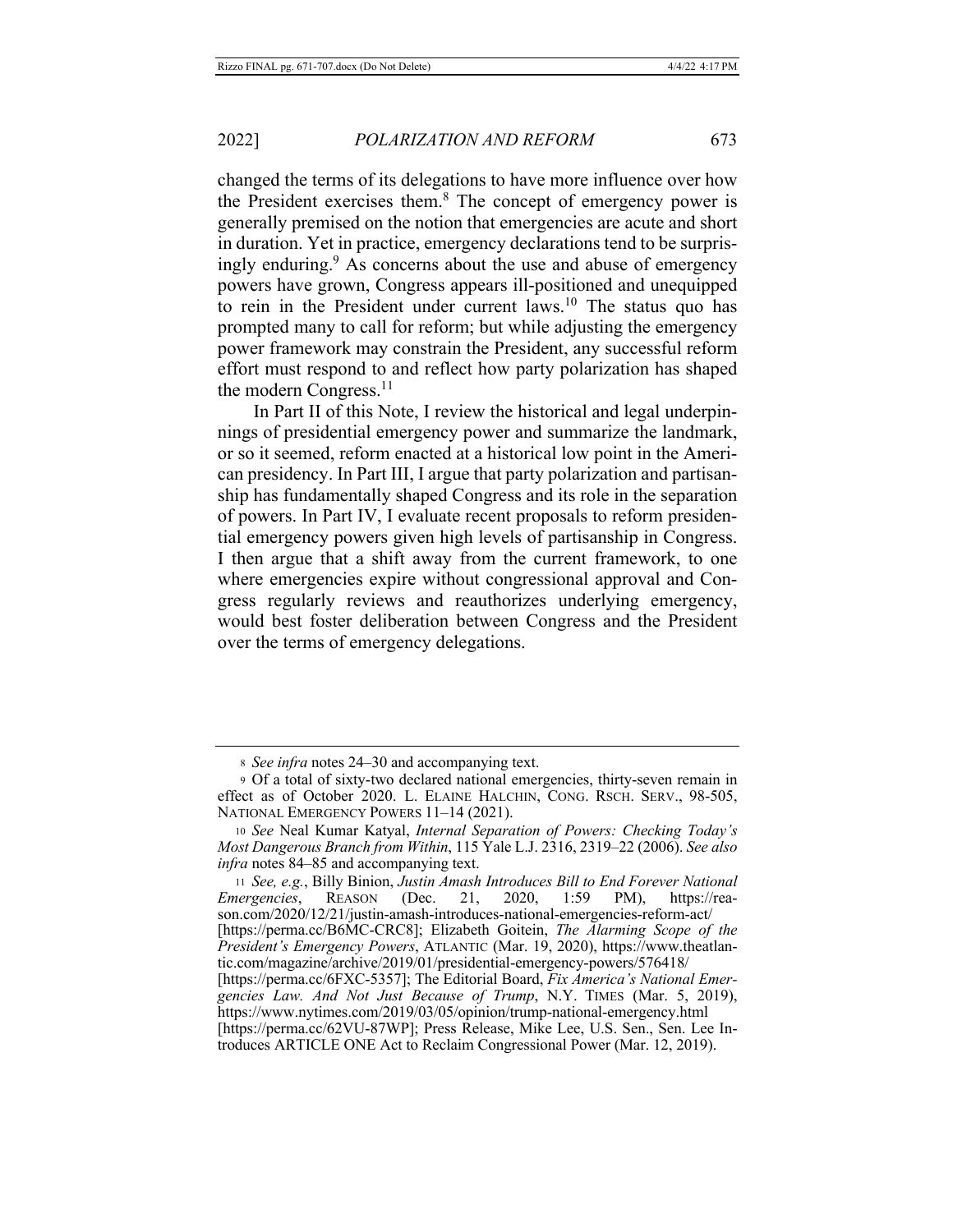changed the terms of its delegations to have more influence over how the President exercises them.<sup>8</sup> The concept of emergency power is generally premised on the notion that emergencies are acute and short in duration. Yet in practice, emergency declarations tend to be surprisingly enduring.<sup>9</sup> As concerns about the use and abuse of emergency powers have grown, Congress appears ill-positioned and unequipped to rein in the President under current laws.<sup>10</sup> The status quo has prompted many to call for reform; but while adjusting the emergency power framework may constrain the President, any successful reform effort must respond to and reflect how party polarization has shaped the modern Congress.<sup>11</sup>

In Part II of this Note, I review the historical and legal underpinnings of presidential emergency power and summarize the landmark, or so it seemed, reform enacted at a historical low point in the American presidency. In Part III, I argue that party polarization and partisanship has fundamentally shaped Congress and its role in the separation of powers. In Part IV, I evaluate recent proposals to reform presidential emergency powers given high levels of partisanship in Congress. I then argue that a shift away from the current framework, to one where emergencies expire without congressional approval and Congress regularly reviews and reauthorizes underlying emergency, would best foster deliberation between Congress and the President over the terms of emergency delegations.

11 See, e.g., Billy Binion, Justin Amash Introduces Bill to End Forever National **REASON**  $(Dec.$ 21, 2020,  $1:59$ *Emergencies,* PM), https://reason.com/2020/12/21/justin-amash-introduces-national-emergencies-reform-act/ [https://perma.cc/B6MC-CRC8]; Elizabeth Goitein, The Alarming Scope of the President's Emergency Powers, ATLANTIC (Mar. 19, 2020), https://www.theatlantic.com/magazine/archive/2019/01/presidential-emergency-powers/576418/

<sup>8</sup> See infra notes 24–30 and accompanying text.

<sup>9</sup> Of a total of sixty-two declared national emergencies, thirty-seven remain in effect as of October 2020. L. ELAINE HALCHIN, CONG. RSCH. SERV., 98-505, NATIONAL EMERGENCY POWERS 11-14 (2021).

<sup>10</sup> See Neal Kumar Katyal, Internal Separation of Powers: Checking Today's Most Dangerous Branch from Within, 115 Yale L.J. 2316, 2319–22 (2006). See also infra notes 84-85 and accompanying text.

<sup>[</sup>https://perma.cc/6FXC-5357]; The Editorial Board, Fix America's National Emergencies Law. And Not Just Because of Trump, N.Y. TIMES (Mar. 5, 2019), https://www.nytimes.com/2019/03/05/opinion/trump-national-emergency.html [https://perma.cc/62VU-87WP]; Press Release, Mike Lee, U.S. Sen., Sen. Lee In-

troduces ARTICLE ONE Act to Reclaim Congressional Power (Mar. 12, 2019).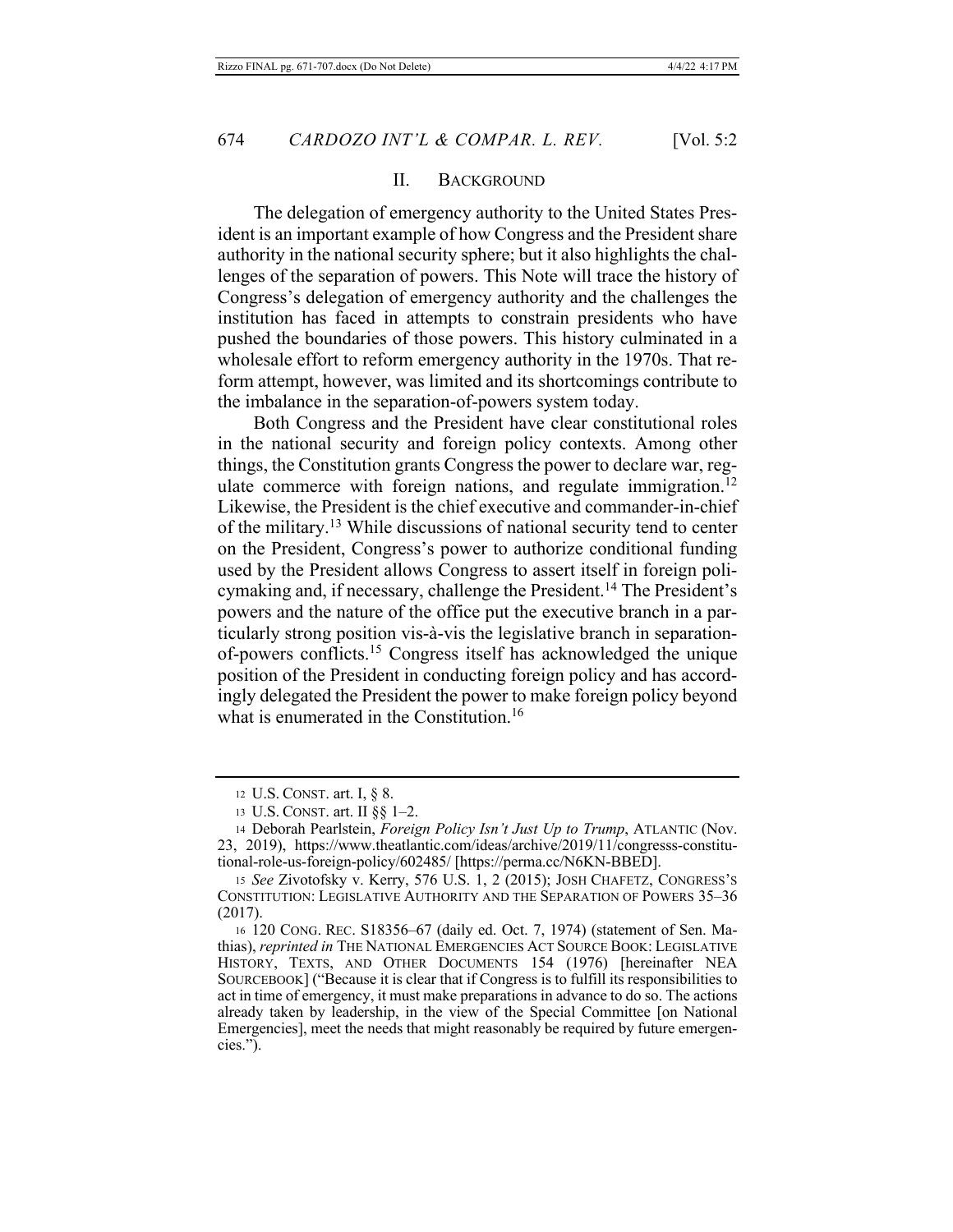#### II. BACKGROUND

The delegation of emergency authority to the United States President is an important example of how Congress and the President share authority in the national security sphere; but it also highlights the challenges of the separation of powers. This Note will trace the history of Congress's delegation of emergency authority and the challenges the institution has faced in attempts to constrain presidents who have pushed the boundaries of those powers. This history culminated in a wholesale effort to reform emergency authority in the 1970s. That reform attempt, however, was limited and its shortcomings contribute to the imbalance in the separation-of-powers system today.

Both Congress and the President have clear constitutional roles in the national security and foreign policy contexts. Among other things, the Constitution grants Congress the power to declare war, regulate commerce with foreign nations, and regulate immigration.<sup>12</sup> Likewise, the President is the chief executive and commander-in-chief of the military.<sup>13</sup> While discussions of national security tend to center on the President, Congress's power to authorize conditional funding used by the President allows Congress to assert itself in foreign policymaking and, if necessary, challenge the President.<sup>14</sup> The President's powers and the nature of the office put the executive branch in a particularly strong position vis-à-vis the legislative branch in separationof-powers conflicts.<sup>15</sup> Congress itself has acknowledged the unique position of the President in conducting foreign policy and has accordingly delegated the President the power to make foreign policy beyond what is enumerated in the Constitution.<sup>16</sup>

<sup>12</sup> U.S. CONST. art. I, § 8.

<sup>13</sup> U.S. CONST. art. II §§ 1-2.

<sup>14</sup> Deborah Pearlstein, Foreign Policy Isn't Just Up to Trump, ATLANTIC (Nov. 23, 2019), https://www.theatlantic.com/ideas/archive/2019/11/congresss-constitutional-role-us-foreign-policy/602485/ [https://perma.cc/N6KN-BBED].

<sup>15</sup> See Zivotofsky v. Kerry, 576 U.S. 1, 2 (2015); JOSH CHAFETZ, CONGRESS'S CONSTITUTION: LEGISLATIVE AUTHORITY AND THE SEPARATION OF POWERS 35-36  $(2017).$ 

<sup>16 120</sup> CONG. REC. S18356-67 (daily ed. Oct. 7, 1974) (statement of Sen. Mathias), reprinted in THE NATIONAL EMERGENCIES ACT SOURCE BOOK: LEGISLATIVE HISTORY, TEXTS, AND OTHER DOCUMENTS 154 (1976) [hereinafter NEA SOURCEBOOK] ("Because it is clear that if Congress is to fulfill its responsibilities to act in time of emergency, it must make preparations in advance to do so. The actions already taken by leadership, in the view of the Special Committee [on National] Emergencies], meet the needs that might reasonably be required by future emergencies.").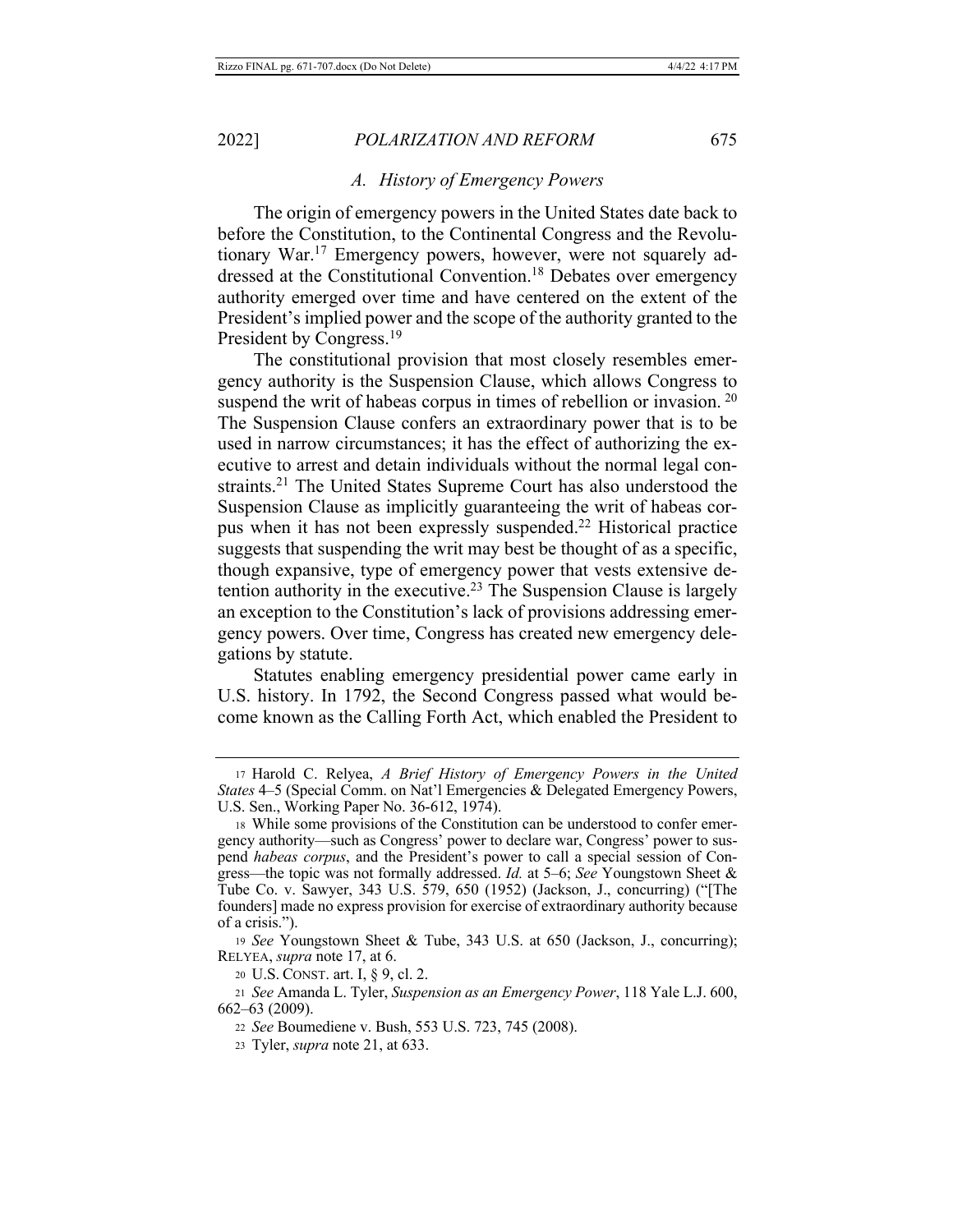#### A. History of Emergency Powers

The origin of emergency powers in the United States date back to before the Constitution, to the Continental Congress and the Revolutionary War.<sup>17</sup> Emergency powers, however, were not squarely addressed at the Constitutional Convention.<sup>18</sup> Debates over emergency authority emerged over time and have centered on the extent of the President's implied power and the scope of the authority granted to the President by Congress.<sup>19</sup>

The constitutional provision that most closely resembles emergency authority is the Suspension Clause, which allows Congress to suspend the writ of habeas corpus in times of rebellion or invasion.  $20$ The Suspension Clause confers an extraordinary power that is to be used in narrow circumstances; it has the effect of authorizing the executive to arrest and detain individuals without the normal legal constraints.<sup>21</sup> The United States Supreme Court has also understood the Suspension Clause as implicitly guaranteeing the writ of habeas corpus when it has not been expressly suspended.<sup>22</sup> Historical practice suggests that suspending the writ may best be thought of as a specific, though expansive, type of emergency power that vests extensive detention authority in the executive.<sup>23</sup> The Suspension Clause is largely an exception to the Constitution's lack of provisions addressing emergency powers. Over time, Congress has created new emergency delegations by statute.

Statutes enabling emergency presidential power came early in U.S. history. In 1792, the Second Congress passed what would become known as the Calling Forth Act, which enabled the President to

<sup>17</sup> Harold C. Relyea, A Brief History of Emergency Powers in the United *States* 4–5 (Special Comm. on Nat'l Emergencies & Delegated Emergency Powers, U.S. Sen., Working Paper No. 36-612, 1974).

<sup>18</sup> While some provisions of the Constitution can be understood to confer emergency authority—such as Congress' power to declare war, Congress' power to suspend habeas corpus, and the President's power to call a special session of Congress—the topic was not formally addressed. *Id.* at 5–6; See Youngstown Sheet & Tube Co. v. Sawyer, 343 U.S. 579, 650 (1952) (Jackson, J., concurring) ("[The founders] made no express provision for exercise of extraordinary authority because of a crisis.").

<sup>19</sup> See Youngstown Sheet & Tube, 343 U.S. at 650 (Jackson, J., concurring); RELYEA, *supra* note 17, at 6.

<sup>20</sup> U.S. CONST. art. I, § 9, cl. 2.

<sup>21</sup> See Amanda L. Tyler, Suspension as an Emergency Power, 118 Yale L.J. 600, 662–63 (2009).

<sup>22</sup> See Boumediene v. Bush, 553 U.S. 723, 745 (2008).

<sup>23</sup> Tyler, *supra* note 21, at 633.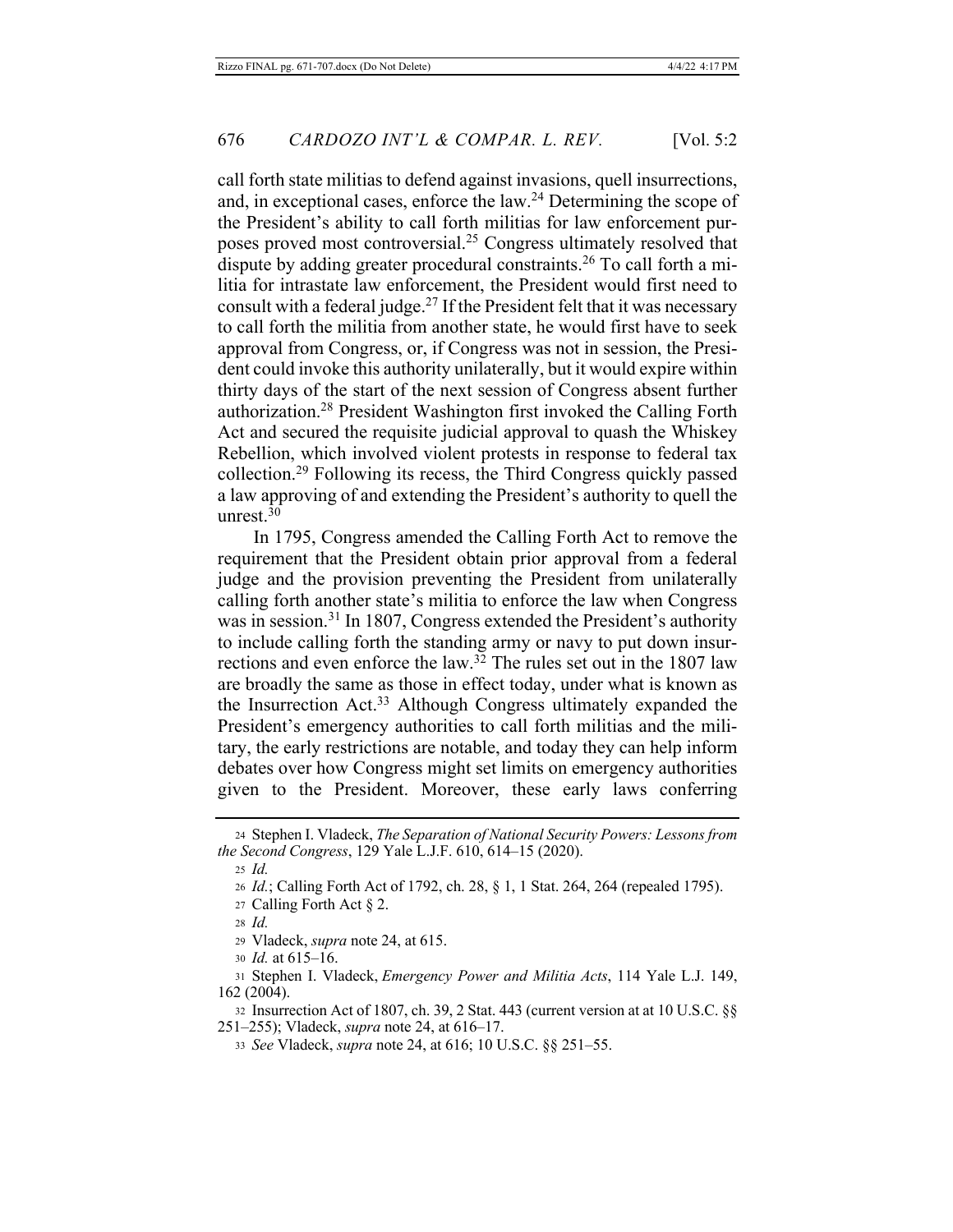call forth state militias to defend against invasions, quell insurrections, and, in exceptional cases, enforce the law.<sup>24</sup> Determining the scope of the President's ability to call forth militias for law enforcement purposes proved most controversial.<sup>25</sup> Congress ultimately resolved that dispute by adding greater procedural constraints.<sup>26</sup> To call forth a militia for intrastate law enforcement, the President would first need to consult with a federal judge.<sup>27</sup> If the President felt that it was necessary to call forth the militia from another state, he would first have to seek approval from Congress, or, if Congress was not in session, the President could invoke this authority unilaterally, but it would expire within thirty days of the start of the next session of Congress absent further authorization.<sup>28</sup> President Washington first invoked the Calling Forth Act and secured the requisite judicial approval to quash the Whiskey Rebellion, which involved violent protests in response to federal tax collection.<sup>29</sup> Following its recess, the Third Congress quickly passed a law approving of and extending the President's authority to quell the unrest. $30$ 

In 1795, Congress amended the Calling Forth Act to remove the requirement that the President obtain prior approval from a federal judge and the provision preventing the President from unilaterally calling forth another state's militia to enforce the law when Congress was in session.<sup>31</sup> In 1807, Congress extended the President's authority to include calling forth the standing army or navy to put down insurrections and even enforce the law.<sup>32</sup> The rules set out in the 1807 law are broadly the same as those in effect today, under what is known as the Insurrection Act.<sup>33</sup> Although Congress ultimately expanded the President's emergency authorities to call forth militias and the military, the early restrictions are notable, and today they can help inform debates over how Congress might set limits on emergency authorities given to the President. Moreover, these early laws conferring

<sup>24</sup> Stephen I. Vladeck, The Separation of National Security Powers: Lessons from the Second Congress, 129 Yale L.J.F. 610, 614-15 (2020).

 $25$  *Id.* 

<sup>26</sup> Id.; Calling Forth Act of 1792, ch. 28, § 1, 1 Stat. 264, 264 (repealed 1795).

<sup>27</sup> Calling Forth Act § 2.

 $28$  *Id.* 

<sup>29</sup> Vladeck, *supra* note 24, at 615.

<sup>30</sup> *Id.* at 615-16.

<sup>31</sup> Stephen I. Vladeck, Emergency Power and Militia Acts, 114 Yale L.J. 149,  $162(2004).$ 

<sup>32</sup> Insurrection Act of 1807, ch. 39, 2 Stat. 443 (current version at at 10 U.S.C. §§ 251–255); Vladeck, *supra* note 24, at 616–17.

<sup>33</sup> See Vladeck, *supra* note 24, at 616; 10 U.S.C. §§ 251-55.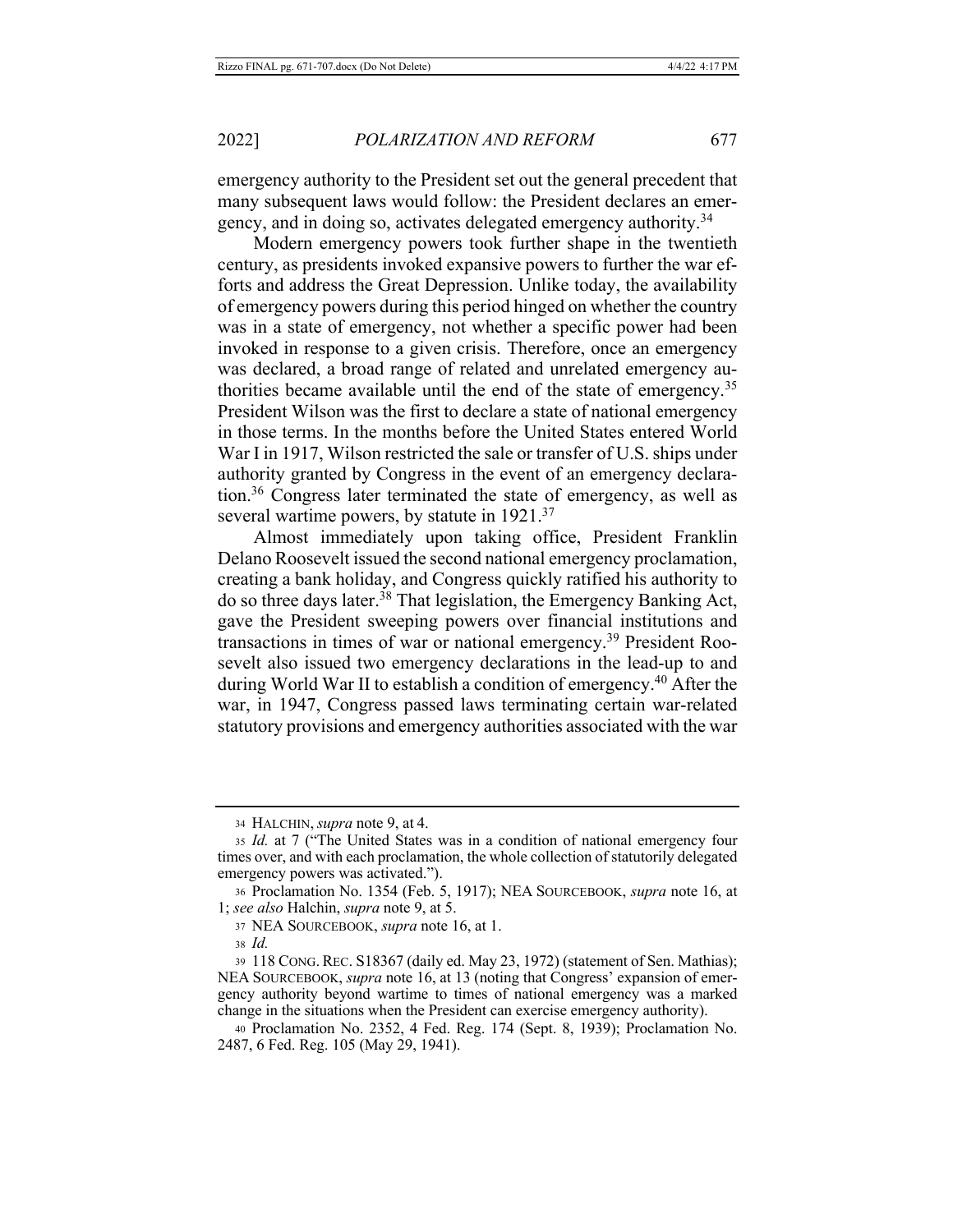emergency authority to the President set out the general precedent that many subsequent laws would follow: the President declares an emergency, and in doing so, activates delegated emergency authority.<sup>34</sup>

Modern emergency powers took further shape in the twentieth century, as presidents invoked expansive powers to further the war efforts and address the Great Depression. Unlike today, the availability of emergency powers during this period hinged on whether the country was in a state of emergency, not whether a specific power had been invoked in response to a given crisis. Therefore, once an emergency was declared, a broad range of related and unrelated emergency authorities became available until the end of the state of emergency.<sup>35</sup> President Wilson was the first to declare a state of national emergency in those terms. In the months before the United States entered World War I in 1917, Wilson restricted the sale or transfer of U.S. ships under authority granted by Congress in the event of an emergency declaration.<sup>36</sup> Congress later terminated the state of emergency, as well as several wartime powers, by statute in 1921.<sup>37</sup>

Almost immediately upon taking office, President Franklin Delano Roosevelt issued the second national emergency proclamation, creating a bank holiday, and Congress quickly ratified his authority to do so three days later.<sup>38</sup> That legislation, the Emergency Banking Act, gave the President sweeping powers over financial institutions and transactions in times of war or national emergency.<sup>39</sup> President Roosevelt also issued two emergency declarations in the lead-up to and during World War II to establish a condition of emergency.<sup>40</sup> After the war, in 1947, Congress passed laws terminating certain war-related statutory provisions and emergency authorities associated with the war

<sup>34</sup> HALCHIN, *supra* note 9, at 4.

<sup>35</sup> Id. at 7 ("The United States was in a condition of national emergency four times over, and with each proclamation, the whole collection of statutorily delegated emergency powers was activated.").

<sup>36</sup> Proclamation No. 1354 (Feb. 5, 1917); NEA SOURCEBOOK, supra note 16, at 1; see also Halchin, supra note 9, at 5.

<sup>37</sup> NEA SOURCEBOOK, supra note 16, at 1.

 $38 \text{ Id}$ 

<sup>39 118</sup> CONG. REC. S18367 (daily ed. May 23, 1972) (statement of Sen. Mathias); NEA SOURCEBOOK, *supra* note 16, at 13 (noting that Congress' expansion of emergency authority beyond wartime to times of national emergency was a marked change in the situations when the President can exercise emergency authority).

<sup>40</sup> Proclamation No. 2352, 4 Fed. Reg. 174 (Sept. 8, 1939); Proclamation No. 2487, 6 Fed. Reg. 105 (May 29, 1941).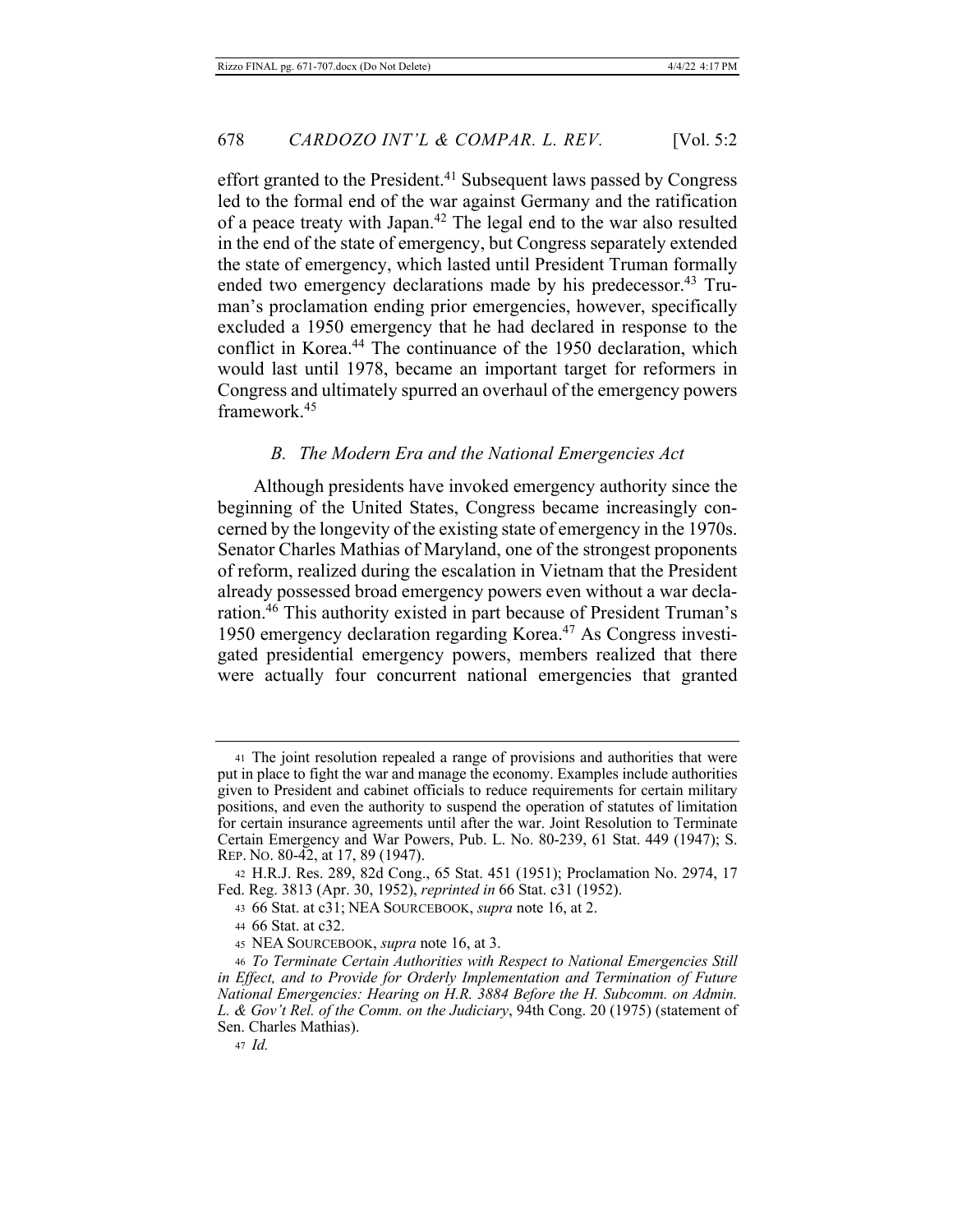effort granted to the President.<sup>41</sup> Subsequent laws passed by Congress led to the formal end of the war against Germany and the ratification of a peace treaty with Japan.<sup>42</sup> The legal end to the war also resulted in the end of the state of emergency, but Congress separately extended the state of emergency, which lasted until President Truman formally ended two emergency declarations made by his predecessor.<sup>43</sup> Truman's proclamation ending prior emergencies, however, specifically excluded a 1950 emergency that he had declared in response to the conflict in Korea.<sup>44</sup> The continuance of the 1950 declaration, which would last until 1978, became an important target for reformers in Congress and ultimately spurred an overhaul of the emergency powers framework.<sup>45</sup>

#### The Modern Era and the National Emergencies Act *B*.

Although presidents have invoked emergency authority since the beginning of the United States, Congress became increasingly concerned by the longevity of the existing state of emergency in the 1970s. Senator Charles Mathias of Maryland, one of the strongest proponents of reform, realized during the escalation in Vietnam that the President already possessed broad emergency powers even without a war declaration.<sup>46</sup> This authority existed in part because of President Truman's 1950 emergency declaration regarding Korea.<sup>47</sup> As Congress investigated presidential emergency powers, members realized that there were actually four concurrent national emergencies that granted

<sup>41</sup> The joint resolution repealed a range of provisions and authorities that were put in place to fight the war and manage the economy. Examples include authorities given to President and cabinet officials to reduce requirements for certain military positions, and even the authority to suspend the operation of statutes of limitation for certain insurance agreements until after the war. Joint Resolution to Terminate Certain Emergency and War Powers, Pub. L. No. 80-239, 61 Stat. 449 (1947); S. REP. No. 80-42, at 17, 89 (1947).

<sup>42</sup> H.R.J. Res. 289, 82d Cong., 65 Stat. 451 (1951); Proclamation No. 2974, 17 Fed. Reg. 3813 (Apr. 30, 1952), reprinted in 66 Stat. c31 (1952).

<sup>43 66</sup> Stat. at c31; NEA SOURCEBOOK, supra note 16, at 2.

<sup>44 66</sup> Stat. at c32.

<sup>45</sup> NEA SOURCEBOOK, supra note 16, at 3.

<sup>46</sup> To Terminate Certain Authorities with Respect to National Emergencies Still in Effect, and to Provide for Orderly Implementation and Termination of Future National Emergencies: Hearing on H.R. 3884 Before the H. Subcomm. on Admin. L. & Gov't Rel. of the Comm. on the Judiciary, 94th Cong. 20 (1975) (statement of Sen. Charles Mathias).

 $47$  *Id.*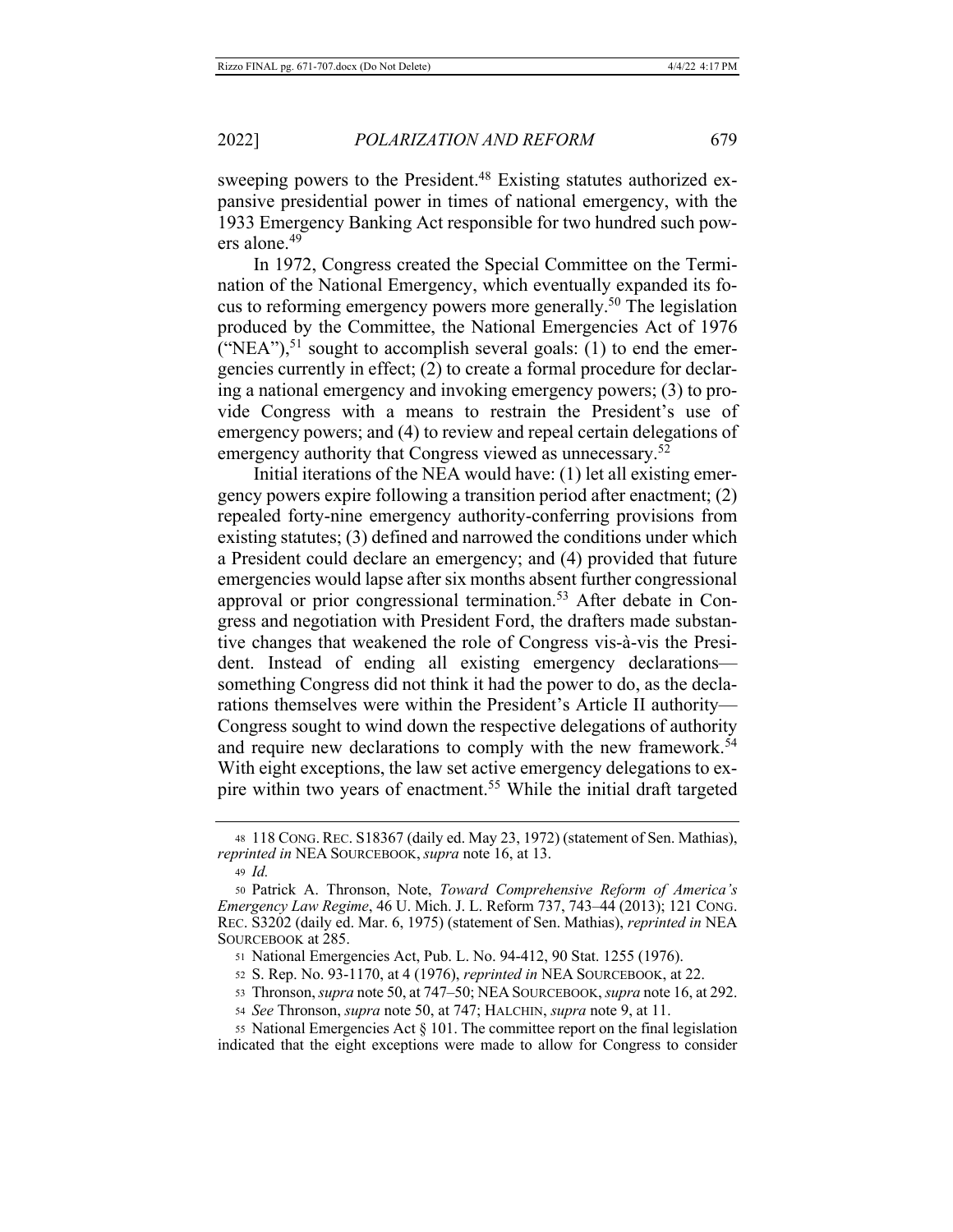sweeping powers to the President.<sup>48</sup> Existing statutes authorized expansive presidential power in times of national emergency, with the 1933 Emergency Banking Act responsible for two hundred such powers alone.<sup>49</sup>

In 1972, Congress created the Special Committee on the Termination of the National Emergency, which eventually expanded its focus to reforming emergency powers more generally.<sup>50</sup> The legislation produced by the Committee, the National Emergencies Act of 1976 ("NEA"), $51$  sought to accomplish several goals: (1) to end the emergencies currently in effect; (2) to create a formal procedure for declaring a national emergency and invoking emergency powers; (3) to provide Congress with a means to restrain the President's use of emergency powers; and (4) to review and repeal certain delegations of emergency authority that Congress viewed as unnecessary.<sup>52</sup>

Initial iterations of the NEA would have: (1) let all existing emergency powers expire following a transition period after enactment; (2) repealed forty-nine emergency authority-conferring provisions from existing statutes; (3) defined and narrowed the conditions under which a President could declare an emergency; and (4) provided that future emergencies would lapse after six months absent further congressional approval or prior congressional termination.<sup>53</sup> After debate in Congress and negotiation with President Ford, the drafters made substantive changes that weakened the role of Congress vis-à-vis the President. Instead of ending all existing emergency declarationssomething Congress did not think it had the power to do, as the declarations themselves were within the President's Article II authority-Congress sought to wind down the respective delegations of authority and require new declarations to comply with the new framework.<sup>54</sup> With eight exceptions, the law set active emergency delegations to expire within two years of enactment.<sup>55</sup> While the initial draft targeted

- 51 National Emergencies Act, Pub. L. No. 94-412, 90 Stat. 1255 (1976).
- 52 S. Rep. No. 93-1170, at 4 (1976), reprinted in NEA SOURCEBOOK, at 22.
- 53 Thronson, *supra* note 50, at 747-50; NEA SOURCEBOOK, *supra* note 16, at 292.
- 54 See Thronson, *supra* note 50, at 747; HALCHIN, *supra* note 9, at 11.

55 National Emergencies Act  $\S$  101. The committee report on the final legislation indicated that the eight exceptions were made to allow for Congress to consider

<sup>48 118</sup> CONG. REC. S18367 (daily ed. May 23, 1972) (statement of Sen. Mathias), reprinted in NEA SOURCEBOOK, supra note 16, at 13.

 $49$  *Id.* 

<sup>50</sup> Patrick A. Thronson, Note, Toward Comprehensive Reform of America's Emergency Law Regime, 46 U. Mich. J. L. Reform 737, 743-44 (2013); 121 CONG. REC. S3202 (daily ed. Mar. 6, 1975) (statement of Sen. Mathias), reprinted in NEA SOURCEBOOK at 285.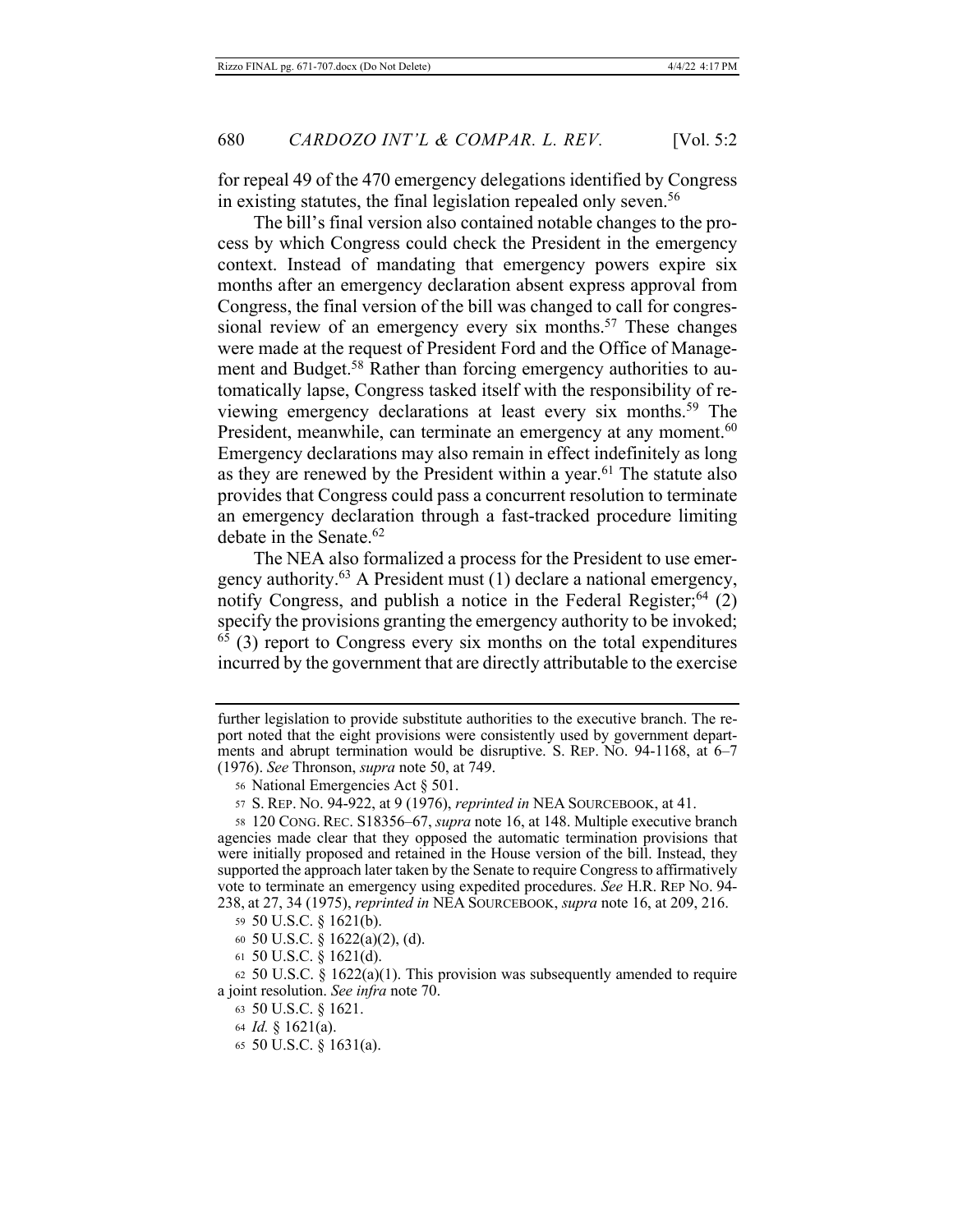for repeal 49 of the 470 emergency delegations identified by Congress in existing statutes, the final legislation repealed only seven.<sup>56</sup>

The bill's final version also contained notable changes to the process by which Congress could check the President in the emergency context. Instead of mandating that emergency powers expire six months after an emergency declaration absent express approval from Congress, the final version of the bill was changed to call for congressional review of an emergency every six months.<sup>57</sup> These changes were made at the request of President Ford and the Office of Management and Budget.<sup>58</sup> Rather than forcing emergency authorities to automatically lapse, Congress tasked itself with the responsibility of reviewing emergency declarations at least every six months.<sup>59</sup> The President, meanwhile, can terminate an emergency at any moment.<sup>60</sup> Emergency declarations may also remain in effect indefinitely as long as they are renewed by the President within a year.<sup>61</sup> The statute also provides that Congress could pass a concurrent resolution to terminate an emergency declaration through a fast-tracked procedure limiting debate in the Senate.<sup>62</sup>

The NEA also formalized a process for the President to use emergency authority.<sup>63</sup> A President must (1) declare a national emergency, notify Congress, and publish a notice in the Federal Register;<sup>64</sup>  $(2)$ specify the provisions granting the emergency authority to be invoked;  $^{65}$  (3) report to Congress every six months on the total expenditures incurred by the government that are directly attributable to the exercise

- 59 50 U.S.C. § 1621(b).
- 60 50 U.S.C.  $\S$  1622(a)(2), (d).
- 61 50 U.S.C.  $\S$  1621(d).

63 50 U.S.C. § 1621.

65 50 U.S.C.  $\S$  1631(a).

further legislation to provide substitute authorities to the executive branch. The report noted that the eight provisions were consistently used by government departments and abrupt termination would be disruptive. S. REP. No. 94-1168, at  $6-7$ (1976). See Thronson, *supra* note 50, at 749.

<sup>56</sup> National Emergencies Act § 501.

<sup>57</sup> S. REP. No. 94-922, at 9 (1976), *reprinted in* NEA SOURCEBOOK, at 41.

<sup>58 120</sup> CONG. REC. S18356–67, *supra* note 16, at 148. Multiple executive branch agencies made clear that they opposed the automatic termination provisions that were initially proposed and retained in the House version of the bill. Instead, they supported the approach later taken by the Senate to require Congress to affirmatively vote to terminate an emergency using expedited procedures. See H.R. REP No. 94-238, at 27, 34 (1975), *reprinted in* NEA SOURCEBOOK, *supra* note 16, at 209, 216.

 $62$  50 U.S.C. § 1622(a)(1). This provision was subsequently amended to require a joint resolution. See infra note 70.

<sup>64</sup> *Id.* § 1621(a).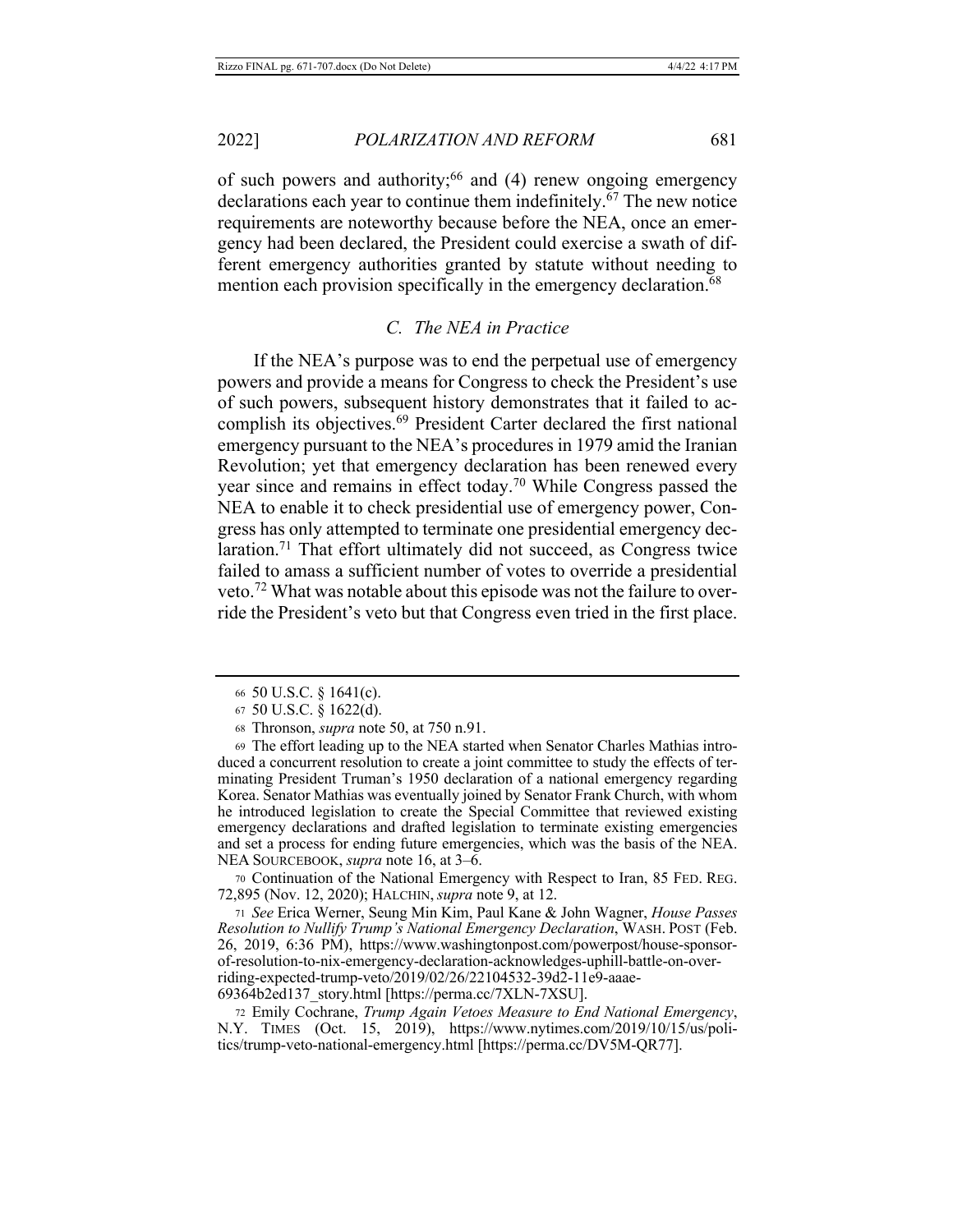of such powers and authority;<sup>66</sup> and (4) renew ongoing emergency declarations each year to continue them indefinitely.<sup>67</sup> The new notice requirements are noteworthy because before the NEA, once an emergency had been declared, the President could exercise a swath of different emergency authorities granted by statute without needing to mention each provision specifically in the emergency declaration.<sup>68</sup>

## C. The NEA in Practice

If the NEA's purpose was to end the perpetual use of emergency powers and provide a means for Congress to check the President's use of such powers, subsequent history demonstrates that it failed to accomplish its objectives.<sup>69</sup> President Carter declared the first national emergency pursuant to the NEA's procedures in 1979 amid the Iranian Revolution; yet that emergency declaration has been renewed every year since and remains in effect today.<sup>70</sup> While Congress passed the NEA to enable it to check presidential use of emergency power, Congress has only attempted to terminate one presidential emergency declaration.<sup>71</sup> That effort ultimately did not succeed, as Congress twice failed to amass a sufficient number of votes to override a presidential veto.<sup>72</sup> What was notable about this episode was not the failure to override the President's veto but that Congress even tried in the first place.

70 Continuation of the National Emergency with Respect to Iran, 85 FED. REG. 72,895 (Nov. 12, 2020); HALCHIN, supra note 9, at 12.

71 See Erica Werner, Seung Min Kim, Paul Kane & John Wagner, House Passes Resolution to Nullify Trump's National Emergency Declaration, WASH. POST (Feb. 26, 2019, 6:36 PM), https://www.washingtonpost.com/powerpost/house-sponsorof-resolution-to-nix-emergency-declaration-acknowledges-uphill-battle-on-overriding-expected-trump-veto/2019/02/26/22104532-39d2-11e9-aaae-69364b2ed137\_story.html [https://perma.cc/7XLN-7XSU].

72 Emily Cochrane, Trump Again Vetoes Measure to End National Emergency, N.Y. TIMES (Oct. 15, 2019), https://www.nytimes.com/2019/10/15/us/politics/trump-veto-national-emergency.html [https://perma.cc/DV5M-QR77].

<sup>66 50</sup> U.S.C. § 1641(c).

<sup>67 50</sup> U.S.C. § 1622(d).

<sup>68</sup> Thronson, *supra* note 50, at 750 n.91.

<sup>69</sup> The effort leading up to the NEA started when Senator Charles Mathias introduced a concurrent resolution to create a joint committee to study the effects of terminating President Truman's 1950 declaration of a national emergency regarding Korea. Senator Mathias was eventually joined by Senator Frank Church, with whom he introduced legislation to create the Special Committee that reviewed existing emergency declarations and drafted legislation to terminate existing emergencies and set a process for ending future emergencies, which was the basis of the NEA. NEA SOURCEBOOK, *supra* note 16, at 3–6.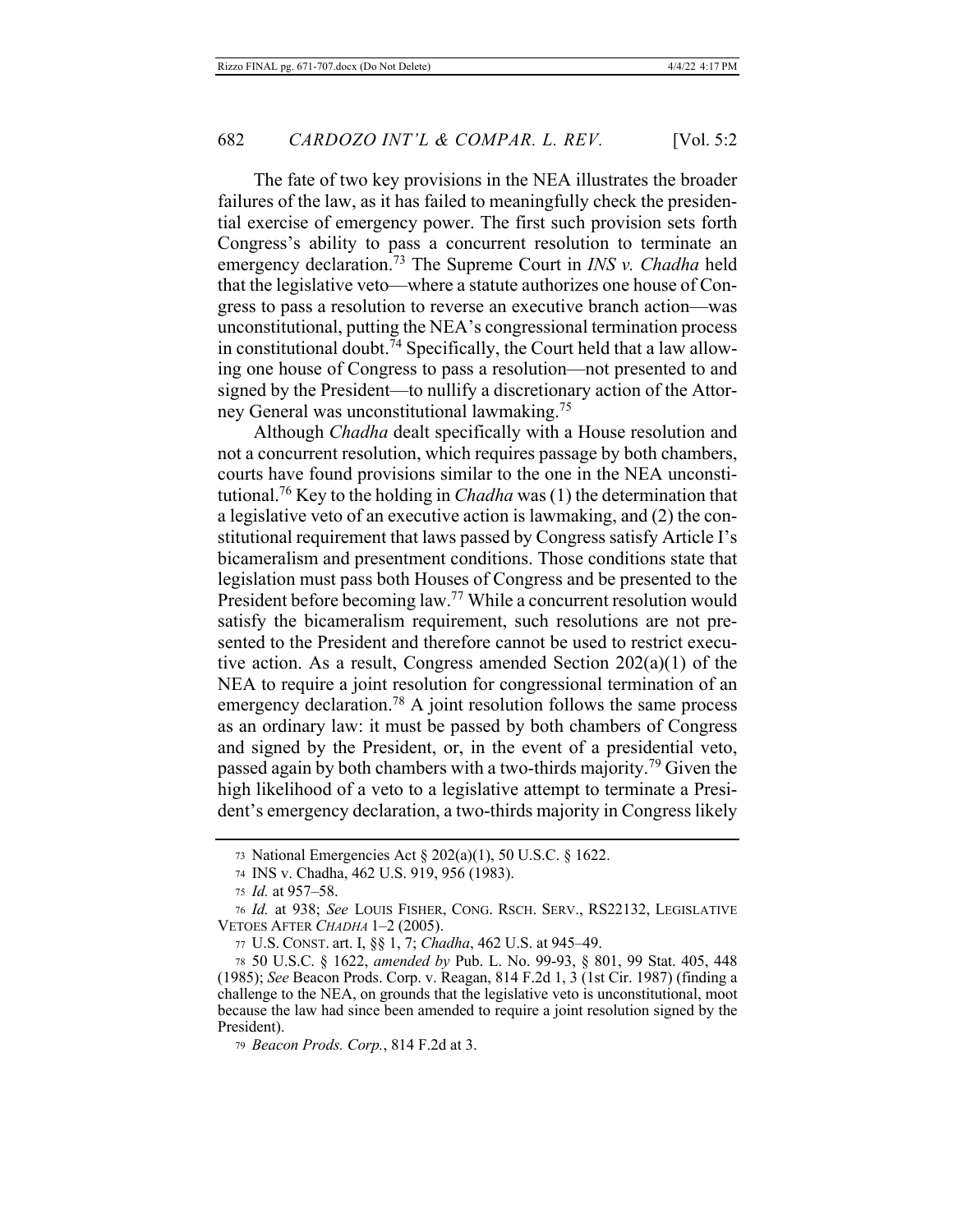The fate of two key provisions in the NEA illustrates the broader failures of the law, as it has failed to meaningfully check the presidential exercise of emergency power. The first such provision sets forth Congress's ability to pass a concurrent resolution to terminate an emergency declaration.<sup>73</sup> The Supreme Court in INS v. Chadha held that the legislative veto-where a statute authorizes one house of Congress to pass a resolution to reverse an executive branch action—was unconstitutional, putting the NEA's congressional termination process in constitutional doubt.  $\bar{7}$ <sup>4</sup> Specifically, the Court held that a law allowing one house of Congress to pass a resolution-not presented to and signed by the President—to nullify a discretionary action of the Attorney General was unconstitutional lawmaking.<sup>75</sup>

Although *Chadha* dealt specifically with a House resolution and not a concurrent resolution, which requires passage by both chambers, courts have found provisions similar to the one in the NEA unconstitutional.<sup>76</sup> Key to the holding in *Chadha* was (1) the determination that a legislative veto of an executive action is lawmaking, and (2) the constitutional requirement that laws passed by Congress satisfy Article I's bicameralism and presentment conditions. Those conditions state that legislation must pass both Houses of Congress and be presented to the President before becoming law.<sup>77</sup> While a concurrent resolution would satisfy the bicameralism requirement, such resolutions are not presented to the President and therefore cannot be used to restrict executive action. As a result, Congress amended Section  $202(a)(1)$  of the NEA to require a joint resolution for congressional termination of an emergency declaration.<sup>78</sup> A joint resolution follows the same process as an ordinary law: it must be passed by both chambers of Congress and signed by the President, or, in the event of a presidential veto, passed again by both chambers with a two-thirds majority.<sup>79</sup> Given the high likelihood of a veto to a legislative attempt to terminate a President's emergency declaration, a two-thirds majority in Congress likely

79 Beacon Prods. Corp., 814 F.2d at 3.

<sup>73</sup> National Emergencies Act § 202(a)(1), 50 U.S.C. § 1622.

<sup>74</sup> INS v. Chadha, 462 U.S. 919, 956 (1983).

<sup>75</sup> *Id.* at 957-58.

<sup>76</sup> Id. at 938; See LOUIS FISHER, CONG. RSCH. SERV., RS22132, LEGISLATIVE VETOES AFTER CHADHA 1-2 (2005).

<sup>77</sup> U.S. CONST. art. I, §§ 1, 7; Chadha, 462 U.S. at 945-49.

<sup>78 50</sup> U.S.C. § 1622, amended by Pub. L. No. 99-93, § 801, 99 Stat. 405, 448 (1985); See Beacon Prods. Corp. v. Reagan, 814 F.2d 1, 3 (1st Cir. 1987) (finding a challenge to the NEA, on grounds that the legislative veto is unconstitutional, moot because the law had since been amended to require a joint resolution signed by the President).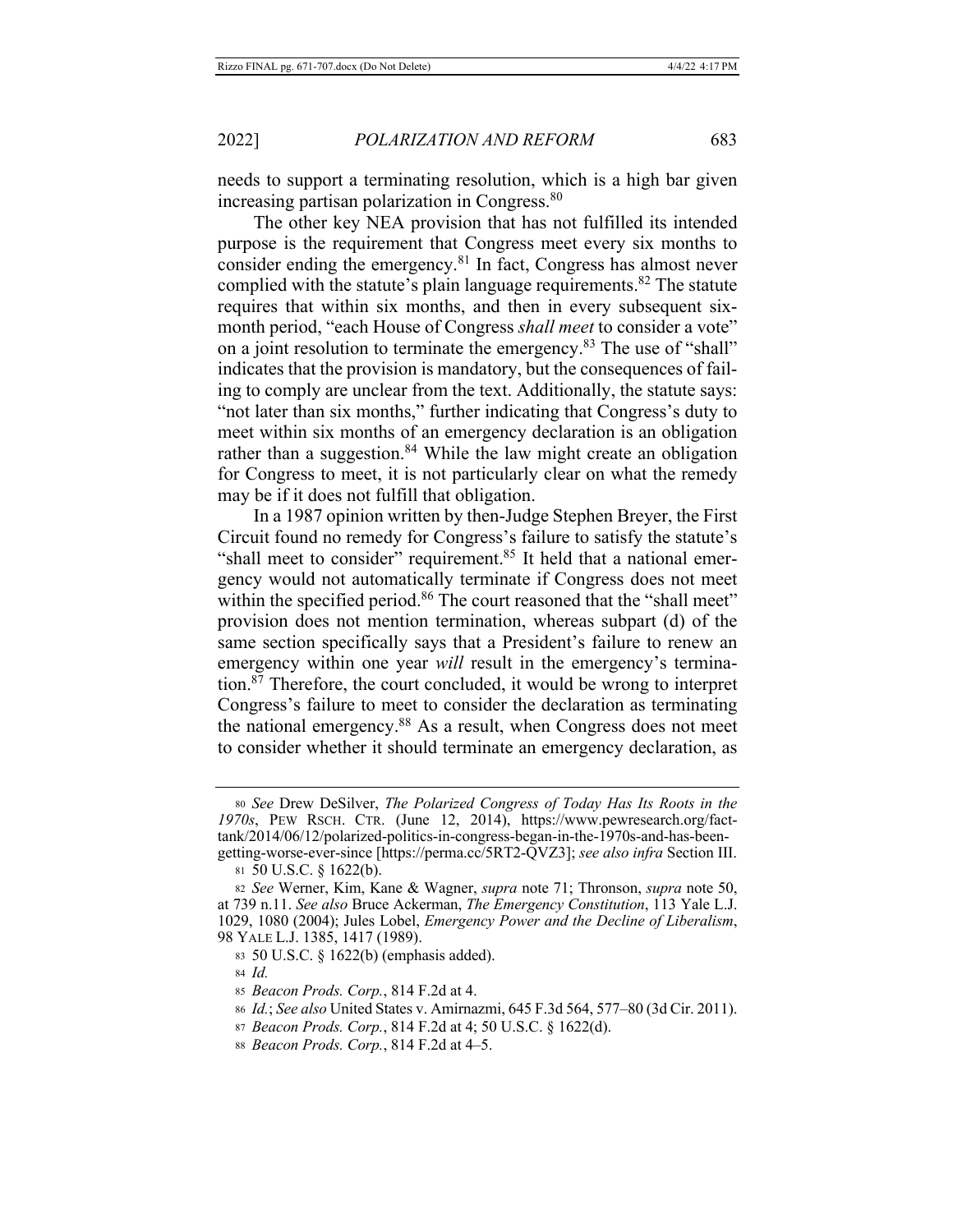needs to support a terminating resolution, which is a high bar given increasing partisan polarization in Congress.<sup>80</sup>

The other key NEA provision that has not fulfilled its intended purpose is the requirement that Congress meet every six months to consider ending the emergency. $81$  In fact, Congress has almost never complied with the statute's plain language requirements.<sup>82</sup> The statute requires that within six months, and then in every subsequent sixmonth period, "each House of Congress shall meet to consider a vote" on a joint resolution to terminate the emergency.<sup>83</sup> The use of "shall" indicates that the provision is mandatory, but the consequences of failing to comply are unclear from the text. Additionally, the statute says: "not later than six months," further indicating that Congress's duty to meet within six months of an emergency declaration is an obligation rather than a suggestion.<sup>84</sup> While the law might create an obligation for Congress to meet, it is not particularly clear on what the remedy may be if it does not fulfill that obligation.

In a 1987 opinion written by then-Judge Stephen Breyer, the First Circuit found no remedy for Congress's failure to satisfy the statute's "shall meet to consider" requirement.<sup>85</sup> It held that a national emergency would not automatically terminate if Congress does not meet within the specified period.<sup>86</sup> The court reasoned that the "shall meet" provision does not mention termination, whereas subpart (d) of the same section specifically says that a President's failure to renew an emergency within one year will result in the emergency's termination.<sup>87</sup> Therefore, the court concluded, it would be wrong to interpret Congress's failure to meet to consider the declaration as terminating the national emergency. $88$  As a result, when Congress does not meet to consider whether it should terminate an emergency declaration, as

<sup>80</sup> See Drew DeSilver, The Polarized Congress of Today Has Its Roots in the 1970s, PEW RSCH. CTR. (June 12, 2014), https://www.pewresearch.org/facttank/2014/06/12/polarized-politics-in-congress-began-in-the-1970s-and-has-beengetting-worse-ever-since [https://perma.cc/5RT2-QVZ3]; see also infra Section III.

 $81\,50$  U.S.C.  $\S$  1622(b).

<sup>82</sup> See Werner, Kim, Kane & Wagner, *supra* note 71; Thronson, *supra* note 50, at 739 n.11. See also Bruce Ackerman, The Emergency Constitution, 113 Yale L.J. 1029, 1080 (2004); Jules Lobel, *Emergency Power and the Decline of Liberalism*, 98 YALE L.J. 1385, 1417 (1989).

<sup>83 50</sup> U.S.C. § 1622(b) (emphasis added).

 $84$  *Id.* 

<sup>85</sup> Beacon Prods. Corp., 814 F.2d at 4.

<sup>86</sup> *Id.*; See also United States v. Amirnazmi, 645 F.3d 564, 577–80 (3d Cir. 2011).

<sup>87</sup> Beacon Prods. Corp., 814 F.2d at 4; 50 U.S.C. § 1622(d).

<sup>88</sup> *Beacon Prods. Corp.*, 814 F.2d at 4–5.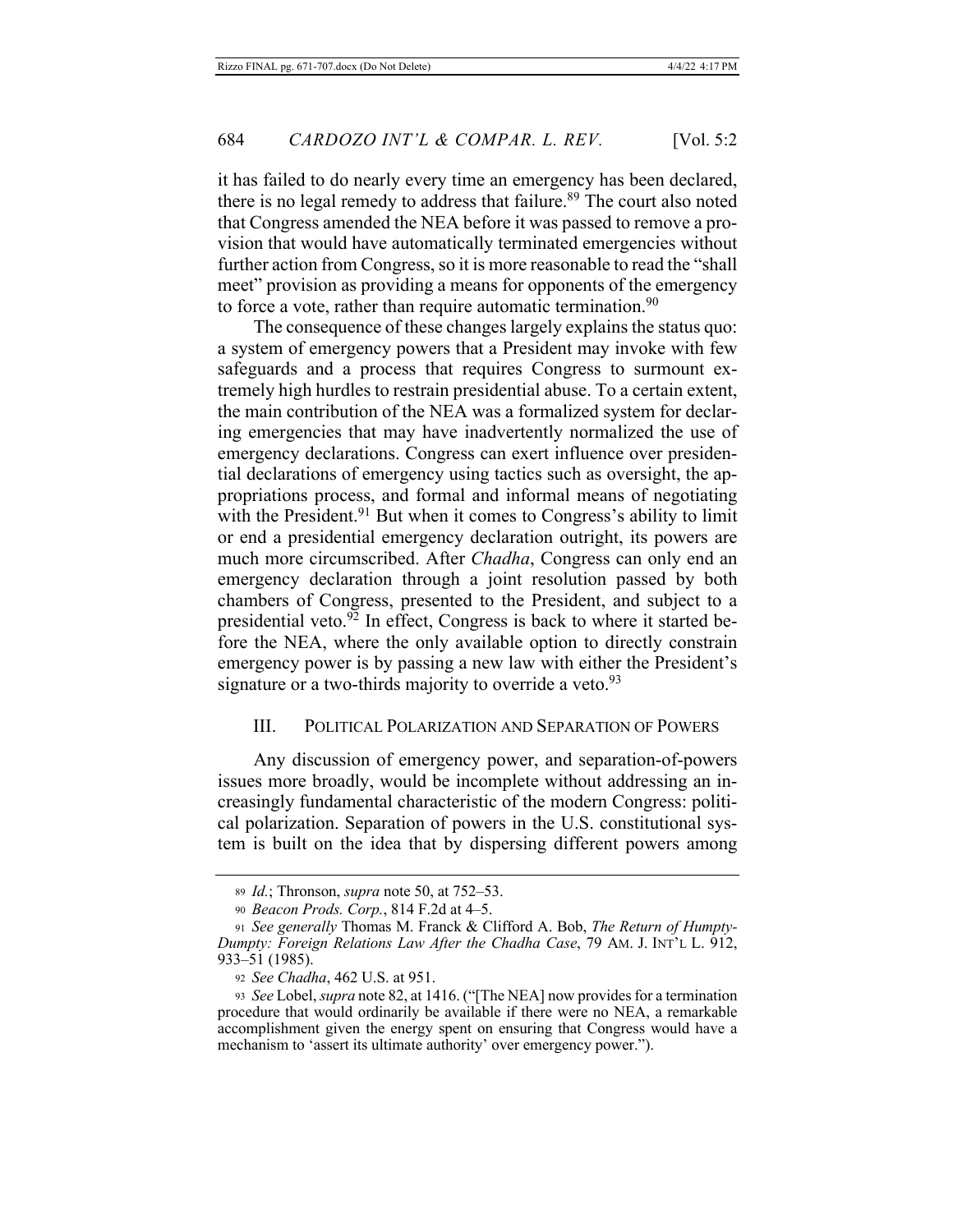it has failed to do nearly every time an emergency has been declared, there is no legal remedy to address that failure.<sup>89</sup> The court also noted that Congress amended the NEA before it was passed to remove a provision that would have automatically terminated emergencies without further action from Congress, so it is more reasonable to read the "shall" meet" provision as providing a means for opponents of the emergency to force a vote, rather than require automatic termination.<sup>90</sup>

The consequence of these changes largely explains the status quo: a system of emergency powers that a President may invoke with few safeguards and a process that requires Congress to surmount extremely high hurdles to restrain presidential abuse. To a certain extent, the main contribution of the NEA was a formalized system for declaring emergencies that may have inadvertently normalized the use of emergency declarations. Congress can exert influence over presidential declarations of emergency using tactics such as oversight, the appropriations process, and formal and informal means of negotiating with the President.<sup>91</sup> But when it comes to Congress's ability to limit or end a presidential emergency declaration outright, its powers are much more circumscribed. After *Chadha*, Congress can only end an emergency declaration through a joint resolution passed by both chambers of Congress, presented to the President, and subject to a presidential veto.<sup>92</sup> In effect, Congress is back to where it started before the NEA, where the only available option to directly constrain emergency power is by passing a new law with either the President's signature or a two-thirds majority to override a veto.<sup>93</sup>

### III. POLITICAL POLARIZATION AND SEPARATION OF POWERS

Any discussion of emergency power, and separation-of-powers issues more broadly, would be incomplete without addressing an increasingly fundamental characteristic of the modern Congress: political polarization. Separation of powers in the U.S. constitutional system is built on the idea that by dispersing different powers among

<sup>89</sup> *Id.*; Thronson, *supra* note 50, at 752–53.

<sup>90</sup> Beacon Prods. Corp., 814 F.2d at 4-5.

<sup>91</sup> See generally Thomas M. Franck & Clifford A. Bob, The Return of Humpty-*Dumpty: Foreign Relations Law After the Chadha Case, 79 AM. J. INT'L L. 912,* 933-51 (1985).

<sup>92</sup> *See Chadha*, 462 U.S. at 951.

<sup>93</sup> See Lobel, *supra* note 82, at 1416. ("[The NEA] now provides for a termination procedure that would ordinarily be available if there were no NEA, a remarkable accomplishment given the energy spent on ensuring that Congress would have a mechanism to 'assert its ultimate authority' over emergency power.").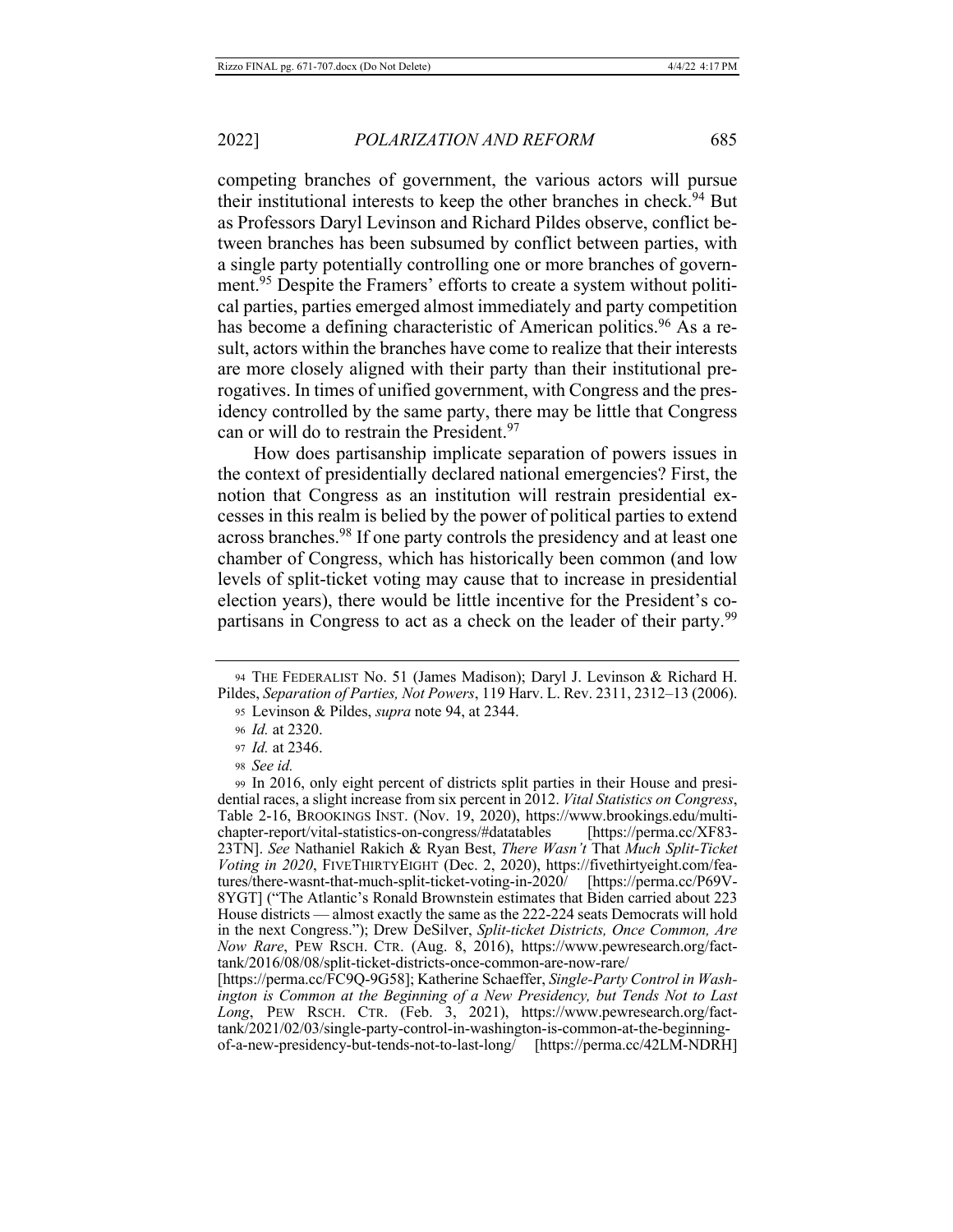competing branches of government, the various actors will pursue their institutional interests to keep the other branches in check.<sup>94</sup> But as Professors Daryl Levinson and Richard Pildes observe, conflict between branches has been subsumed by conflict between parties, with a single party potentially controlling one or more branches of government.<sup>95</sup> Despite the Framers' efforts to create a system without political parties, parties emerged almost immediately and party competition has become a defining characteristic of American politics.<sup>96</sup> As a result, actors within the branches have come to realize that their interests are more closely aligned with their party than their institutional prerogatives. In times of unified government, with Congress and the presidency controlled by the same party, there may be little that Congress can or will do to restrain the President.97

How does partisanship implicate separation of powers issues in the context of presidentially declared national emergencies? First, the notion that Congress as an institution will restrain presidential excesses in this realm is belied by the power of political parties to extend across branches.<sup>98</sup> If one party controls the presidency and at least one chamber of Congress, which has historically been common (and low levels of split-ticket voting may cause that to increase in presidential election years), there would be little incentive for the President's copartisans in Congress to act as a check on the leader of their party.<sup>99</sup>

95 Levinson & Pildes, *supra* note 94, at 2344.

<sup>94</sup> THE FEDERALIST No. 51 (James Madison); Daryl J. Levinson & Richard H. Pildes, Separation of Parties, Not Powers, 119 Harv. L. Rev. 2311, 2312-13 (2006).

<sup>96</sup> *Id.* at 2320.

<sup>97</sup> *Id.* at 2346.

<sup>98</sup> See id.

<sup>99</sup> In 2016, only eight percent of districts split parties in their House and presidential races, a slight increase from six percent in 2012. Vital Statistics on Congress, Table 2-16, BROOKINGS INST. (Nov. 19, 2020), https://www.brookings.edu/multichapter-report/vital-statistics-on-congress/#datatables [https://perma.cc/XF83-23TN]. See Nathaniel Rakich & Ryan Best, There Wasn't That Much Split-Ticket Voting in 2020, FIVETHIRTYEIGHT (Dec. 2, 2020), https://fivethirtyeight.com/features/there-wasnt-that-much-split-ticket-voting-in-2020/ [https://perma.cc/P69V-8YGT] ("The Atlantic's Ronald Brownstein estimates that Biden carried about 223 House districts — almost exactly the same as the 222-224 seats Democrats will hold in the next Congress."); Drew DeSilver, Split-ticket Districts, Once Common, Are Now Rare, PEW RSCH. CTR. (Aug. 8, 2016), https://www.pewresearch.org/facttank/2016/08/08/split-ticket-districts-once-common-are-now-rare/

<sup>[</sup>https://perma.cc/FC9Q-9G58]; Katherine Schaeffer, Single-Party Control in Washington is Common at the Beginning of a New Presidency, but Tends Not to Last Long, PEW RSCH. CTR. (Feb. 3, 2021), https://www.pewresearch.org/facttank/2021/02/03/single-party-control-in-washington-is-common-at-the-beginningof-a-new-presidency-but-tends-not-to-last-long/ [https://perma.cc/42LM-NDRH]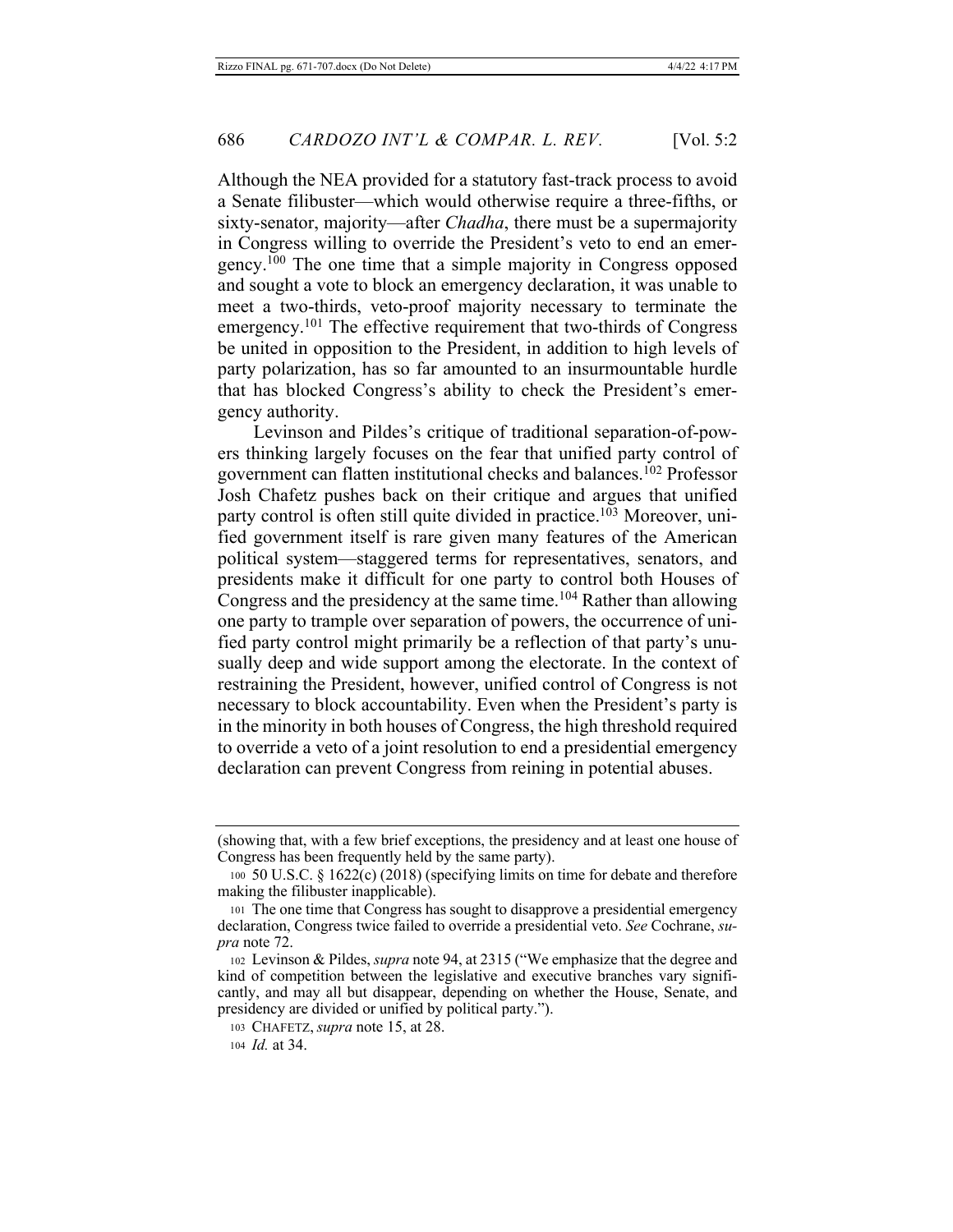Although the NEA provided for a statutory fast-track process to avoid a Senate filibuster—which would otherwise require a three-fifths, or sixty-senator, majority—after *Chadha*, there must be a supermajority in Congress willing to override the President's veto to end an emergency.<sup>100</sup> The one time that a simple majority in Congress opposed and sought a vote to block an emergency declaration, it was unable to meet a two-thirds, veto-proof majority necessary to terminate the emergency.<sup>101</sup> The effective requirement that two-thirds of Congress be united in opposition to the President, in addition to high levels of party polarization, has so far amounted to an insurmountable hurdle that has blocked Congress's ability to check the President's emergency authority.

Levinson and Pildes's critique of traditional separation-of-powers thinking largely focuses on the fear that unified party control of government can flatten institutional checks and balances.<sup>102</sup> Professor Josh Chafetz pushes back on their critique and argues that unified party control is often still quite divided in practice.<sup>103</sup> Moreover, unified government itself is rare given many features of the American political system-staggered terms for representatives, senators, and presidents make it difficult for one party to control both Houses of Congress and the presidency at the same time.<sup>104</sup> Rather than allowing one party to trample over separation of powers, the occurrence of unified party control might primarily be a reflection of that party's unusually deep and wide support among the electorate. In the context of restraining the President, however, unified control of Congress is not necessary to block accountability. Even when the President's party is in the minority in both houses of Congress, the high threshold required to override a veto of a joint resolution to end a presidential emergency declaration can prevent Congress from reining in potential abuses.

<sup>(</sup>showing that, with a few brief exceptions, the presidency and at least one house of Congress has been frequently held by the same party).

<sup>100 50</sup> U.S.C. § 1622(c) (2018) (specifying limits on time for debate and therefore making the filibuster inapplicable).

<sup>101</sup> The one time that Congress has sought to disapprove a presidential emergency declaration, Congress twice failed to override a presidential veto. See Cochrane, su*pra* note 72.

<sup>102</sup> Levinson & Pildes, *supra* note 94, at 2315 ("We emphasize that the degree and kind of competition between the legislative and executive branches vary significantly, and may all but disappear, depending on whether the House, Senate, and presidency are divided or unified by political party.").

<sup>103</sup> CHAFETZ, *supra* note 15, at 28.

<sup>104</sup> *Id.* at 34.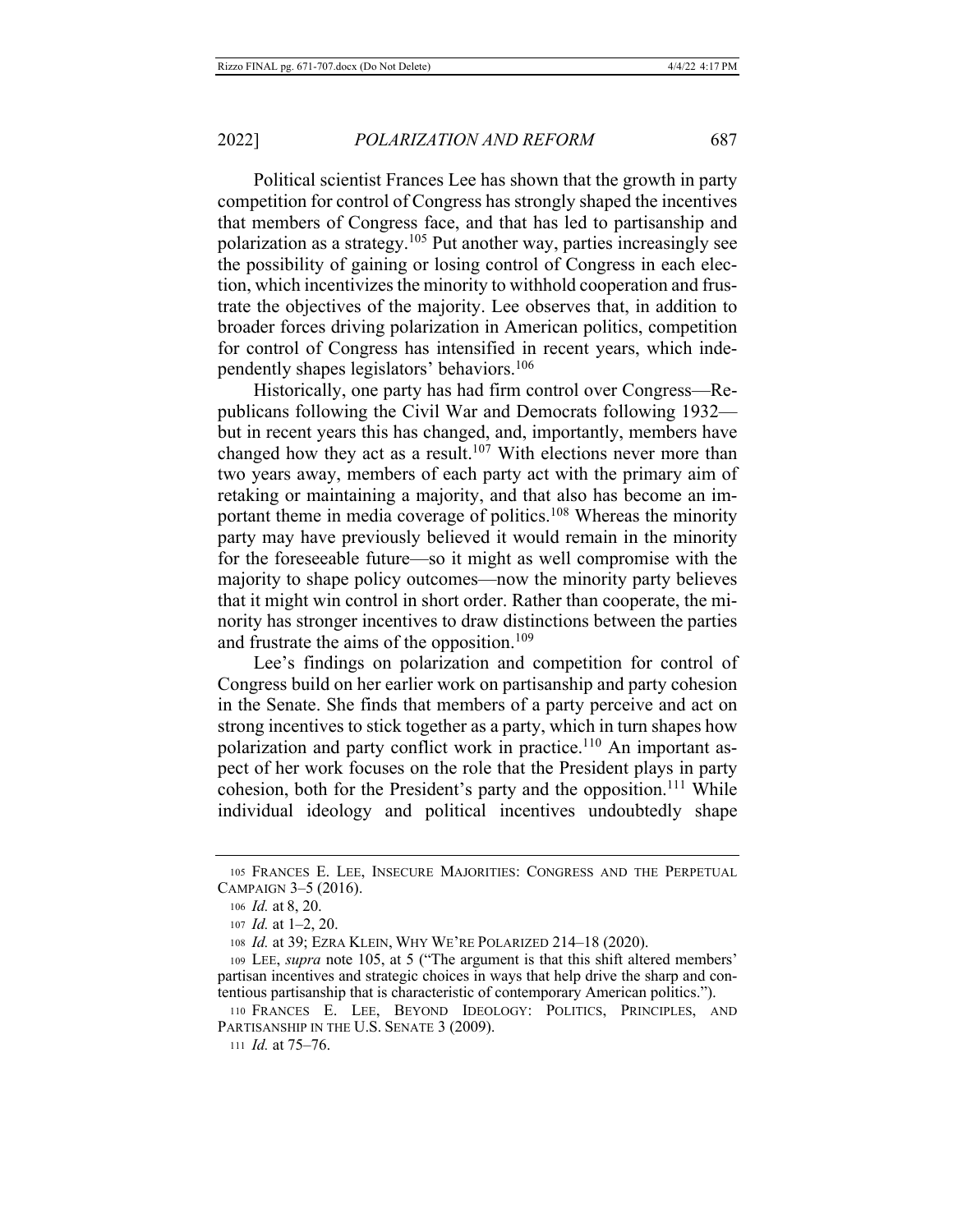Political scientist Frances Lee has shown that the growth in party competition for control of Congress has strongly shaped the incentives that members of Congress face, and that has led to partisanship and polarization as a strategy.<sup>105</sup> Put another way, parties increasingly see the possibility of gaining or losing control of Congress in each election, which incentivizes the minority to withhold cooperation and frustrate the objectives of the majority. Lee observes that, in addition to broader forces driving polarization in American politics, competition for control of Congress has intensified in recent years, which independently shapes legislators' behaviors.<sup>106</sup>

Historically, one party has had firm control over Congress-Republicans following the Civil War and Democrats following 1932but in recent years this has changed, and, importantly, members have changed how they act as a result.<sup>107</sup> With elections never more than two years away, members of each party act with the primary aim of retaking or maintaining a majority, and that also has become an important theme in media coverage of politics.<sup>108</sup> Whereas the minority party may have previously believed it would remain in the minority for the foreseeable future—so it might as well compromise with the majority to shape policy outcomes—now the minority party believes that it might win control in short order. Rather than cooperate, the minority has stronger incentives to draw distinctions between the parties and frustrate the aims of the opposition.<sup>109</sup>

Lee's findings on polarization and competition for control of Congress build on her earlier work on partisanship and party cohesion in the Senate. She finds that members of a party perceive and act on strong incentives to stick together as a party, which in turn shapes how polarization and party conflict work in practice.<sup>110</sup> An important aspect of her work focuses on the role that the President plays in party cohesion, both for the President's party and the opposition.<sup>111</sup> While individual ideology and political incentives undoubtedly shape

111 *Id.* at  $75-76$ .

<sup>105</sup> FRANCES E. LEE, INSECURE MAJORITIES: CONGRESS AND THE PERPETUAL CAMPAIGN 3-5 (2016).

<sup>106</sup> Id. at 8, 20.

<sup>107</sup> *Id.* at  $1-2$ , 20.

<sup>108</sup> Id. at 39; EZRA KLEIN, WHY WE'RE POLARIZED 214-18 (2020).

<sup>109</sup> LEE, *supra* note 105, at 5 ("The argument is that this shift altered members' partisan incentives and strategic choices in ways that help drive the sharp and contentious partisanship that is characteristic of contemporary American politics.").

<sup>110</sup> FRANCES E. LEE, BEYOND IDEOLOGY: POLITICS, PRINCIPLES, AND PARTISANSHIP IN THE U.S. SENATE 3 (2009).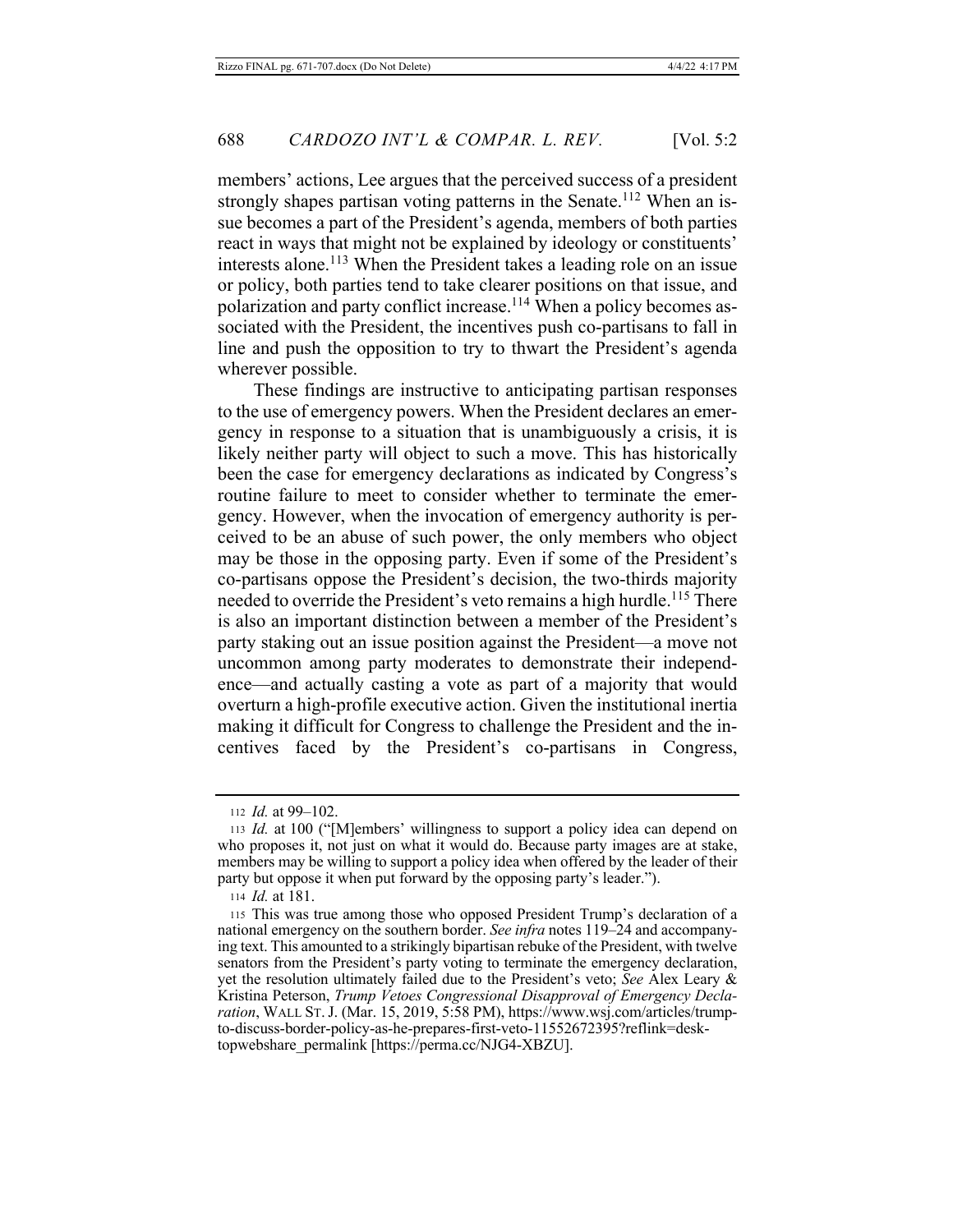members' actions, Lee argues that the perceived success of a president strongly shapes partisan voting patterns in the Senate.<sup>112</sup> When an issue becomes a part of the President's agenda, members of both parties react in ways that might not be explained by ideology or constituents' interests alone.<sup>113</sup> When the President takes a leading role on an issue or policy, both parties tend to take clearer positions on that issue, and polarization and party conflict increase.<sup>114</sup> When a policy becomes associated with the President, the incentives push co-partisans to fall in line and push the opposition to try to thwart the President's agenda wherever possible.

These findings are instructive to anticipating partisan responses to the use of emergency powers. When the President declares an emergency in response to a situation that is unambiguously a crisis, it is likely neither party will object to such a move. This has historically been the case for emergency declarations as indicated by Congress's routine failure to meet to consider whether to terminate the emergency. However, when the invocation of emergency authority is perceived to be an abuse of such power, the only members who object may be those in the opposing party. Even if some of the President's co-partisans oppose the President's decision, the two-thirds majority needed to override the President's veto remains a high hurdle.<sup>115</sup> There is also an important distinction between a member of the President's party staking out an issue position against the President—a move not uncommon among party moderates to demonstrate their independence—and actually casting a vote as part of a majority that would overturn a high-profile executive action. Given the institutional inertia making it difficult for Congress to challenge the President and the incentives faced by the President's co-partisans in Congress,

114 Id. at 181.

<sup>112</sup> *Id.* at 99-102.

<sup>113</sup> Id. at 100 ("[M]embers' willingness to support a policy idea can depend on who proposes it, not just on what it would do. Because party images are at stake, members may be willing to support a policy idea when offered by the leader of their party but oppose it when put forward by the opposing party's leader.").

<sup>115</sup> This was true among those who opposed President Trump's declaration of a national emergency on the southern border. See infra notes 119-24 and accompanying text. This amounted to a strikingly bipartisan rebuke of the President, with twelve senators from the President's party voting to terminate the emergency declaration, yet the resolution ultimately failed due to the President's veto; See Alex Leary  $\&$ Kristina Peterson, Trump Vetoes Congressional Disapproval of Emergency Declaration, WALL ST. J. (Mar. 15, 2019, 5:58 PM), https://www.wsj.com/articles/trumpto-discuss-border-policy-as-he-prepares-first-veto-11552672395?reflink=desktopwebshare permalink [https://perma.cc/NJG4-XBZU].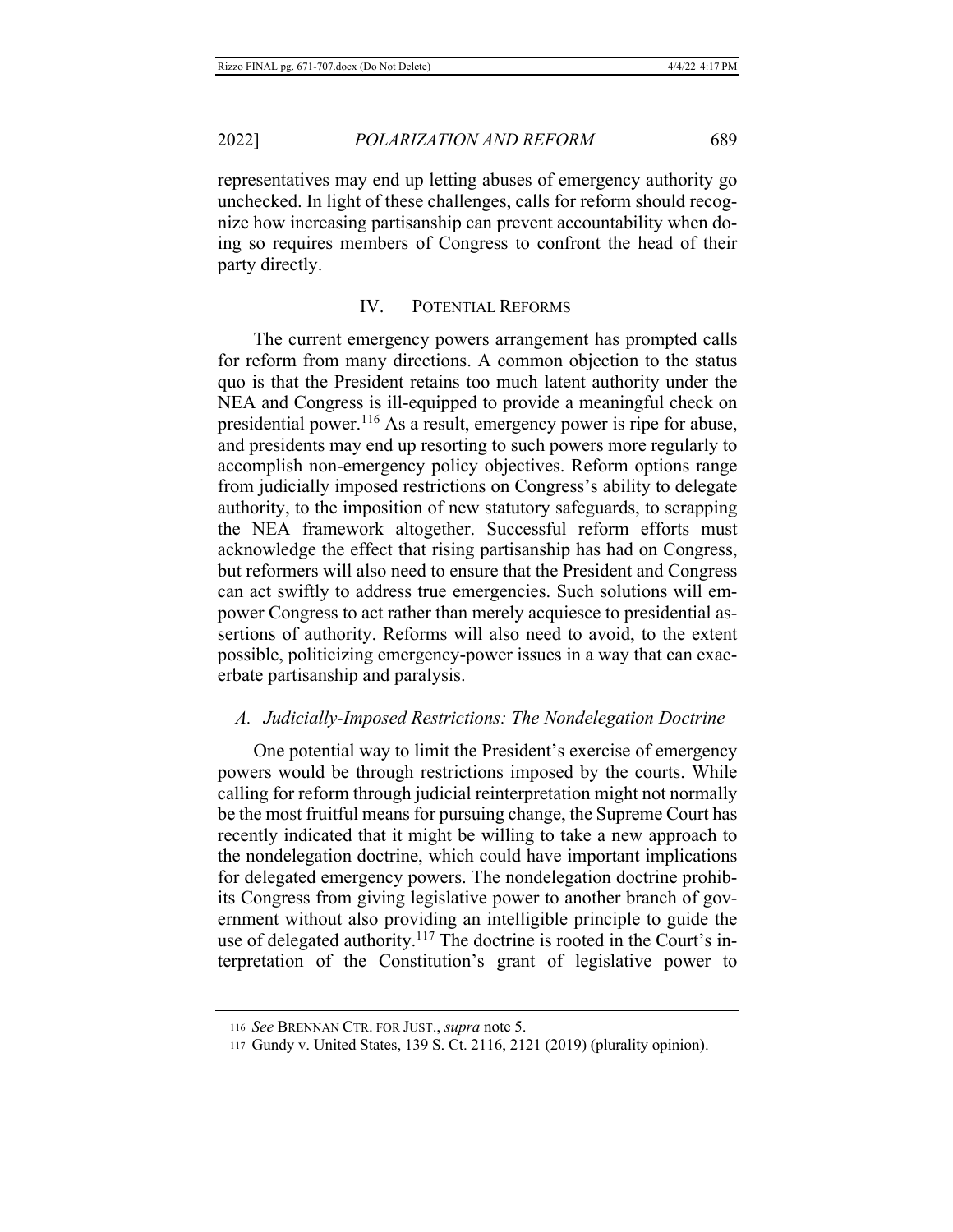representatives may end up letting abuses of emergency authority go unchecked. In light of these challenges, calls for reform should recognize how increasing partisanship can prevent accountability when doing so requires members of Congress to confront the head of their party directly.

## IV. POTENTIAL REFORMS

The current emergency powers arrangement has prompted calls for reform from many directions. A common objection to the status quo is that the President retains too much latent authority under the NEA and Congress is ill-equipped to provide a meaningful check on presidential power.<sup>116</sup> As a result, emergency power is ripe for abuse, and presidents may end up resorting to such powers more regularly to accomplish non-emergency policy objectives. Reform options range from judicially imposed restrictions on Congress's ability to delegate authority, to the imposition of new statutory safeguards, to scrapping the NEA framework altogether. Successful reform efforts must acknowledge the effect that rising partisanship has had on Congress, but reformers will also need to ensure that the President and Congress can act swiftly to address true emergencies. Such solutions will empower Congress to act rather than merely acquiesce to presidential assertions of authority. Reforms will also need to avoid, to the extent possible, politicizing emergency-power issues in a way that can exacerbate partisanship and paralysis.

## A. Judicially-Imposed Restrictions: The Nondelegation Doctrine

One potential way to limit the President's exercise of emergency powers would be through restrictions imposed by the courts. While calling for reform through judicial reinterpretation might not normally be the most fruitful means for pursuing change, the Supreme Court has recently indicated that it might be willing to take a new approach to the nondelegation doctrine, which could have important implications for delegated emergency powers. The nondelegation doctrine prohibits Congress from giving legislative power to another branch of government without also providing an intelligible principle to guide the use of delegated authority.<sup>117</sup> The doctrine is rooted in the Court's interpretation of the Constitution's grant of legislative power to

<sup>116</sup> See BRENNAN CTR. FOR JUST., supra note 5.

<sup>117</sup> Gundy v. United States, 139 S. Ct. 2116, 2121 (2019) (plurality opinion).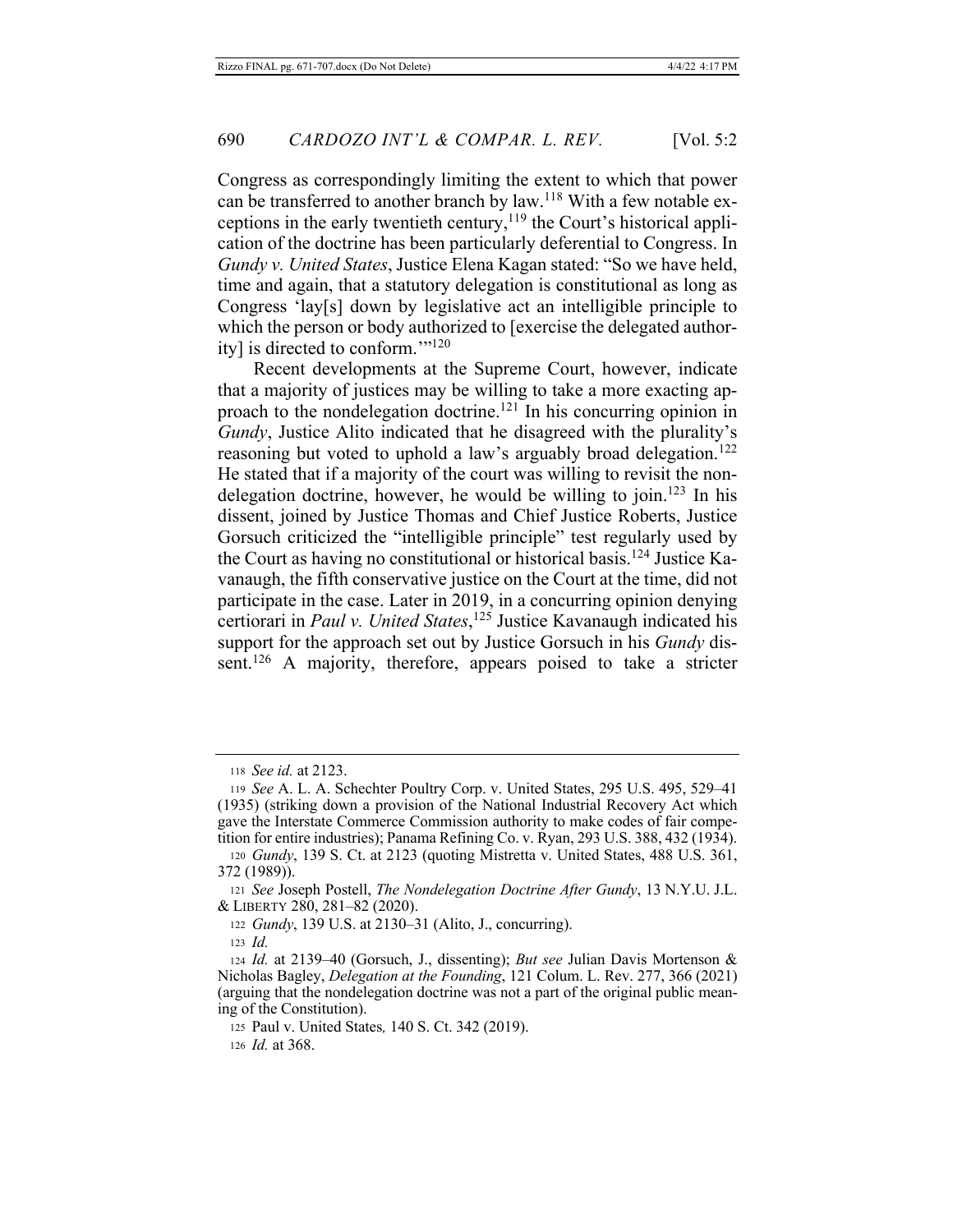Congress as correspondingly limiting the extent to which that power can be transferred to another branch by law.<sup>118</sup> With a few notable exceptions in the early twentieth century,<sup>119</sup> the Court's historical application of the doctrine has been particularly deferential to Congress. In Gundy v. United States, Justice Elena Kagan stated: "So we have held, time and again, that a statutory delegation is constitutional as long as Congress 'lay[s] down by legislative act an intelligible principle to which the person or body authorized to [exercise the delegated authority] is directed to conform.""<sup>120</sup>

Recent developments at the Supreme Court, however, indicate that a majority of justices may be willing to take a more exacting approach to the nondelegation doctrine.<sup>121</sup> In his concurring opinion in Gundy, Justice Alito indicated that he disagreed with the plurality's reasoning but voted to uphold a law's arguably broad delegation.<sup>122</sup> He stated that if a majority of the court was willing to revisit the nondelegation doctrine, however, he would be willing to join.<sup>123</sup> In his dissent, joined by Justice Thomas and Chief Justice Roberts, Justice Gorsuch criticized the "intelligible principle" test regularly used by the Court as having no constitutional or historical basis.<sup>124</sup> Justice Kavanaugh, the fifth conservative justice on the Court at the time, did not participate in the case. Later in 2019, in a concurring opinion denying certiorari in Paul v. United States,<sup>125</sup> Justice Kavanaugh indicated his support for the approach set out by Justice Gorsuch in his *Gundy* dissent.<sup>126</sup> A majority, therefore, appears poised to take a stricter

126 *Id.* at 368.

<sup>118</sup> See id. at 2123.

<sup>119</sup> See A. L. A. Schechter Poultry Corp. v. United States, 295 U.S. 495, 529-41 (1935) (striking down a provision of the National Industrial Recovery Act which gave the Interstate Commerce Commission authority to make codes of fair competition for entire industries); Panama Refining Co. v. Ryan, 293 U.S. 388, 432 (1934).

<sup>120</sup> Gundy, 139 S. Ct. at 2123 (quoting Mistretta v. United States, 488 U.S. 361, 372 (1989)).

<sup>121</sup> See Joseph Postell, The Nondelegation Doctrine After Gundy, 13 N.Y.U. J.L. & LIBERTY 280, 281-82 (2020).

<sup>122</sup> Gundy, 139 U.S. at 2130–31 (Alito, J., concurring).

 $123$  *Id.* 

<sup>124</sup> Id. at 2139–40 (Gorsuch, J., dissenting); But see Julian Davis Mortenson & Nicholas Bagley, Delegation at the Founding, 121 Colum. L. Rev. 277, 366 (2021) (arguing that the nondelegation doctrine was not a part of the original public meaning of the Constitution).

<sup>125</sup> Paul v. United States, 140 S. Ct. 342 (2019).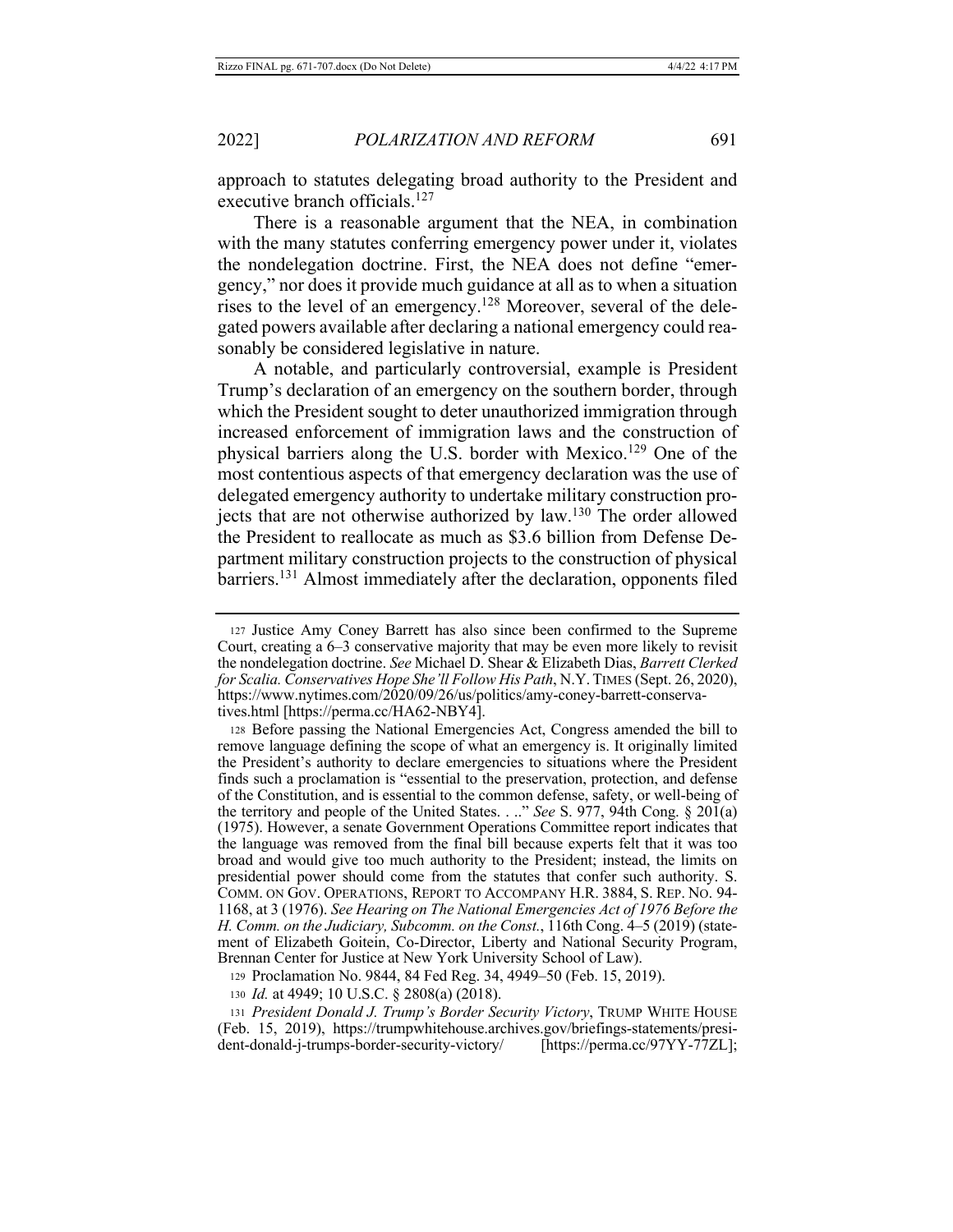approach to statutes delegating broad authority to the President and executive branch officials.<sup>127</sup>

There is a reasonable argument that the NEA, in combination with the many statutes conferring emergency power under it, violates the nondelegation doctrine. First, the NEA does not define "emergency," nor does it provide much guidance at all as to when a situation rises to the level of an emergency.<sup>128</sup> Moreover, several of the delegated powers available after declaring a national emergency could reasonably be considered legislative in nature.

A notable, and particularly controversial, example is President Trump's declaration of an emergency on the southern border, through which the President sought to deter unauthorized immigration through increased enforcement of immigration laws and the construction of physical barriers along the U.S. border with Mexico.<sup>129</sup> One of the most contentious aspects of that emergency declaration was the use of delegated emergency authority to undertake military construction projects that are not otherwise authorized by law.<sup>130</sup> The order allowed the President to reallocate as much as \$3.6 billion from Defense Department military construction projects to the construction of physical barriers.<sup>131</sup> Almost immediately after the declaration, opponents filed

128 Before passing the National Emergencies Act, Congress amended the bill to remove language defining the scope of what an emergency is. It originally limited the President's authority to declare emergencies to situations where the President finds such a proclamation is "essential to the preservation, protection, and defense of the Constitution, and is essential to the common defense, safety, or well-being of the territory and people of the United States. . .." See S. 977, 94th Cong.  $\S 20\bar{1}(a)$ (1975). However, a senate Government Operations Committee report indicates that the language was removed from the final bill because experts felt that it was too broad and would give too much authority to the President; instead, the limits on presidential power should come from the statutes that confer such authority. S. COMM. ON GOV. OPERATIONS, REPORT TO ACCOMPANY H.R. 3884, S. REP. NO. 94-1168, at 3 (1976). See Hearing on The National Emergencies Act of 1976 Before the H. Comm. on the Judiciary, Subcomm. on the Const., 116th Cong. 4-5 (2019) (statement of Elizabeth Goitein, Co-Director, Liberty and National Security Program, Brennan Center for Justice at New York University School of Law).

129 Proclamation No. 9844, 84 Fed Reg. 34, 4949–50 (Feb. 15, 2019).

130 Id. at 4949; 10 U.S.C. § 2808(a) (2018).

131 President Donald J. Trump's Border Security Victory, TRUMP WHITE HOUSE (Feb. 15, 2019), https://trumpwhitehouse.archives.gov/briefings-statements/president-donald-j-trumps-border-security-victory/ [https://perma.cc/97YY-77ZL];

<sup>127</sup> Justice Amy Coney Barrett has also since been confirmed to the Supreme Court, creating a 6–3 conservative majority that may be even more likely to revisit the nondelegation doctrine. See Michael D. Shear & Elizabeth Dias, Barrett Clerked for Scalia. Conservatives Hope She'll Follow His Path, N.Y. TIMES (Sept. 26, 2020), https://www.nytimes.com/2020/09/26/us/politics/amy-coney-barrett-conservatives.html [https://perma.cc/HA62-NBY4].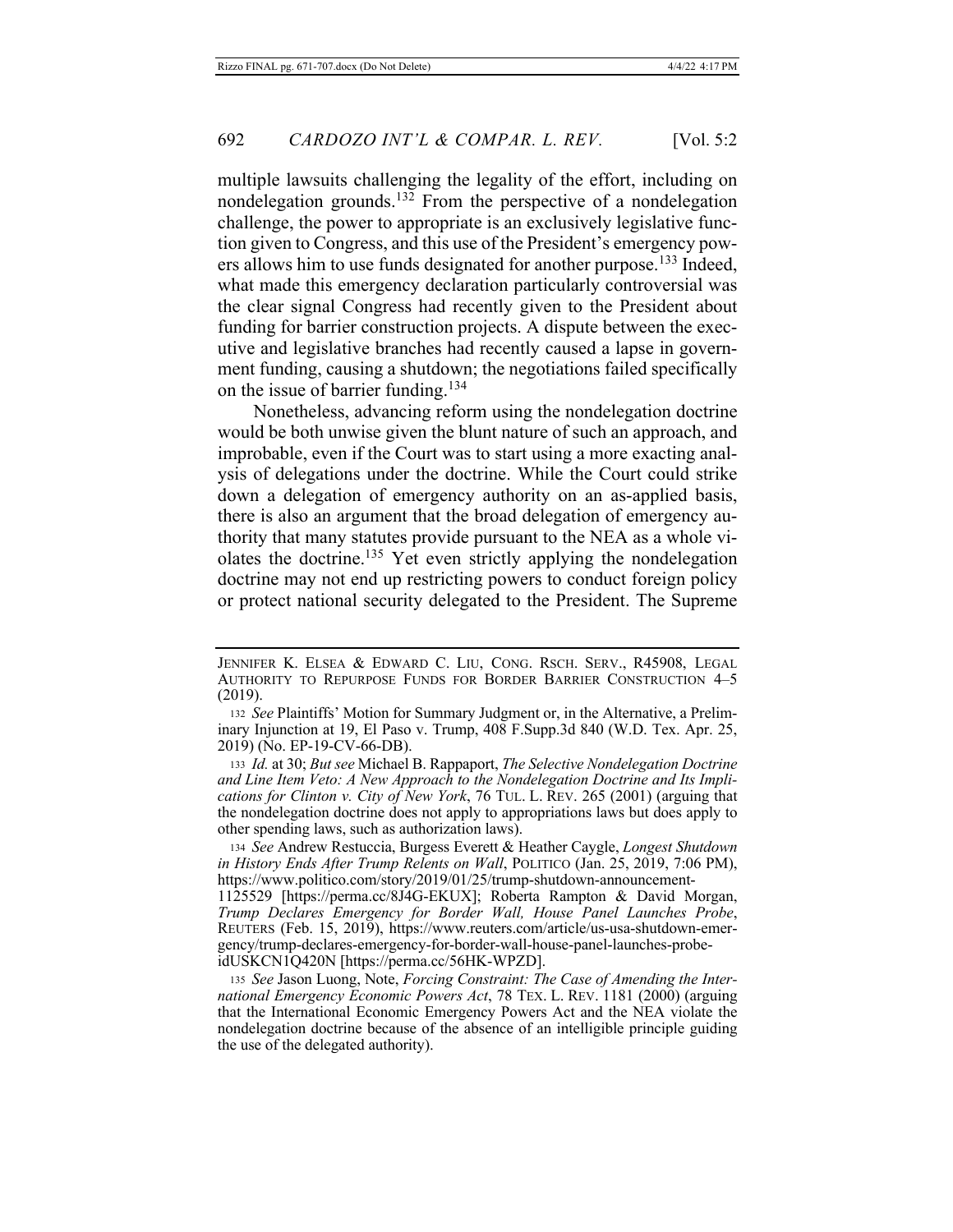multiple lawsuits challenging the legality of the effort, including on nondelegation grounds.<sup>132</sup> From the perspective of a nondelegation challenge, the power to appropriate is an exclusively legislative function given to Congress, and this use of the President's emergency powers allows him to use funds designated for another purpose.<sup>133</sup> Indeed, what made this emergency declaration particularly controversial was the clear signal Congress had recently given to the President about funding for barrier construction projects. A dispute between the executive and legislative branches had recently caused a lapse in government funding, causing a shutdown; the negotiations failed specifically on the issue of barrier funding.<sup>134</sup>

Nonetheless, advancing reform using the nondelegation doctrine would be both unwise given the blunt nature of such an approach, and improbable, even if the Court was to start using a more exacting analysis of delegations under the doctrine. While the Court could strike down a delegation of emergency authority on an as-applied basis, there is also an argument that the broad delegation of emergency authority that many statutes provide pursuant to the NEA as a whole violates the doctrine.<sup>135</sup> Yet even strictly applying the nondelegation doctrine may not end up restricting powers to conduct foreign policy or protect national security delegated to the President. The Supreme

133 Id. at 30; But see Michael B. Rappaport, The Selective Nondelegation Doctrine and Line Item Veto: A New Approach to the Nondelegation Doctrine and Its Implications for Clinton v. City of New York, 76 TUL. L. REV. 265 (2001) (arguing that the nondelegation doctrine does not apply to appropriations laws but does apply to other spending laws, such as authorization laws).

134 See Andrew Restuccia, Burgess Everett & Heather Caygle, Longest Shutdown in History Ends After Trump Relents on Wall, POLITICO (Jan. 25, 2019, 7:06 PM), https://www.politico.com/story/2019/01/25/trump-shutdown-announcement-

1125529 [https://perma.cc/8J4G-EKUX]; Roberta Rampton & David Morgan, Trump Declares Emergency for Border Wall, House Panel Launches Probe,<br>REUTERS (Feb. 15, 2019), https://www.reuters.com/article/us-usa-shutdown-emergency/trump-declares-emergency-for-border-wall-house-panel-launches-probeidUSKCN1Q420N [https://perma.cc/56HK-WPZD].

135 See Jason Luong, Note, Forcing Constraint: The Case of Amending the International Emergency Economic Powers Act, 78 TEX. L. REV. 1181 (2000) (arguing that the International Economic Emergency Powers Act and the NEA violate the nondelegation doctrine because of the absence of an intelligible principle guiding the use of the delegated authority).

JENNIFER K. ELSEA & EDWARD C. LIU, CONG. RSCH. SERV., R45908, LEGAL AUTHORITY TO REPURPOSE FUNDS FOR BORDER BARRIER CONSTRUCTION 4-5  $(2019).$ 

<sup>132</sup> See Plaintiffs' Motion for Summary Judgment or, in the Alternative, a Preliminary Injunction at 19, El Paso v. Trump, 408 F.Supp.3d 840 (W.D. Tex. Apr. 25, 2019) (No. EP-19-CV-66-DB).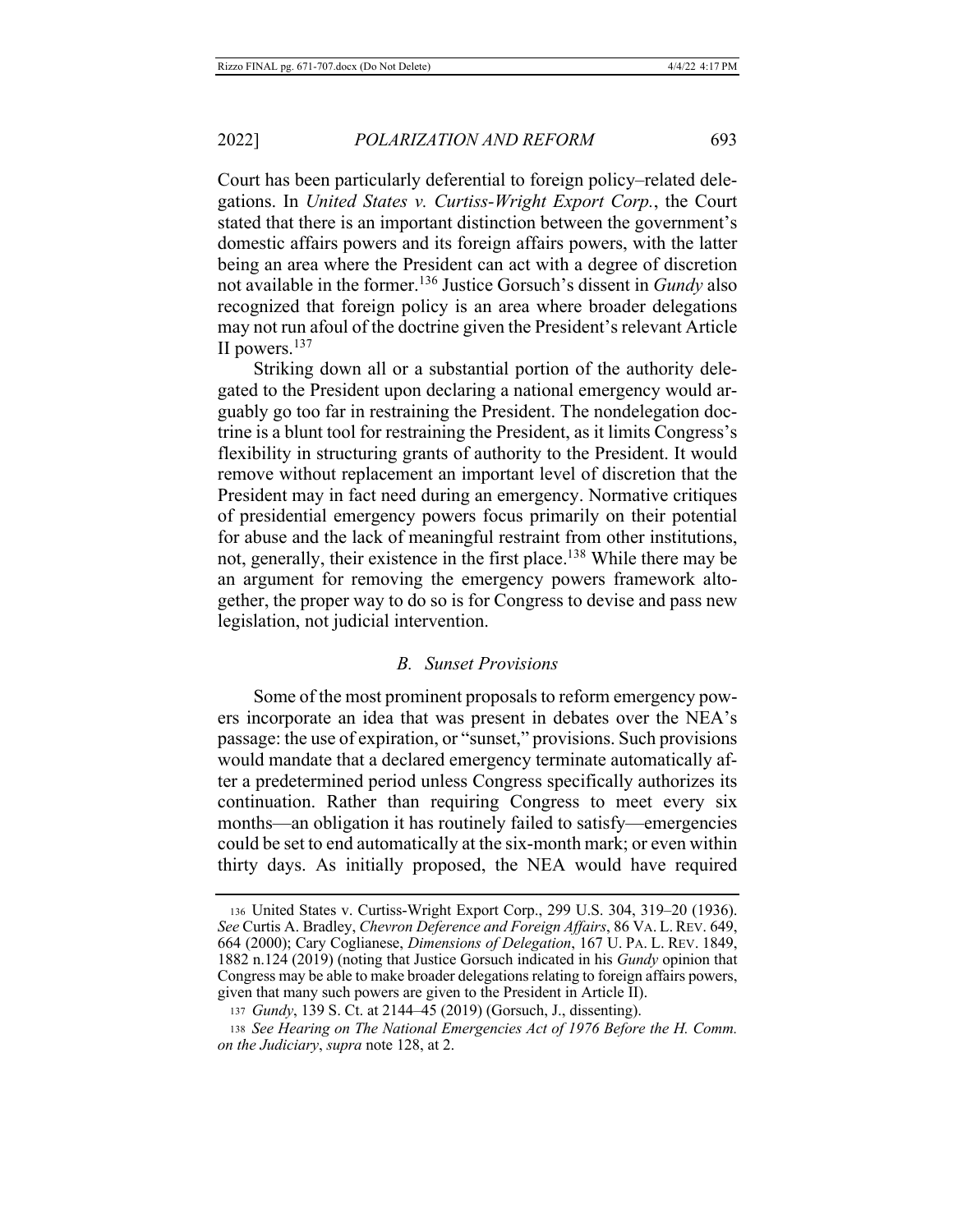Court has been particularly deferential to foreign policy-related delegations. In United States v. Curtiss-Wright Export Corp., the Court stated that there is an important distinction between the government's domestic affairs powers and its foreign affairs powers, with the latter being an area where the President can act with a degree of discretion not available in the former.<sup>136</sup> Justice Gorsuch's dissent in *Gundy* also recognized that foreign policy is an area where broader delegations may not run afoul of the doctrine given the President's relevant Article II powers.<sup>137</sup>

Striking down all or a substantial portion of the authority delegated to the President upon declaring a national emergency would arguably go too far in restraining the President. The nondelegation doctrine is a blunt tool for restraining the President, as it limits Congress's flexibility in structuring grants of authority to the President. It would remove without replacement an important level of discretion that the President may in fact need during an emergency. Normative critiques of presidential emergency powers focus primarily on their potential for abuse and the lack of meaningful restraint from other institutions, not, generally, their existence in the first place.<sup>138</sup> While there may be an argument for removing the emergency powers framework altogether, the proper way to do so is for Congress to devise and pass new legislation, not judicial intervention.

#### **B.** Sunset Provisions

Some of the most prominent proposals to reform emergency powers incorporate an idea that was present in debates over the NEA's passage: the use of expiration, or "sunset," provisions. Such provisions would mandate that a declared emergency terminate automatically after a predetermined period unless Congress specifically authorizes its continuation. Rather than requiring Congress to meet every six months—an obligation it has routinely failed to satisfy—emergencies could be set to end automatically at the six-month mark; or even within thirty days. As initially proposed, the NEA would have required

<sup>136</sup> United States v. Curtiss-Wright Export Corp., 299 U.S. 304, 319-20 (1936). See Curtis A. Bradley, Chevron Deference and Foreign Affairs, 86 VA. L. REV. 649, 664 (2000); Cary Coglianese, Dimensions of Delegation, 167 U. PA. L. REV. 1849, 1882 n.124 (2019) (noting that Justice Gorsuch indicated in his Gundy opinion that Congress may be able to make broader delegations relating to foreign affairs powers, given that many such powers are given to the President in Article II).

<sup>137</sup> Gundy, 139 S. Ct. at 2144–45 (2019) (Gorsuch, J., dissenting).

<sup>138</sup> See Hearing on The National Emergencies Act of 1976 Before the H. Comm. on the Judiciary, supra note 128, at 2.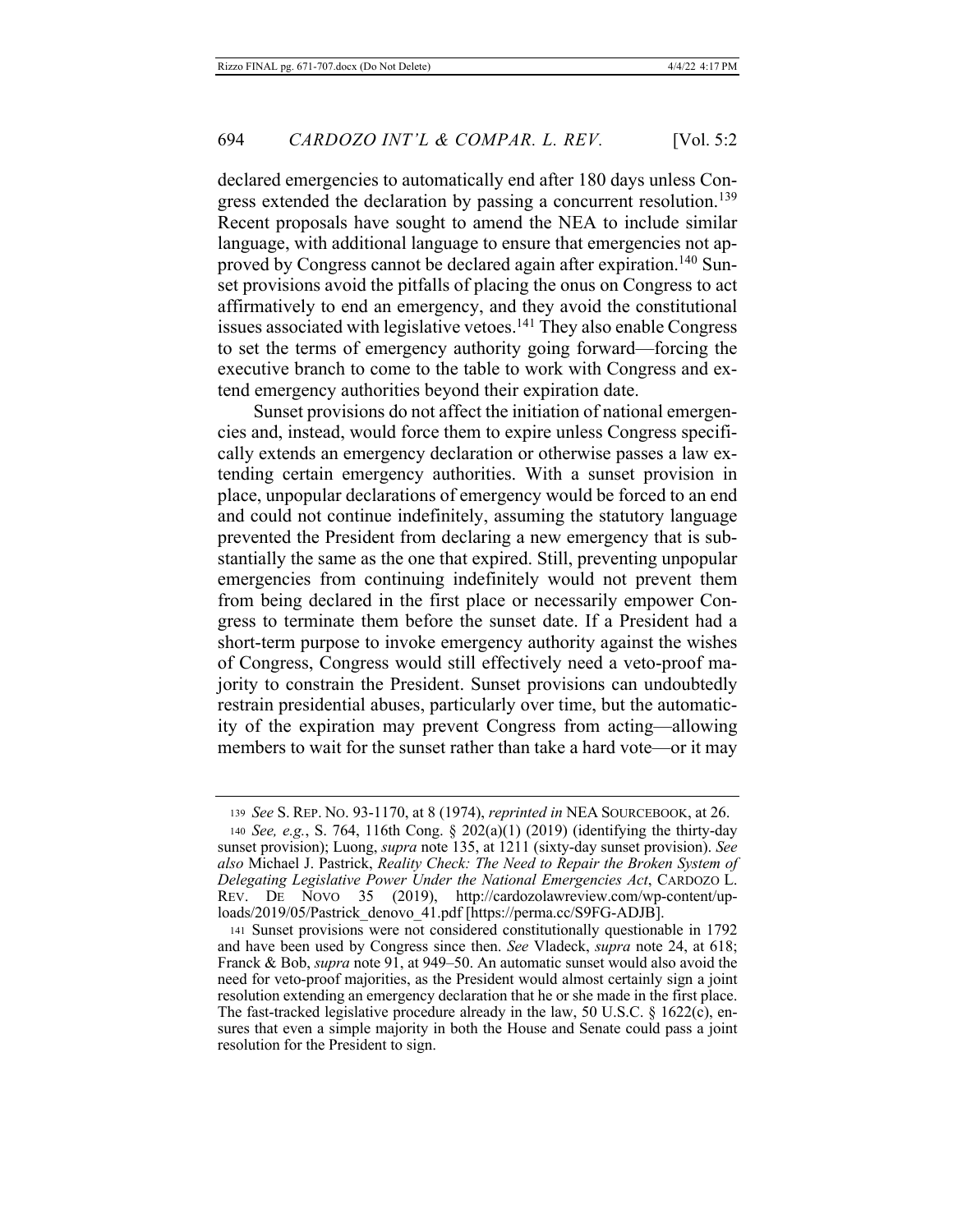declared emergencies to automatically end after 180 days unless Congress extended the declaration by passing a concurrent resolution.<sup>139</sup> Recent proposals have sought to amend the NEA to include similar language, with additional language to ensure that emergencies not approved by Congress cannot be declared again after expiration.<sup>140</sup> Sunset provisions avoid the pitfalls of placing the onus on Congress to act affirmatively to end an emergency, and they avoid the constitutional issues associated with legislative vetoes.<sup>141</sup> They also enable Congress to set the terms of emergency authority going forward—forcing the executive branch to come to the table to work with Congress and extend emergency authorities beyond their expiration date.

Sunset provisions do not affect the initiation of national emergencies and, instead, would force them to expire unless Congress specifically extends an emergency declaration or otherwise passes a law extending certain emergency authorities. With a sunset provision in place, unpopular declarations of emergency would be forced to an end and could not continue indefinitely, assuming the statutory language prevented the President from declaring a new emergency that is substantially the same as the one that expired. Still, preventing unpopular emergencies from continuing indefinitely would not prevent them from being declared in the first place or necessarily empower Congress to terminate them before the sunset date. If a President had a short-term purpose to invoke emergency authority against the wishes of Congress, Congress would still effectively need a veto-proof majority to constrain the President. Sunset provisions can undoubtedly restrain presidential abuses, particularly over time, but the automaticity of the expiration may prevent Congress from acting—allowing members to wait for the sunset rather than take a hard vote—or it may

<sup>139</sup> See S. REP. No. 93-1170, at 8 (1974), reprinted in NEA SOURCEBOOK, at 26.

<sup>140</sup> See, e.g., S. 764, 116th Cong. § 202(a)(1) (2019) (identifying the thirty-day sunset provision); Luong, *supra* note 135, at 1211 (sixty-day sunset provision). See also Michael J. Pastrick, Reality Check: The Need to Repair the Broken System of Delegating Legislative Power Under the National Emergencies Act, CARDOZO L.  $\overline{\text{Nov}}$  35 (2019), http://cardozolawreview.com/wp-content/up-REV. DE loads/2019/05/Pastrick\_denovo\_41.pdf [https://perma.cc/S9FG-ADJB].

<sup>141</sup> Sunset provisions were not considered constitutionally questionable in 1792 and have been used by Congress since then. See Vladeck, supra note 24, at 618; Franck & Bob, *supra* note 91, at 949–50. An automatic sunset would also avoid the need for veto-proof majorities, as the President would almost certainly sign a joint resolution extending an emergency declaration that he or she made in the first place. The fast-tracked legislative procedure already in the law, 50 U.S.C.  $\S$  1622(c), ensures that even a simple majority in both the House and Senate could pass a joint resolution for the President to sign.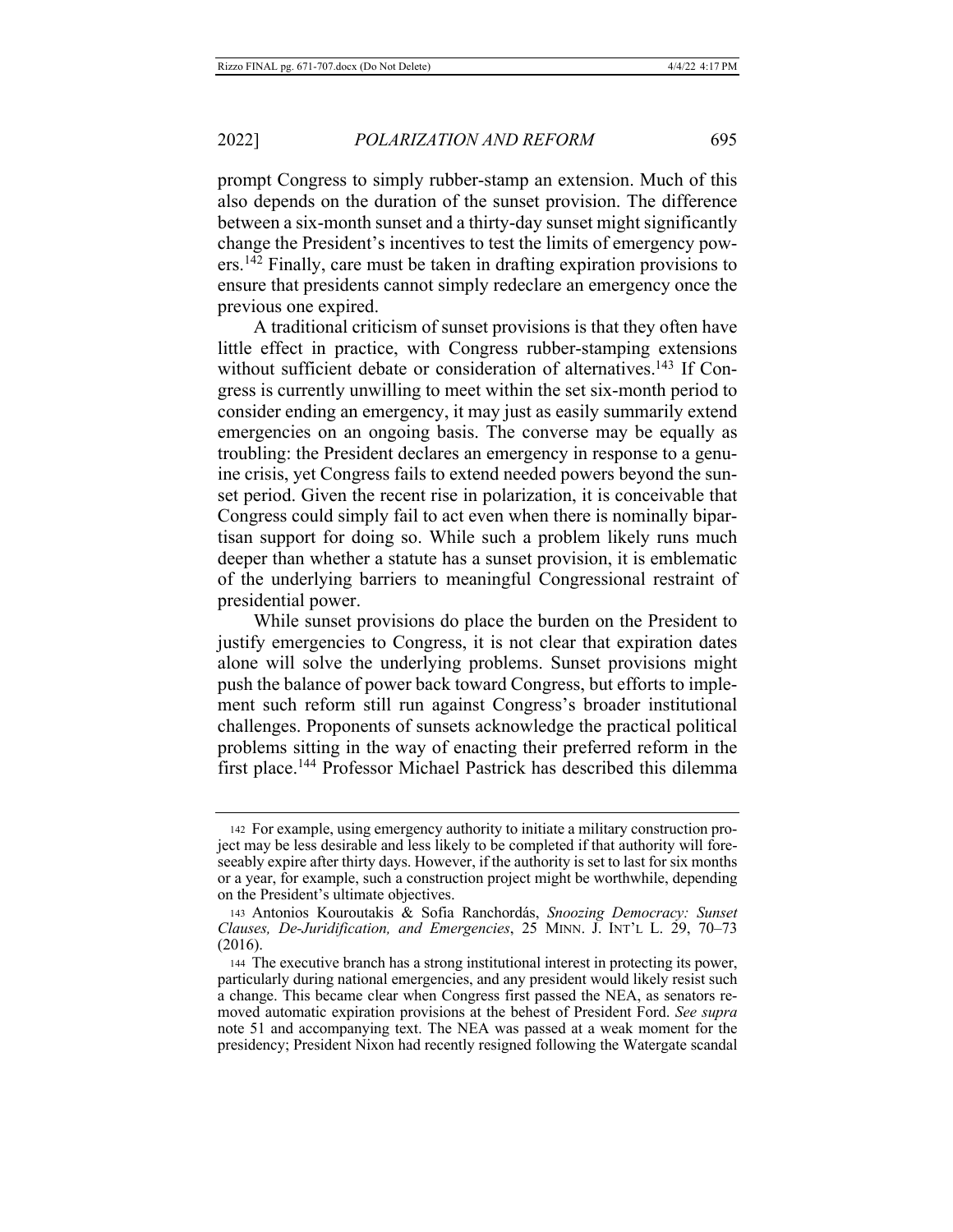prompt Congress to simply rubber-stamp an extension. Much of this also depends on the duration of the sunset provision. The difference between a six-month sunset and a thirty-day sunset might significantly change the President's incentives to test the limits of emergency pow $ers.$ <sup>142</sup> Finally, care must be taken in drafting expiration provisions to ensure that presidents cannot simply redeclare an emergency once the previous one expired.

A traditional criticism of sunset provisions is that they often have little effect in practice, with Congress rubber-stamping extensions without sufficient debate or consideration of alternatives.<sup>143</sup> If Congress is currently unwilling to meet within the set six-month period to consider ending an emergency, it may just as easily summarily extend emergencies on an ongoing basis. The converse may be equally as troubling: the President declares an emergency in response to a genuine crisis, yet Congress fails to extend needed powers beyond the sunset period. Given the recent rise in polarization, it is conceivable that Congress could simply fail to act even when there is nominally bipartisan support for doing so. While such a problem likely runs much deeper than whether a statute has a sunset provision, it is emblematic of the underlying barriers to meaningful Congressional restraint of presidential power.

While sunset provisions do place the burden on the President to justify emergencies to Congress, it is not clear that expiration dates alone will solve the underlying problems. Sunset provisions might push the balance of power back toward Congress, but efforts to implement such reform still run against Congress's broader institutional challenges. Proponents of sunsets acknowledge the practical political problems sitting in the way of enacting their preferred reform in the first place.<sup>144</sup> Professor Michael Pastrick has described this dilemma

<sup>142</sup> For example, using emergency authority to initiate a military construction project may be less desirable and less likely to be completed if that authority will foreseeably expire after thirty days. However, if the authority is set to last for six months or a year, for example, such a construction project might be worthwhile, depending on the President's ultimate objectives.

<sup>143</sup> Antonios Kouroutakis & Sofia Ranchordás, Snoozing Democracy: Sunset Clauses, De-Juridification, and Emergencies, 25 MINN. J. INT'L L. 29, 70–73  $(2016).$ 

<sup>144</sup> The executive branch has a strong institutional interest in protecting its power, particularly during national emergencies, and any president would likely resist such a change. This became clear when Congress first passed the NEA, as senators removed automatic expiration provisions at the behest of President Ford. See supra note 51 and accompanying text. The NEA was passed at a weak moment for the presidency; President Nixon had recently resigned following the Watergate scandal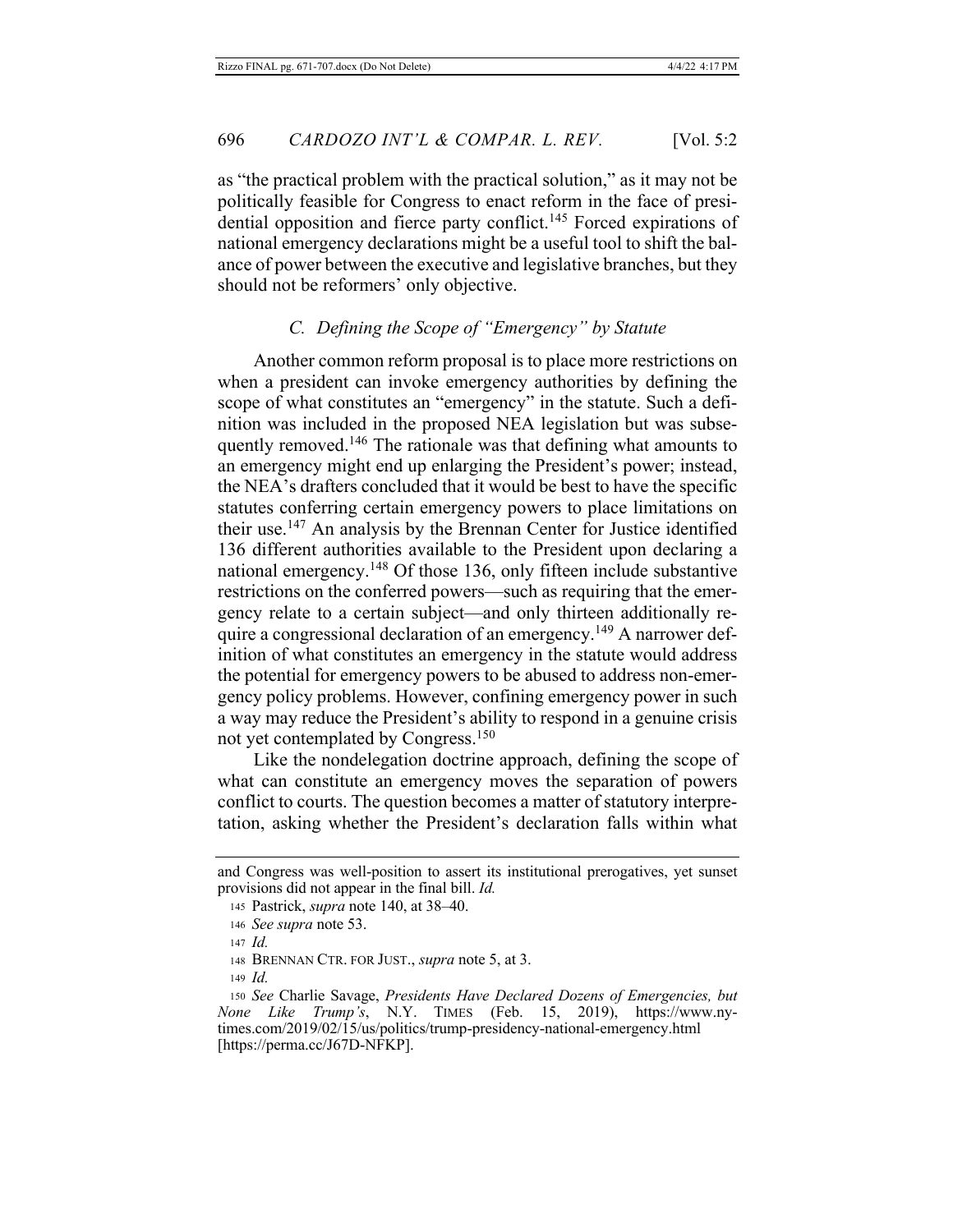as "the practical problem with the practical solution," as it may not be politically feasible for Congress to enact reform in the face of presidential opposition and fierce party conflict.<sup>145</sup> Forced expirations of national emergency declarations might be a useful tool to shift the balance of power between the executive and legislative branches, but they should not be reformers' only objective.

### C. Defining the Scope of "Emergency" by Statute

Another common reform proposal is to place more restrictions on when a president can invoke emergency authorities by defining the scope of what constitutes an "emergency" in the statute. Such a definition was included in the proposed NEA legislation but was subsequently removed.<sup>146</sup> The rationale was that defining what amounts to an emergency might end up enlarging the President's power; instead, the NEA's drafters concluded that it would be best to have the specific statutes conferring certain emergency powers to place limitations on their use.<sup>147</sup> An analysis by the Brennan Center for Justice identified 136 different authorities available to the President upon declaring a national emergency.<sup>148</sup> Of those 136, only fifteen include substantive restrictions on the conferred powers—such as requiring that the emergency relate to a certain subject-and only thirteen additionally require a congressional declaration of an emergency.<sup>149</sup> A narrower definition of what constitutes an emergency in the statute would address the potential for emergency powers to be abused to address non-emergency policy problems. However, confining emergency power in such a way may reduce the President's ability to respond in a genuine crisis not yet contemplated by Congress.<sup>150</sup>

Like the nondelegation doctrine approach, defining the scope of what can constitute an emergency moves the separation of powers conflict to courts. The question becomes a matter of statutory interpretation, asking whether the President's declaration falls within what

and Congress was well-position to assert its institutional prerogatives, yet sunset provisions did not appear in the final bill. *Id*.

<sup>145</sup> Pastrick, *supra* note 140, at 38–40.

<sup>146</sup> See supra note 53.

 $147$  *Id.* 

<sup>148</sup> BRENNAN CTR. FOR JUST., *supra* note 5, at 3.

 $149$  *Id.* 

<sup>150</sup> See Charlie Savage, Presidents Have Declared Dozens of Emergencies, but *None Like Trump's*, N.Y. TIMES (Feb. 15, 2019), https://www.nytimes.com/2019/02/15/us/politics/trump-presidency-national-emergency.html [https://perma.cc/J67D-NFKP].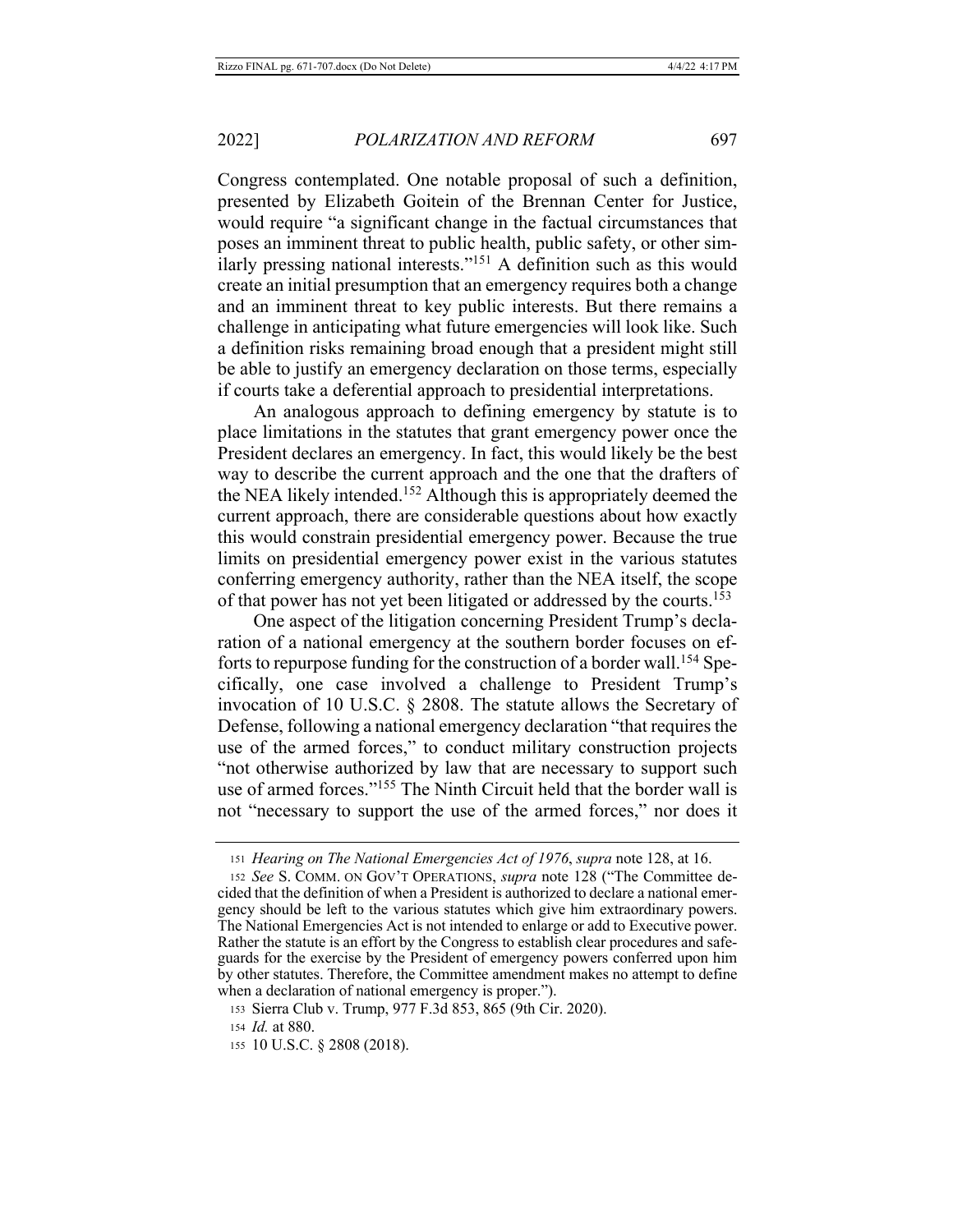Congress contemplated. One notable proposal of such a definition, presented by Elizabeth Goitein of the Brennan Center for Justice, would require "a significant change in the factual circumstances that poses an imminent threat to public health, public safety, or other similarly pressing national interests."<sup>151</sup> A definition such as this would create an initial presumption that an emergency requires both a change and an imminent threat to key public interests. But there remains a challenge in anticipating what future emergencies will look like. Such a definition risks remaining broad enough that a president might still be able to justify an emergency declaration on those terms, especially if courts take a deferential approach to presidential interpretations.

An analogous approach to defining emergency by statute is to place limitations in the statutes that grant emergency power once the President declares an emergency. In fact, this would likely be the best way to describe the current approach and the one that the drafters of the NEA likely intended.<sup>152</sup> Although this is appropriately deemed the current approach, there are considerable questions about how exactly this would constrain presidential emergency power. Because the true limits on presidential emergency power exist in the various statutes conferring emergency authority, rather than the NEA itself, the scope of that power has not yet been litigated or addressed by the courts.<sup>153</sup>

One aspect of the litigation concerning President Trump's declaration of a national emergency at the southern border focuses on efforts to repurpose funding for the construction of a border wall.<sup>154</sup> Specifically, one case involved a challenge to President Trump's invocation of 10 U.S.C.  $\S$  2808. The statute allows the Secretary of Defense, following a national emergency declaration "that requires the use of the armed forces," to conduct military construction projects "not otherwise authorized by law that are necessary to support such use of armed forces."<sup>155</sup> The Ninth Circuit held that the border wall is not "necessary to support the use of the armed forces," nor does it

<sup>151</sup> Hearing on The National Emergencies Act of 1976, supra note 128, at 16.

<sup>152</sup> See S. COMM. ON GOV'T OPERATIONS, *supra* note 128 ("The Committee decided that the definition of when a President is authorized to declare a national emergency should be left to the various statutes which give him extraordinary powers. The National Emergencies Act is not intended to enlarge or add to Executive power. Rather the statute is an effort by the Congress to establish clear procedures and safeguards for the exercise by the President of emergency powers conferred upon him by other statutes. Therefore, the Committee amendment makes no attempt to define when a declaration of national emergency is proper.").

<sup>153</sup> Sierra Club v. Trump, 977 F.3d 853, 865 (9th Cir. 2020).

<sup>154</sup> *Id.* at 880.

<sup>155 10</sup> U.S.C. § 2808 (2018).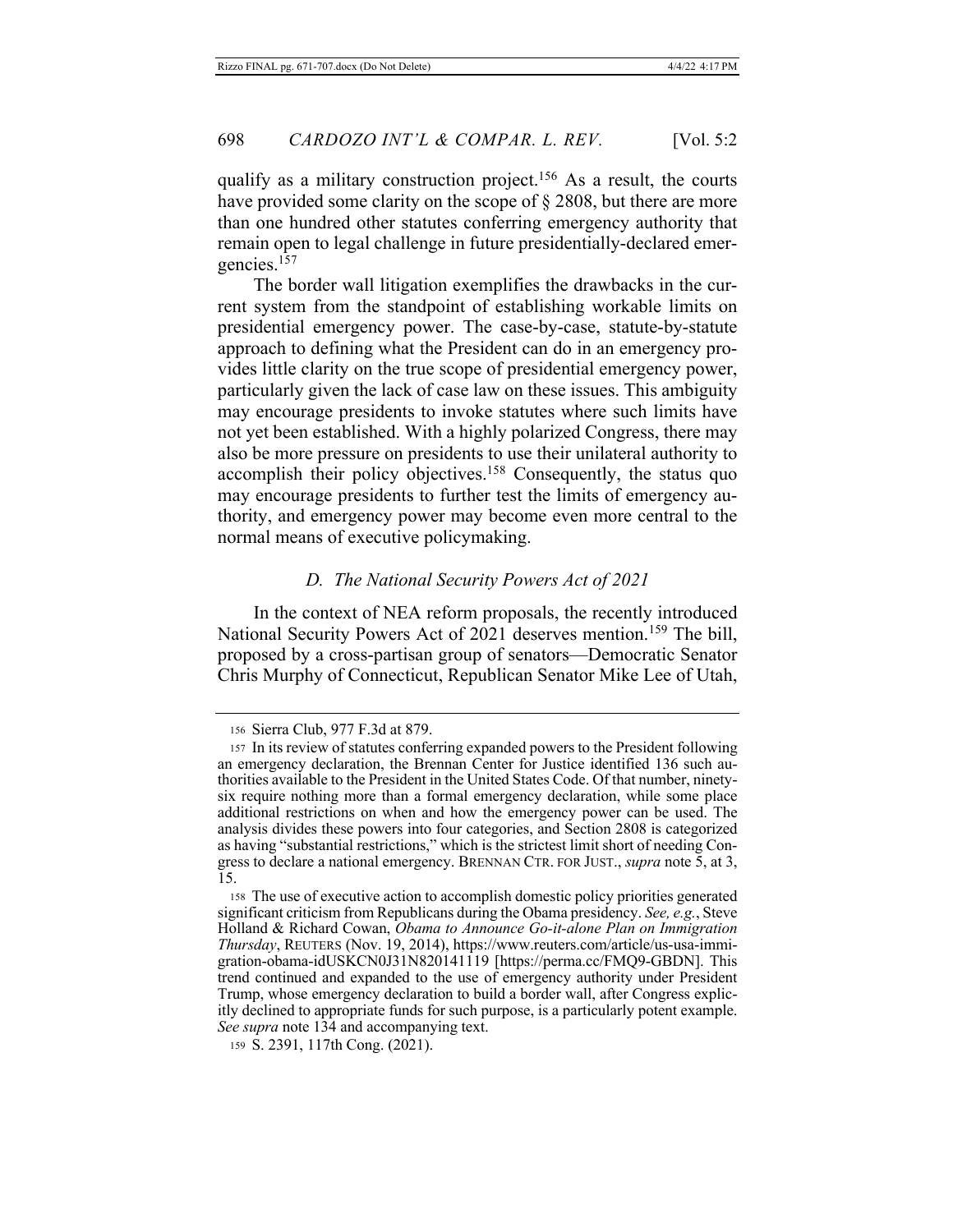qualify as a military construction project.<sup>156</sup> As a result, the courts have provided some clarity on the scope of  $\S 2808$ , but there are more than one hundred other statutes conferring emergency authority that remain open to legal challenge in future presidentially-declared emergencies.<sup>157</sup>

The border wall litigation exemplifies the drawbacks in the current system from the standpoint of establishing workable limits on presidential emergency power. The case-by-case, statute-by-statute approach to defining what the President can do in an emergency provides little clarity on the true scope of presidential emergency power, particularly given the lack of case law on these issues. This ambiguity may encourage presidents to invoke statutes where such limits have not yet been established. With a highly polarized Congress, there may also be more pressure on presidents to use their unilateral authority to accomplish their policy objectives.<sup>158</sup> Consequently, the status quo may encourage presidents to further test the limits of emergency authority, and emergency power may become even more central to the normal means of executive policymaking.

#### **D.** The National Security Powers Act of 2021

In the context of NEA reform proposals, the recently introduced National Security Powers Act of 2021 deserves mention.<sup>159</sup> The bill, proposed by a cross-partisan group of senators—Democratic Senator Chris Murphy of Connecticut, Republican Senator Mike Lee of Utah,

<sup>156</sup> Sierra Club, 977 F.3d at 879.

<sup>157</sup> In its review of statutes conferring expanded powers to the President following an emergency declaration, the Brennan Center for Justice identified 136 such authorities available to the President in the United States Code. Of that number, ninetysix require nothing more than a formal emergency declaration, while some place additional restrictions on when and how the emergency power can be used. The analysis divides these powers into four categories, and Section 2808 is categorized as having "substantial restrictions," which is the strictest limit short of needing Congress to declare a national emergency. BRENNAN CTR. FOR JUST., *supra* note 5, at 3, 15.

<sup>158</sup> The use of executive action to accomplish domestic policy priorities generated significant criticism from Republicans during the Obama presidency. See, e.g., Steve Holland & Richard Cowan, Obama to Announce Go-it-alone Plan on Immigration Thursday, REUTERS (Nov. 19, 2014), https://www.reuters.com/article/us-usa-immigration-obama-idUSKCN0J31N820141119 [https://perma.cc/FMQ9-GBDN]. This trend continued and expanded to the use of emergency authority under President Trump, whose emergency declaration to build a border wall, after Congress explicitly declined to appropriate funds for such purpose, is a particularly potent example. See supra note 134 and accompanying text.

<sup>159</sup> S. 2391, 117th Cong. (2021).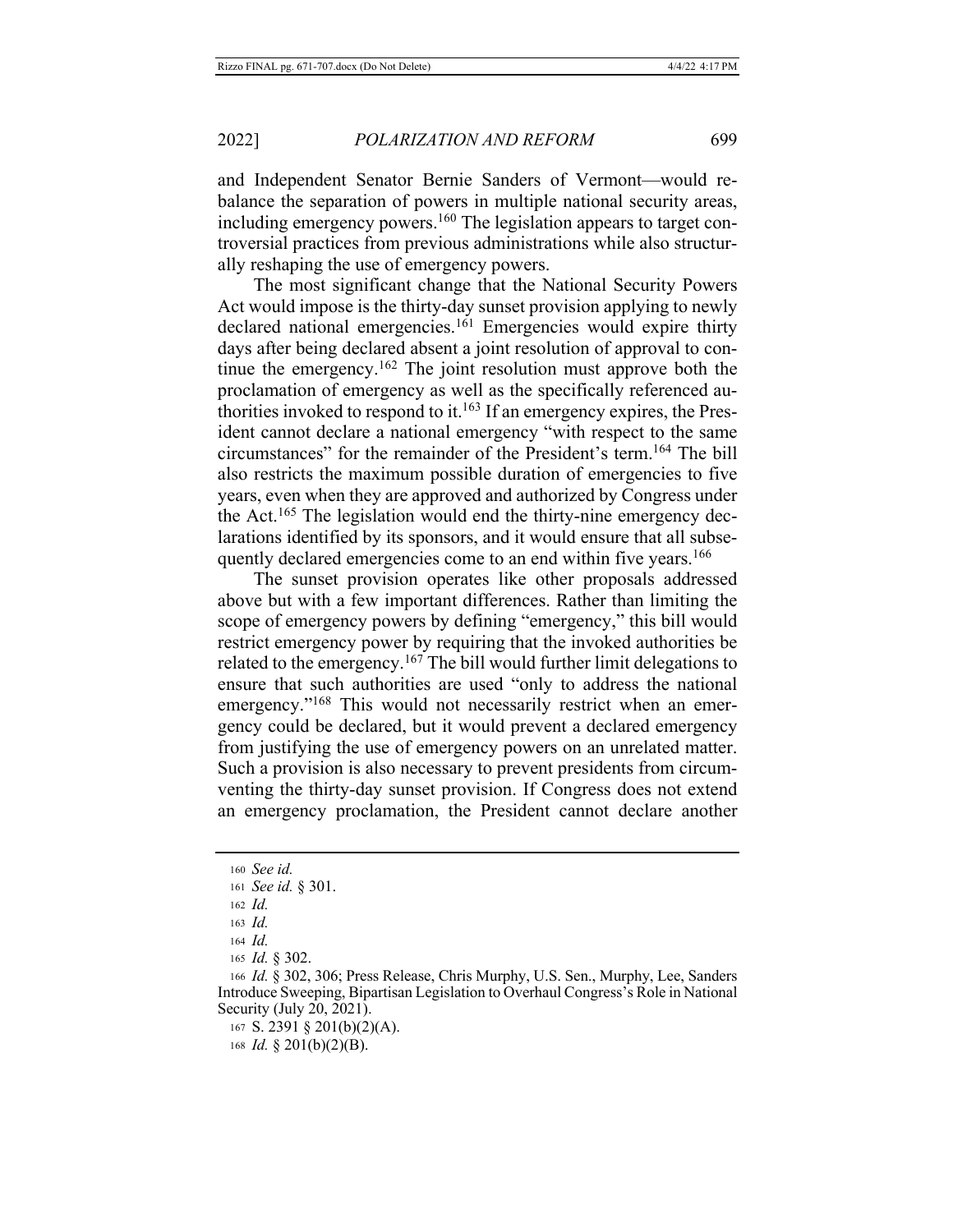and Independent Senator Bernie Sanders of Vermont-would rebalance the separation of powers in multiple national security areas, including emergency powers.<sup>160</sup> The legislation appears to target controversial practices from previous administrations while also structurally reshaping the use of emergency powers.

The most significant change that the National Security Powers Act would impose is the thirty-day sunset provision applying to newly declared national emergencies.<sup>161</sup> Emergencies would expire thirty days after being declared absent a joint resolution of approval to continue the emergency.<sup>162</sup> The joint resolution must approve both the proclamation of emergency as well as the specifically referenced authorities invoked to respond to it.<sup>163</sup> If an emergency expires, the President cannot declare a national emergency "with respect to the same circumstances" for the remainder of the President's term.<sup>164</sup> The bill also restricts the maximum possible duration of emergencies to five years, even when they are approved and authorized by Congress under the Act.<sup>165</sup> The legislation would end the thirty-nine emergency declarations identified by its sponsors, and it would ensure that all subsequently declared emergencies come to an end within five years.<sup>166</sup>

The sunset provision operates like other proposals addressed above but with a few important differences. Rather than limiting the scope of emergency powers by defining "emergency," this bill would restrict emergency power by requiring that the invoked authorities be related to the emergency.<sup>167</sup> The bill would further limit delegations to ensure that such authorities are used "only to address the national emergency."<sup>168</sup> This would not necessarily restrict when an emergency could be declared, but it would prevent a declared emergency from justifying the use of emergency powers on an unrelated matter. Such a provision is also necessary to prevent presidents from circumventing the thirty-day sunset provision. If Congress does not extend an emergency proclamation, the President cannot declare another

<sup>160</sup> See id.

<sup>161</sup> See id. § 301.

 $162$  *Id.* 

 $163$  *Id.* 

<sup>164</sup> Id.

<sup>165</sup> Id. § 302.

<sup>166</sup> Id. § 302, 306; Press Release, Chris Murphy, U.S. Sen., Murphy, Lee, Sanders Introduce Sweeping, Bipartisan Legislation to Overhaul Congress's Role in National Security (July 20, 2021).

<sup>167</sup> S. 2391 § 201(b)(2)(A).

<sup>168</sup> *Id.* § 201(b)(2)(B).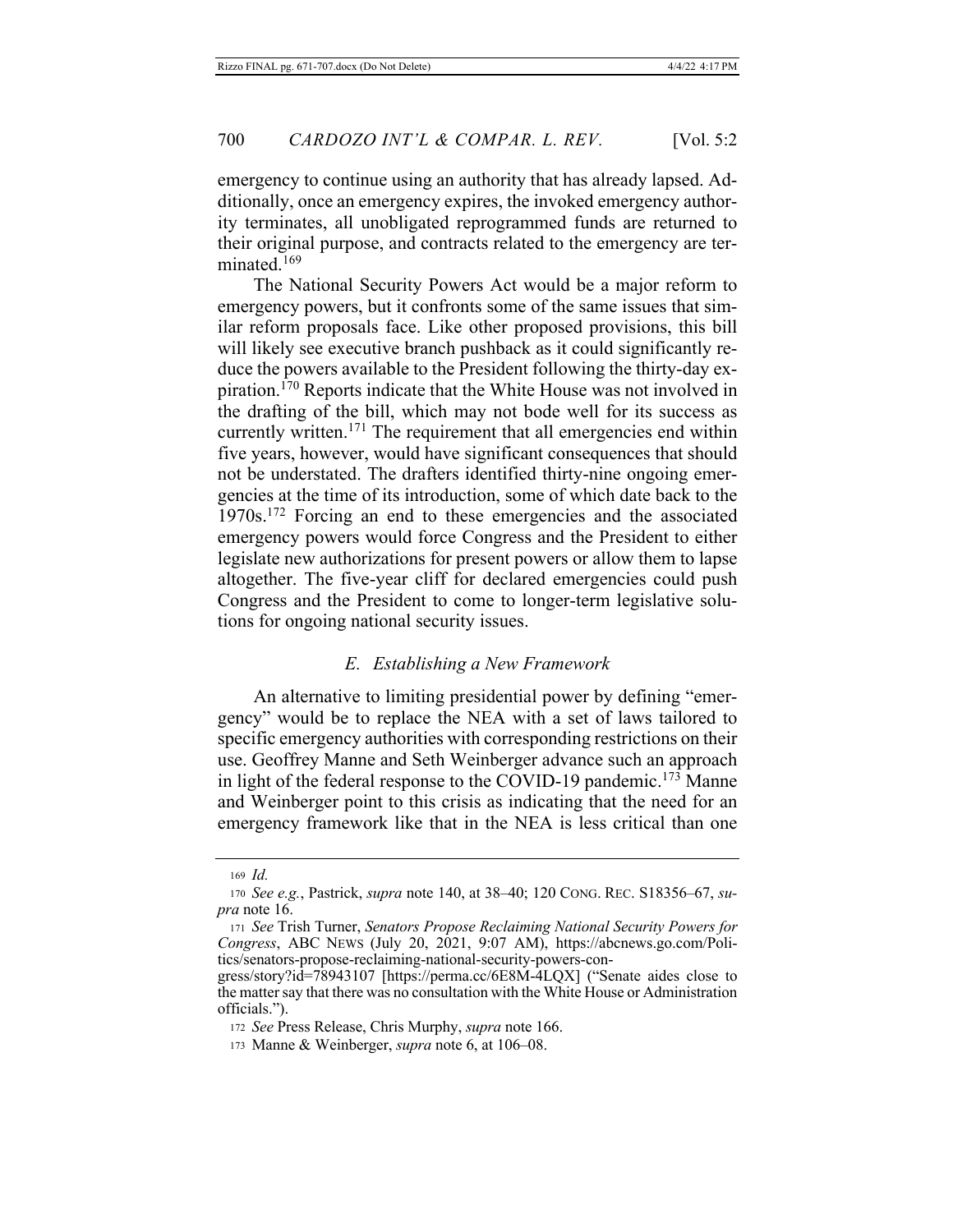emergency to continue using an authority that has already lapsed. Additionally, once an emergency expires, the invoked emergency authority terminates, all unobligated reprogrammed funds are returned to their original purpose, and contracts related to the emergency are terminated.<sup>169</sup>

The National Security Powers Act would be a major reform to emergency powers, but it confronts some of the same issues that similar reform proposals face. Like other proposed provisions, this bill will likely see executive branch pushback as it could significantly reduce the powers available to the President following the thirty-day expiration.<sup>170</sup> Reports indicate that the White House was not involved in the drafting of the bill, which may not bode well for its success as currently written.<sup>171</sup> The requirement that all emergencies end within five years, however, would have significant consequences that should not be understated. The drafters identified thirty-nine ongoing emergencies at the time of its introduction, some of which date back to the 1970s.<sup>172</sup> Forcing an end to these emergencies and the associated emergency powers would force Congress and the President to either legislate new authorizations for present powers or allow them to lapse altogether. The five-year cliff for declared emergencies could push Congress and the President to come to longer-term legislative solutions for ongoing national security issues.

#### E. Establishing a New Framework

An alternative to limiting presidential power by defining "emergency" would be to replace the NEA with a set of laws tailored to specific emergency authorities with corresponding restrictions on their use. Geoffrey Manne and Seth Weinberger advance such an approach in light of the federal response to the COVID-19 pandemic.<sup>173</sup> Manne and Weinberger point to this crisis as indicating that the need for an emergency framework like that in the NEA is less critical than one

 $169$  *Id.* 

<sup>170</sup> See e.g., Pastrick, supra note 140, at 38-40; 120 CONG. REC. S18356-67, su*pra* note 16.

<sup>171</sup> See Trish Turner, Senators Propose Reclaiming National Security Powers for Congress, ABC NEWS (July 20, 2021, 9:07 AM), https://abcnews.go.com/Politics/senators-propose-reclaiming-national-security-powers-con-

gress/story?id=78943107 [https://perma.cc/6E8M-4LQX] ("Senate aides close to the matter say that there was no consultation with the White House or Administration officials.").

<sup>172</sup> See Press Release, Chris Murphy, supra note 166.

<sup>173</sup> Manne & Weinberger, *supra* note 6, at 106-08.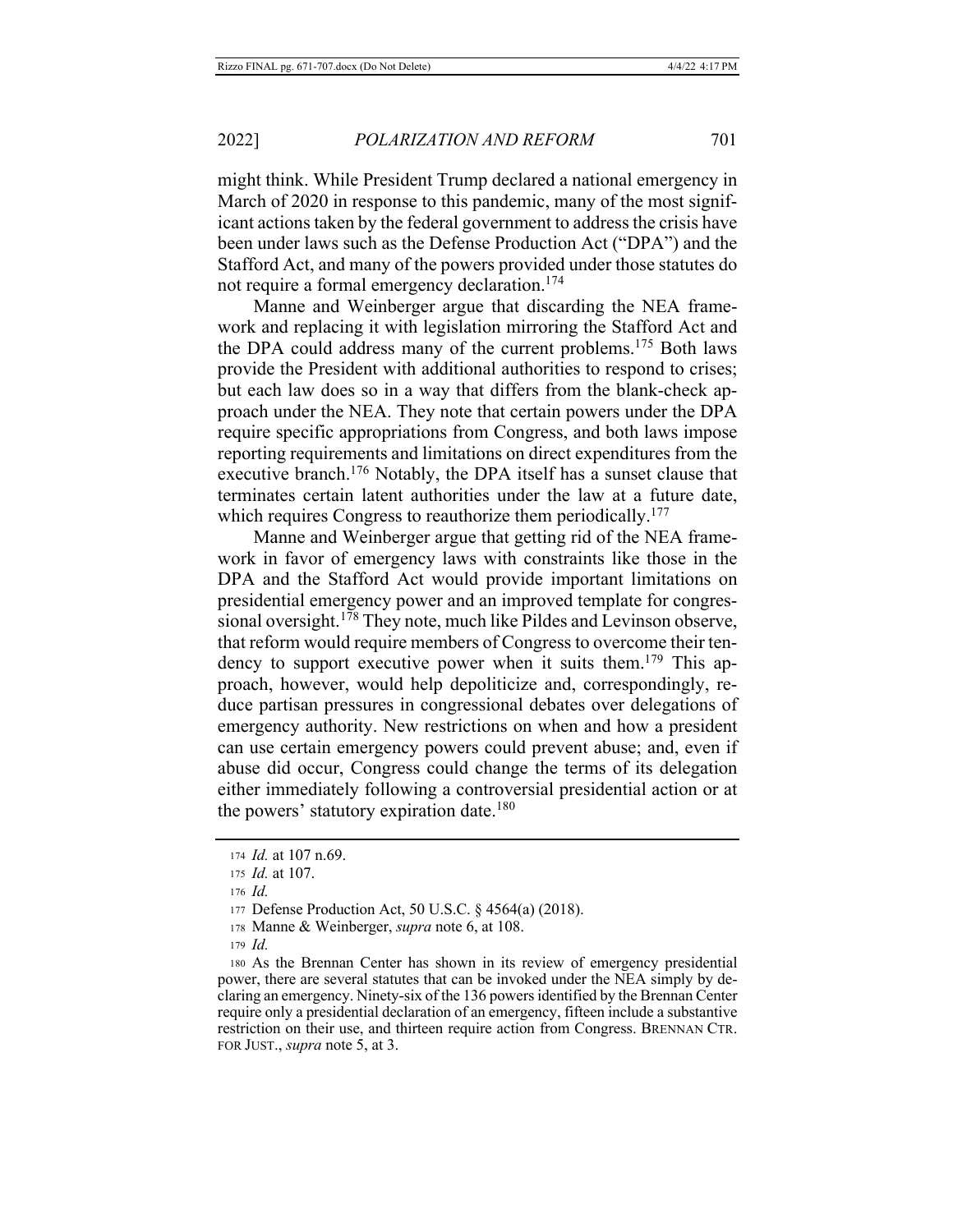might think. While President Trump declared a national emergency in March of 2020 in response to this pandemic, many of the most significant actions taken by the federal government to address the crisis have been under laws such as the Defense Production Act ("DPA") and the Stafford Act, and many of the powers provided under those statutes do not require a formal emergency declaration.<sup>174</sup>

Manne and Weinberger argue that discarding the NEA framework and replacing it with legislation mirroring the Stafford Act and the DPA could address many of the current problems.<sup>175</sup> Both laws provide the President with additional authorities to respond to crises; but each law does so in a way that differs from the blank-check approach under the NEA. They note that certain powers under the DPA require specific appropriations from Congress, and both laws impose reporting requirements and limitations on direct expenditures from the executive branch.<sup>176</sup> Notably, the DPA itself has a sunset clause that terminates certain latent authorities under the law at a future date, which requires Congress to reauthorize them periodically.<sup>177</sup>

Manne and Weinberger argue that getting rid of the NEA framework in favor of emergency laws with constraints like those in the DPA and the Stafford Act would provide important limitations on presidential emergency power and an improved template for congressional oversight.<sup>178</sup> They note, much like Pildes and Levinson observe, that reform would require members of Congress to overcome their tendency to support executive power when it suits them.<sup>179</sup> This approach, however, would help depoliticize and, correspondingly, reduce partisan pressures in congressional debates over delegations of emergency authority. New restrictions on when and how a president can use certain emergency powers could prevent abuse; and, even if abuse did occur, Congress could change the terms of its delegation either immediately following a controversial presidential action or at the powers' statutory expiration date.<sup>180</sup>

 $176$  *Id.* 

 $179$  *Id.* 

<sup>174</sup> *Id.* at 107 n.69.

<sup>175</sup> *Id.* at 107.

<sup>177</sup> Defense Production Act, 50 U.S.C. § 4564(a) (2018).

<sup>178</sup> Manne & Weinberger, *supra* note 6, at 108.

<sup>180</sup> As the Brennan Center has shown in its review of emergency presidential power, there are several statutes that can be invoked under the NEA simply by declaring an emergency. Ninety-six of the 136 powers identified by the Brennan Center require only a presidential declaration of an emergency, fifteen include a substantive restriction on their use, and thirteen require action from Congress. BRENNAN CTR. FOR JUST., *supra* note 5, at 3.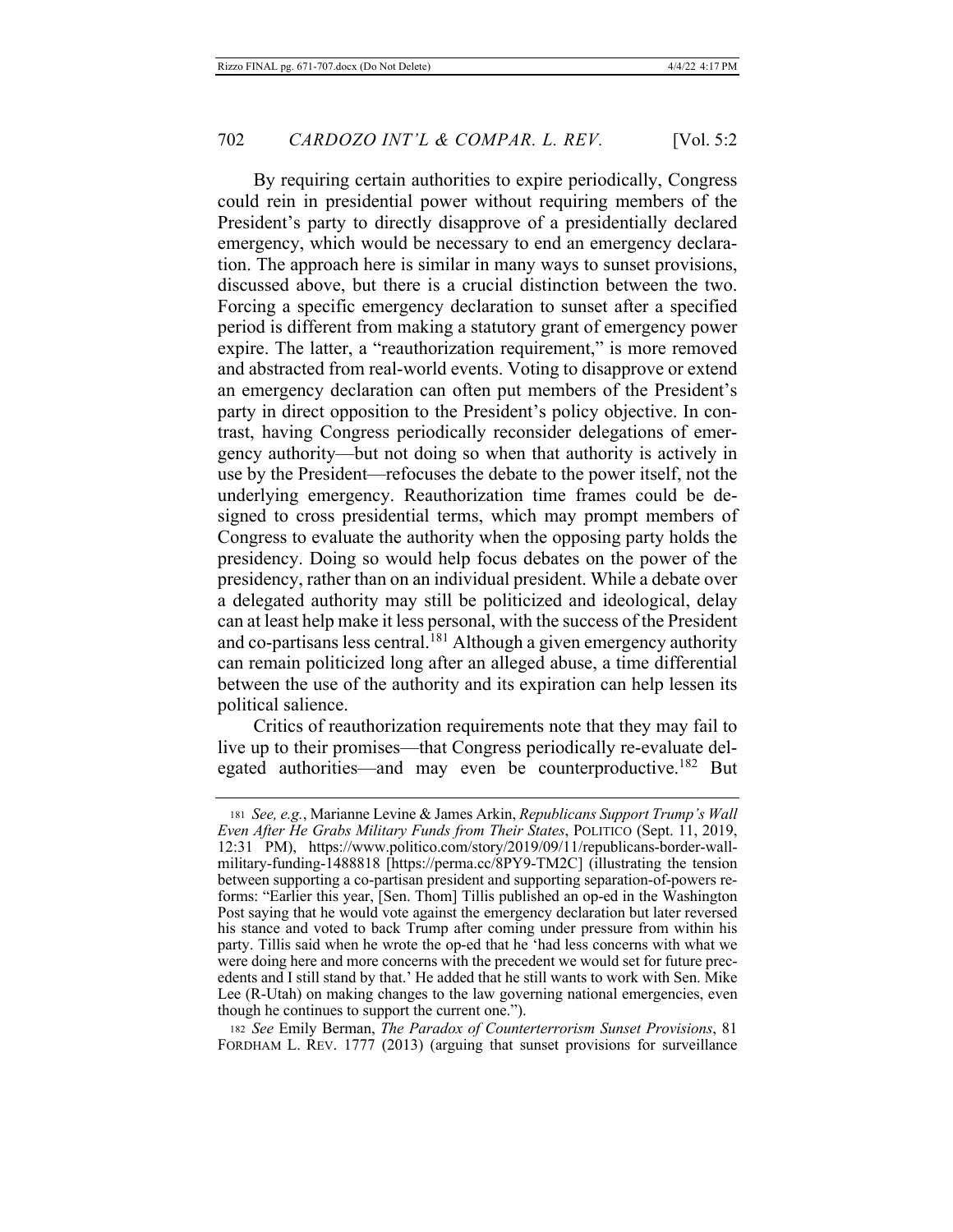By requiring certain authorities to expire periodically, Congress could rein in presidential power without requiring members of the President's party to directly disapprove of a presidentially declared emergency, which would be necessary to end an emergency declaration. The approach here is similar in many ways to sunset provisions, discussed above, but there is a crucial distinction between the two. Forcing a specific emergency declaration to sunset after a specified period is different from making a statutory grant of emergency power expire. The latter, a "reauthorization requirement," is more removed and abstracted from real-world events. Voting to disapprove or extend an emergency declaration can often put members of the President's party in direct opposition to the President's policy objective. In contrast, having Congress periodically reconsider delegations of emergency authority—but not doing so when that authority is actively in use by the President—refocuses the debate to the power itself, not the underlying emergency. Reauthorization time frames could be designed to cross presidential terms, which may prompt members of Congress to evaluate the authority when the opposing party holds the presidency. Doing so would help focus debates on the power of the presidency, rather than on an individual president. While a debate over a delegated authority may still be politicized and ideological, delay can at least help make it less personal, with the success of the President and co-partisans less central.<sup>181</sup> Although a given emergency authority can remain politicized long after an alleged abuse, a time differential between the use of the authority and its expiration can help lessen its political salience.

Critics of reauthorization requirements note that they may fail to live up to their promises—that Congress periodically re-evaluate delegated authorities—and may even be counterproductive.<sup>182</sup> But

182 See Emily Berman, The Paradox of Counterterrorism Sunset Provisions, 81 FORDHAM L. REV. 1777 (2013) (arguing that sunset provisions for surveillance

<sup>181</sup> See, e.g., Marianne Levine & James Arkin, Republicans Support Trump's Wall *Even After He Grabs Military Funds from Their States, POLITICO (Sept. 11, 2019,* 12:31 PM), https://www.politico.com/story/2019/09/11/republicans-border-wallmilitary-funding-1488818 [https://perma.cc/8PY9-TM2C] (illustrating the tension between supporting a co-partisan president and supporting separation-of-powers reforms: "Earlier this year, [Sen. Thom] Tillis published an op-ed in the Washington Post saying that he would vote against the emergency declaration but later reversed his stance and voted to back Trump after coming under pressure from within his party. Tillis said when he wrote the op-ed that he 'had less concerns with what we were doing here and more concerns with the precedent we would set for future precedents and I still stand by that.' He added that he still wants to work with Sen. Mike Lee (R-Utah) on making changes to the law governing national emergencies, even though he continues to support the current one.").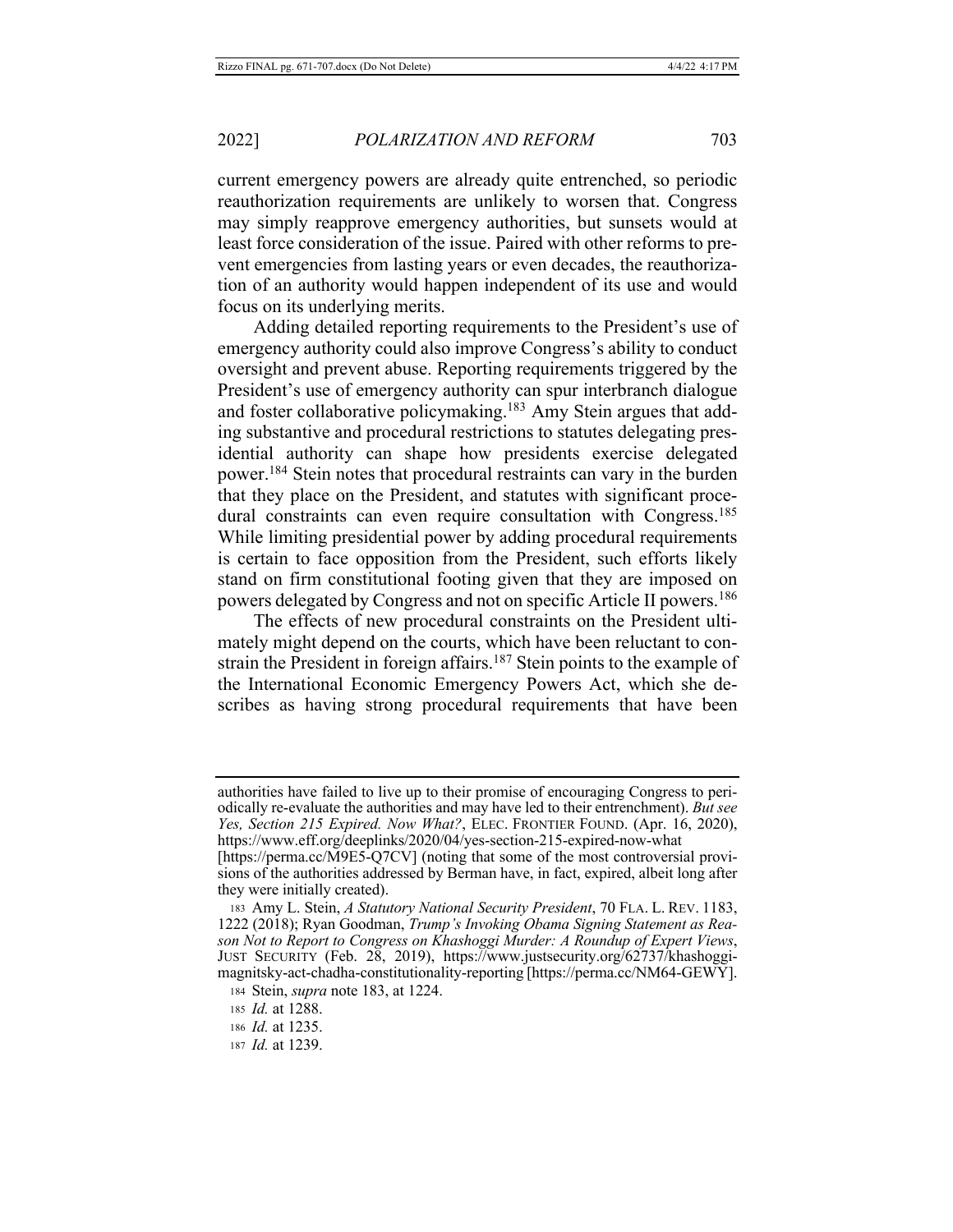current emergency powers are already quite entrenched, so periodic reauthorization requirements are unlikely to worsen that. Congress may simply reapprove emergency authorities, but sunsets would at least force consideration of the issue. Paired with other reforms to prevent emergencies from lasting years or even decades, the reauthorization of an authority would happen independent of its use and would focus on its underlying merits.

Adding detailed reporting requirements to the President's use of emergency authority could also improve Congress's ability to conduct oversight and prevent abuse. Reporting requirements triggered by the President's use of emergency authority can spur interbranch dialogue and foster collaborative policymaking.<sup>183</sup> Amy Stein argues that adding substantive and procedural restrictions to statutes delegating presidential authority can shape how presidents exercise delegated power.<sup>184</sup> Stein notes that procedural restraints can vary in the burden that they place on the President, and statutes with significant procedural constraints can even require consultation with Congress.<sup>185</sup> While limiting presidential power by adding procedural requirements is certain to face opposition from the President, such efforts likely stand on firm constitutional footing given that they are imposed on powers delegated by Congress and not on specific Article II powers.<sup>186</sup>

The effects of new procedural constraints on the President ultimately might depend on the courts, which have been reluctant to constrain the President in foreign affairs.<sup>187</sup> Stein points to the example of the International Economic Emergency Powers Act, which she describes as having strong procedural requirements that have been

187 *Id.* at 1239.

authorities have failed to live up to their promise of encouraging Congress to periodically re-evaluate the authorities and may have led to their entrenchment). But see Yes, Section 215 Expired. Now What?, ELEC. FRONTIER FOUND. (Apr. 16, 2020), https://www.eff.org/deeplinks/2020/04/yes-section-215-expired-now-what

<sup>[</sup>https://perma.cc/M9E5-Q7CV] (noting that some of the most controversial provisions of the authorities addressed by Berman have, in fact, expired, albeit long after they were initially created).

<sup>183</sup> Amy L. Stein, A Statutory National Security President, 70 FLA. L. REV. 1183, 1222 (2018); Ryan Goodman, Trump's Invoking Obama Signing Statement as Reason Not to Report to Congress on Khashoggi Murder: A Roundup of Expert Views, JUST SECURITY (Feb. 28, 2019), https://www.justsecurity.org/62737/khashoggimagnitsky-act-chadha-constitutionality-reporting [https://perma.cc/NM64-GEWY].

<sup>184</sup> Stein, *supra* note 183, at 1224.

<sup>185</sup> *Id.* at 1288.

<sup>186</sup> *Id.* at 1235.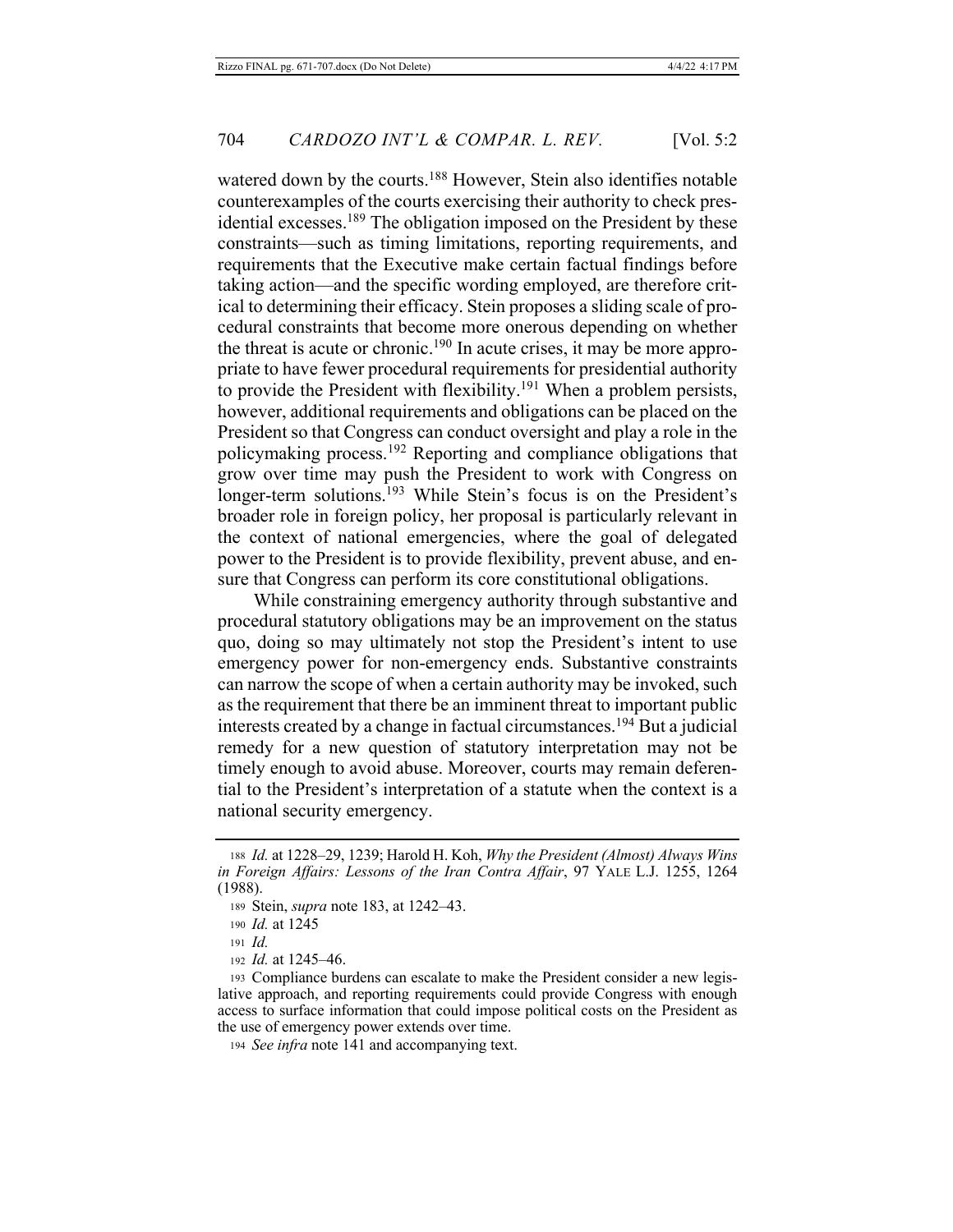watered down by the courts.<sup>188</sup> However, Stein also identifies notable counterexamples of the courts exercising their authority to check presidential excesses.<sup>189</sup> The obligation imposed on the President by these constraints—such as timing limitations, reporting requirements, and requirements that the Executive make certain factual findings before taking action—and the specific wording employed, are therefore critical to determining their efficacy. Stein proposes a sliding scale of procedural constraints that become more onerous depending on whether the threat is acute or chronic.<sup>190</sup> In acute crises, it may be more appropriate to have fewer procedural requirements for presidential authority to provide the President with flexibility.<sup>191</sup> When a problem persists, however, additional requirements and obligations can be placed on the President so that Congress can conduct oversight and play a role in the policymaking process.<sup>192</sup> Reporting and compliance obligations that grow over time may push the President to work with Congress on longer-term solutions.<sup>193</sup> While Stein's focus is on the President's broader role in foreign policy, her proposal is particularly relevant in the context of national emergencies, where the goal of delegated power to the President is to provide flexibility, prevent abuse, and ensure that Congress can perform its core constitutional obligations.

While constraining emergency authority through substantive and procedural statutory obligations may be an improvement on the status quo, doing so may ultimately not stop the President's intent to use emergency power for non-emergency ends. Substantive constraints can narrow the scope of when a certain authority may be invoked, such as the requirement that there be an imminent threat to important public interests created by a change in factual circumstances.<sup>194</sup> But a judicial remedy for a new question of statutory interpretation may not be timely enough to avoid abuse. Moreover, courts may remain deferential to the President's interpretation of a statute when the context is a national security emergency.

194 See infra note 141 and accompanying text.

<sup>188</sup> *Id.* at 1228–29, 1239; Harold H. Koh, Why the President (Almost) Always Wins in Foreign Affairs: Lessons of the Iran Contra Affair, 97 YALE L.J. 1255, 1264  $(1988).$ 

<sup>189</sup> Stein, *supra* note 183, at 1242–43.

<sup>190</sup> *Id.* at 1245

<sup>191</sup> *Id.* 

<sup>192</sup> *Id.* at 1245–46.

<sup>193</sup> Compliance burdens can escalate to make the President consider a new legislative approach, and reporting requirements could provide Congress with enough access to surface information that could impose political costs on the President as the use of emergency power extends over time.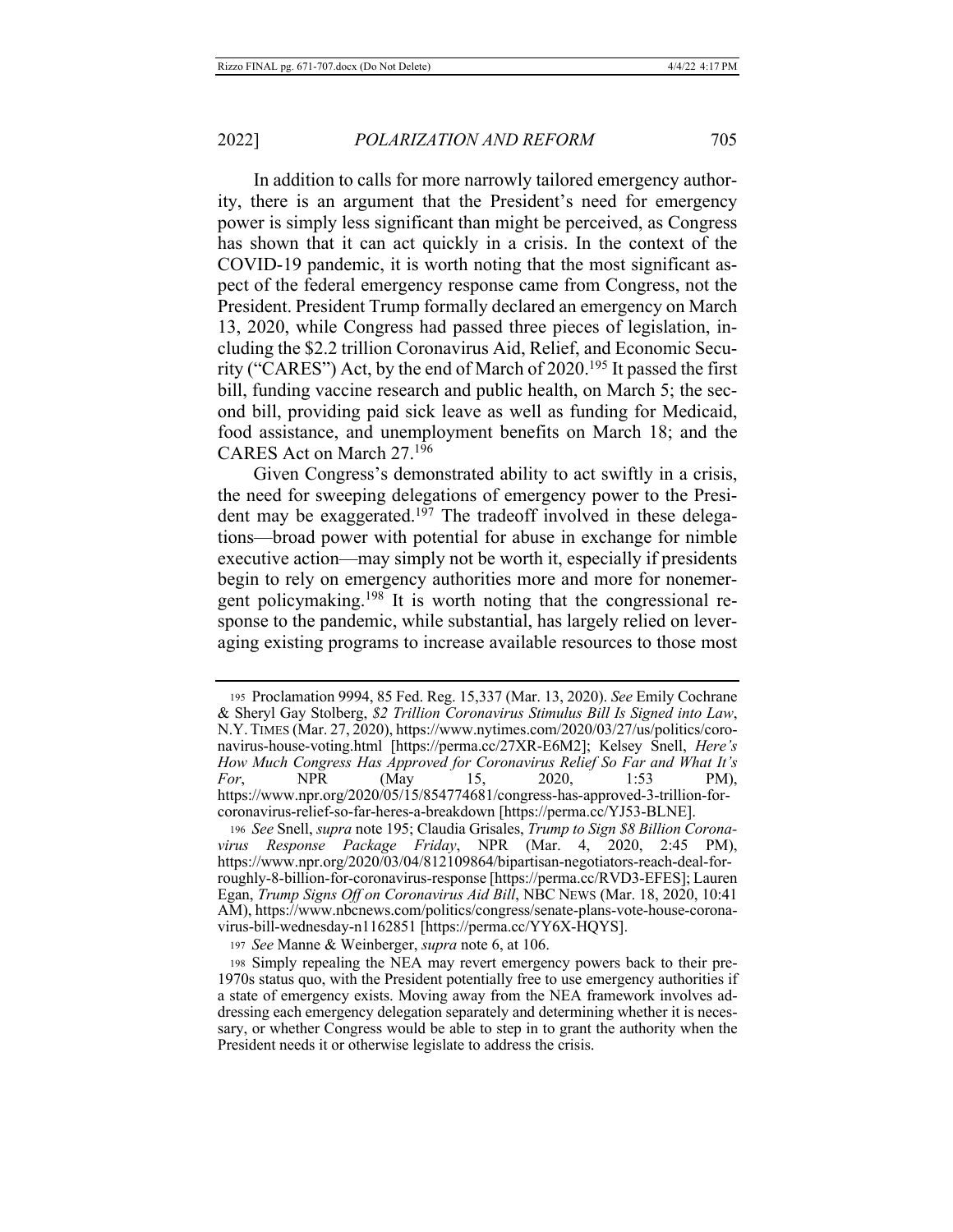In addition to calls for more narrowly tailored emergency authority, there is an argument that the President's need for emergency power is simply less significant than might be perceived, as Congress has shown that it can act quickly in a crisis. In the context of the COVID-19 pandemic, it is worth noting that the most significant aspect of the federal emergency response came from Congress, not the President. President Trump formally declared an emergency on March 13, 2020, while Congress had passed three pieces of legislation, including the \$2.2 trillion Coronavirus Aid, Relief, and Economic Security ("CARES") Act, by the end of March of 2020.<sup>195</sup> It passed the first bill, funding vaccine research and public health, on March 5; the second bill, providing paid sick leave as well as funding for Medicaid, food assistance, and unemployment benefits on March 18; and the CARES Act on March 27.196

Given Congress's demonstrated ability to act swiftly in a crisis, the need for sweeping delegations of emergency power to the Presi-<br>dent may be exaggerated.<sup>197</sup> The tradeoff involved in these delegations—broad power with potential for abuse in exchange for nimble executive action—may simply not be worth it, especially if presidents begin to rely on emergency authorities more and more for nonemergent policymaking.<sup>198</sup> It is worth noting that the congressional response to the pandemic, while substantial, has largely relied on leveraging existing programs to increase available resources to those most

<sup>195</sup> Proclamation 9994, 85 Fed. Reg. 15,337 (Mar. 13, 2020). See Emily Cochrane & Sheryl Gay Stolberg, \$2 Trillion Coronavirus Stimulus Bill Is Signed into Law, N.Y. TIMES (Mar. 27, 2020), https://www.nytimes.com/2020/03/27/us/politics/coronavirus-house-voting.html [https://perma.cc/27XR-E6M2]; Kelsey Snell, Here's How Much Congress Has Approved for Coronavirus Relief So Far and What It's **NPR** For, (May 15, 2020,  $1:53$ PM), https://www.npr.org/2020/05/15/854774681/congress-has-approved-3-trillion-forcoronavirus-relief-so-far-heres-a-breakdown [https://perma.cc/YJ53-BLNE].

<sup>196</sup> See Snell, supra note 195; Claudia Grisales, Trump to Sign \$8 Billion Corona-(Mar. 4, 2020, virus Response Package Friday, NPR  $2:45$ PM), https://www.npr.org/2020/03/04/812109864/bipartisan-negotiators-reach-deal-forroughly-8-billion-for-coronavirus-response [https://perma.cc/RVD3-EFES]; Lauren Egan, Trump Signs Off on Coronavirus Aid Bill, NBC NEWS (Mar. 18, 2020, 10:41 AM), https://www.nbcnews.com/politics/congress/senate-plans-vote-house-coronavirus-bill-wednesday-n1162851 [https://perma.cc/YY6X-HQYS].

<sup>197</sup> See Manne & Weinberger, supra note 6, at 106.

<sup>198</sup> Simply repealing the NEA may revert emergency powers back to their pre-1970s status quo, with the President potentially free to use emergency authorities if a state of emergency exists. Moving away from the NEA framework involves addressing each emergency delegation separately and determining whether it is necessary, or whether Congress would be able to step in to grant the authority when the President needs it or otherwise legislate to address the crisis.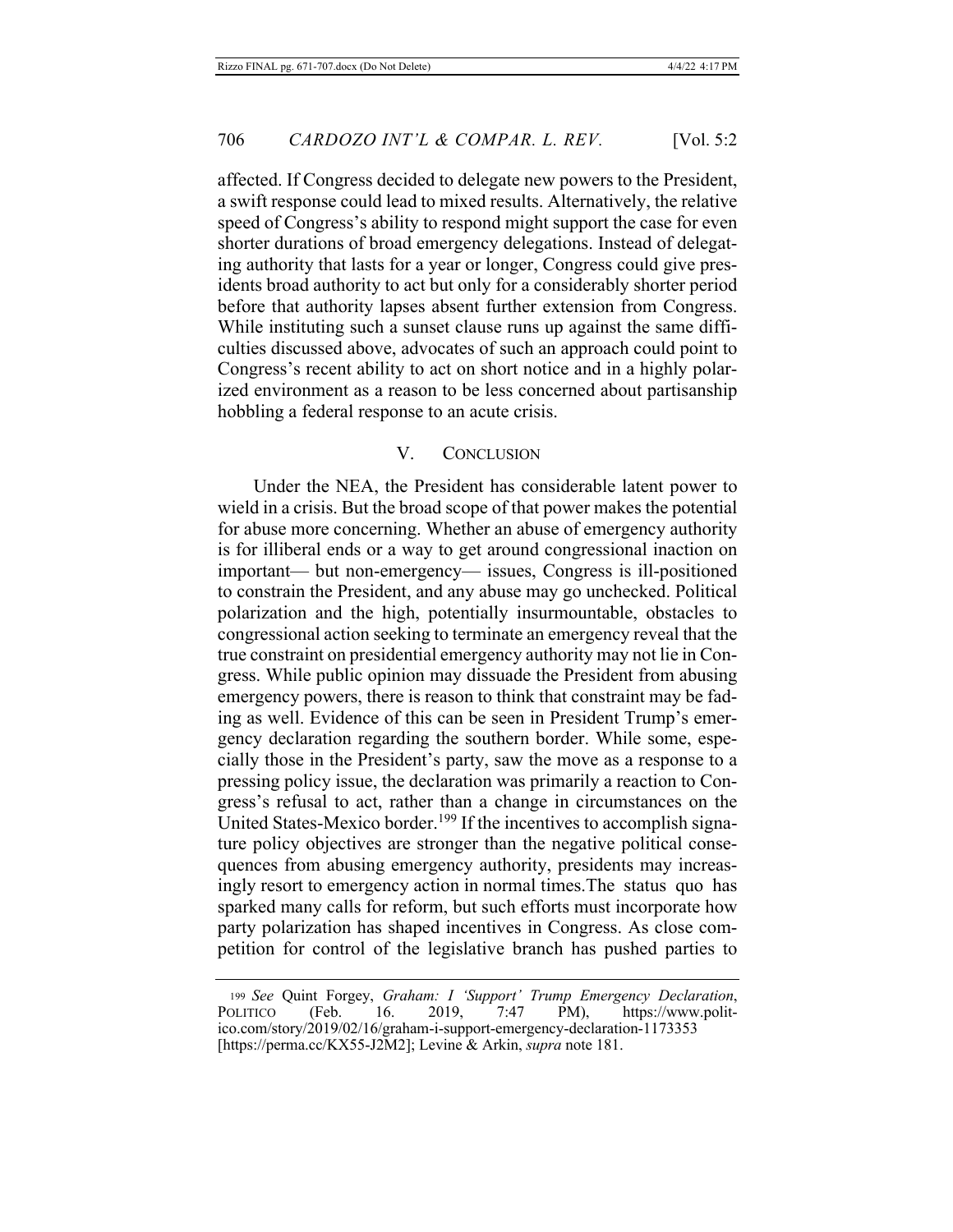affected. If Congress decided to delegate new powers to the President, a swift response could lead to mixed results. Alternatively, the relative speed of Congress's ability to respond might support the case for even shorter durations of broad emergency delegations. Instead of delegating authority that lasts for a year or longer, Congress could give presidents broad authority to act but only for a considerably shorter period before that authority lapses absent further extension from Congress. While instituting such a sunset clause runs up against the same difficulties discussed above, advocates of such an approach could point to Congress's recent ability to act on short notice and in a highly polarized environment as a reason to be less concerned about partisanship hobbling a federal response to an acute crisis.

## V. CONCLUSION

Under the NEA, the President has considerable latent power to wield in a crisis. But the broad scope of that power makes the potential for abuse more concerning. Whether an abuse of emergency authority is for illiberal ends or a way to get around congressional inaction on important— but non-emergency— issues, Congress is ill-positioned to constrain the President, and any abuse may go unchecked. Political polarization and the high, potentially insurmountable, obstacles to congressional action seeking to terminate an emergency reveal that the true constraint on presidential emergency authority may not lie in Congress. While public opinion may dissuade the President from abusing emergency powers, there is reason to think that constraint may be fading as well. Evidence of this can be seen in President Trump's emergency declaration regarding the southern border. While some, especially those in the President's party, saw the move as a response to a pressing policy issue, the declaration was primarily a reaction to Congress's refusal to act, rather than a change in circumstances on the United States-Mexico border.<sup>199</sup> If the incentives to accomplish signature policy objectives are stronger than the negative political consequences from abusing emergency authority, presidents may increasingly resort to emergency action in normal times. The status quo has sparked many calls for reform, but such efforts must incorporate how party polarization has shaped incentives in Congress. As close competition for control of the legislative branch has pushed parties to

<sup>199</sup> See Quint Forgey, Graham: I 'Support' Trump Emergency Declaration, POLITICO (Feb. 16. 2019,  $7:47$  PM), https://www.politico.com/story/2019/02/16/graham-i-support-emergency-declaration-1173353 [https://perma.cc/KX55-J2M2]; Levine & Arkin, *supra* note 181.